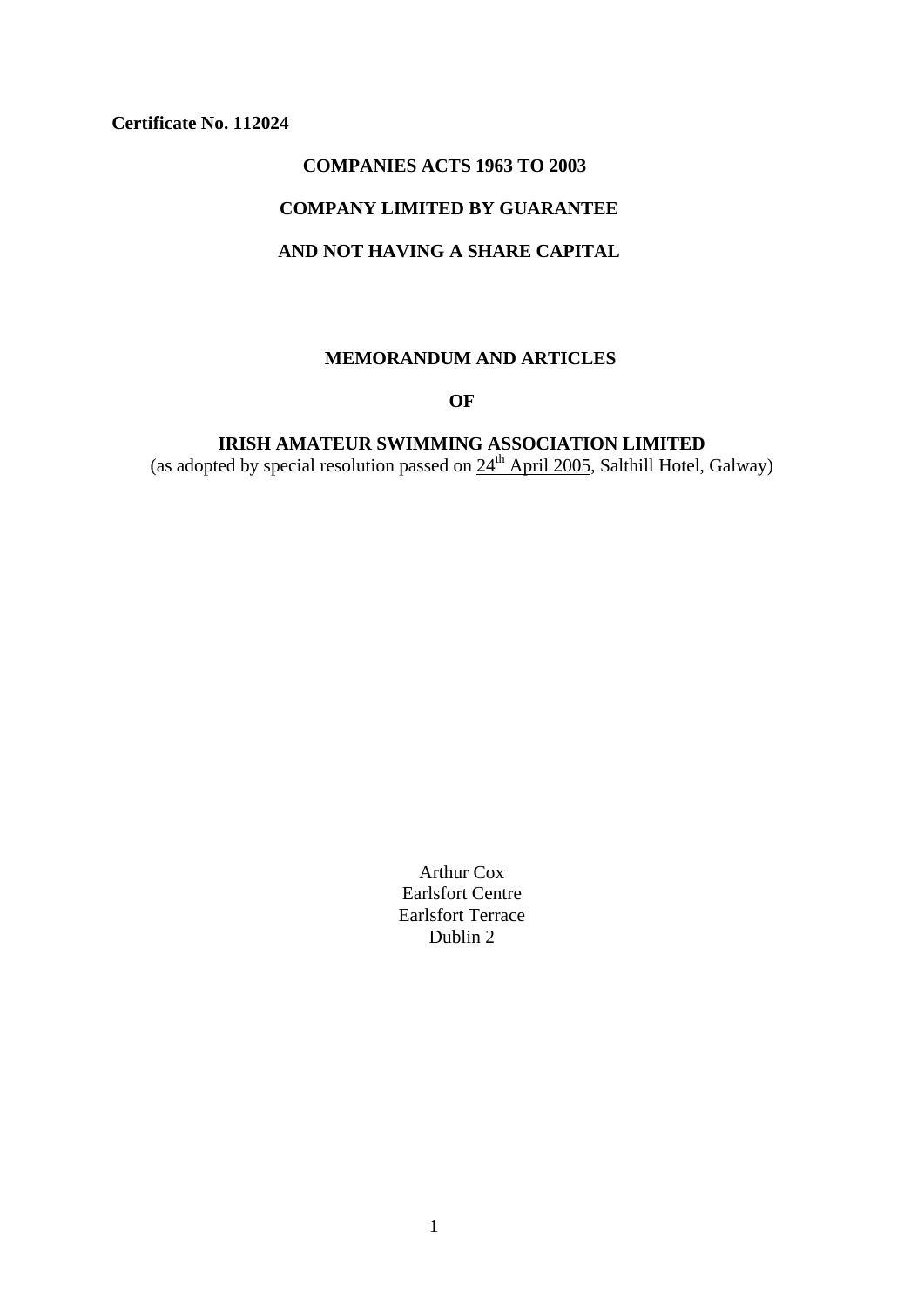## **Certificate No. 112024**

## **COMPANIES ACTS 1963 TO 2003**

## **COMPANY LIMITED BY GUARANTEE**

# **AND NOT HAVING A SHARE CAPITAL**

## **MEMORANDUM AND ARTICLES**

## **OF**

**IRISH AMATEUR SWIMMING ASSOCIATION LIMITED**  (as adopted by special resolution passed on  $24<sup>th</sup>$  April 2005, Salthill Hotel, Galway)

> Arthur Cox Earlsfort Centre Earlsfort Terrace Dublin 2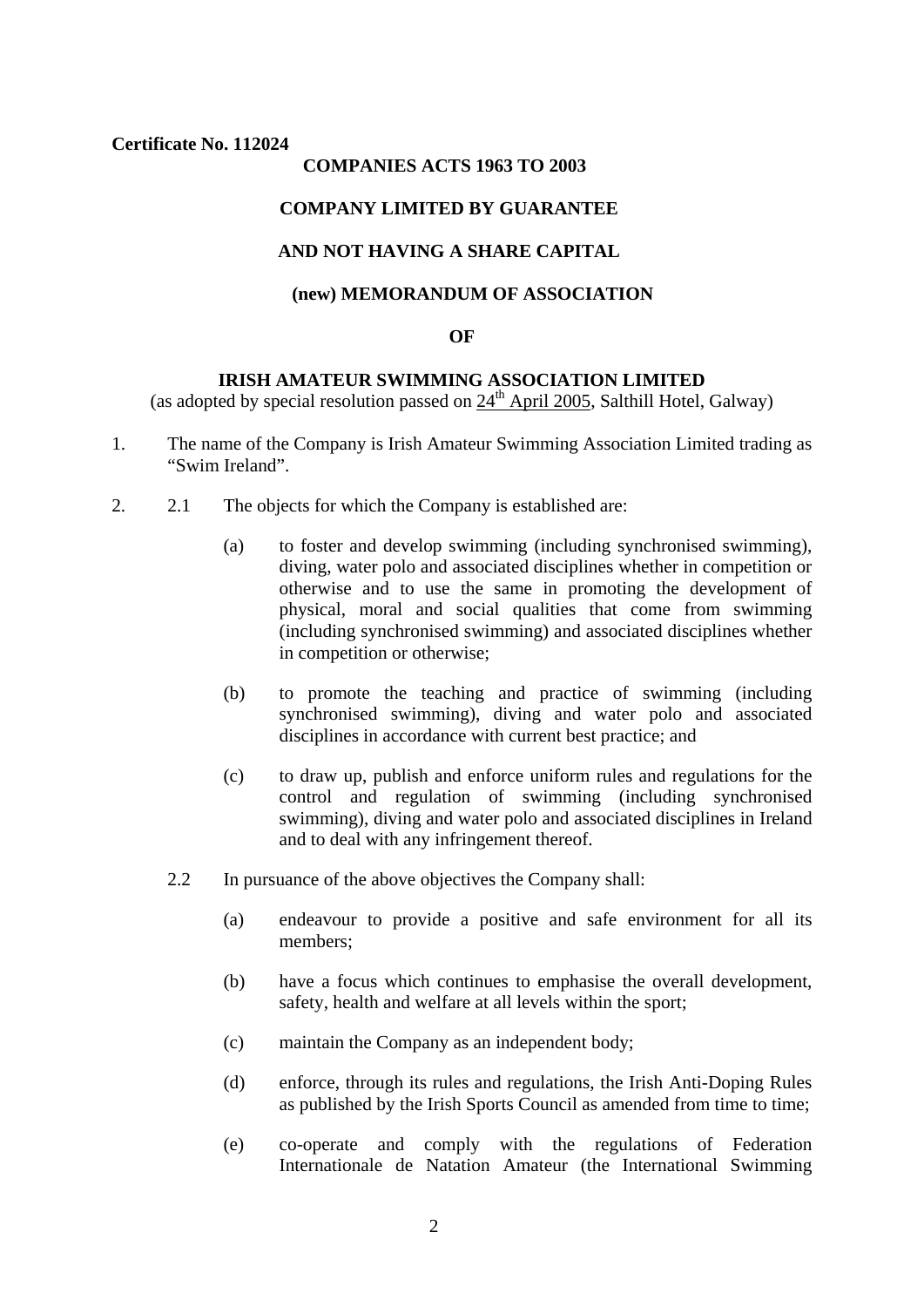#### **Certificate No. 112024**

#### **COMPANIES ACTS 1963 TO 2003**

#### **COMPANY LIMITED BY GUARANTEE**

## **AND NOT HAVING A SHARE CAPITAL**

#### **(new) MEMORANDUM OF ASSOCIATION**

### **OF**

#### **IRISH AMATEUR SWIMMING ASSOCIATION LIMITED**

(as adopted by special resolution passed on  $24<sup>th</sup>$  April 2005, Salthill Hotel, Galway)

- 1. The name of the Company is Irish Amateur Swimming Association Limited trading as "Swim Ireland".
- 2. 2.1 The objects for which the Company is established are:
	- (a) to foster and develop swimming (including synchronised swimming), diving, water polo and associated disciplines whether in competition or otherwise and to use the same in promoting the development of physical, moral and social qualities that come from swimming (including synchronised swimming) and associated disciplines whether in competition or otherwise;
	- (b) to promote the teaching and practice of swimming (including synchronised swimming), diving and water polo and associated disciplines in accordance with current best practice; and
	- (c) to draw up, publish and enforce uniform rules and regulations for the control and regulation of swimming (including synchronised swimming), diving and water polo and associated disciplines in Ireland and to deal with any infringement thereof.
	- 2.2 In pursuance of the above objectives the Company shall:
		- (a) endeavour to provide a positive and safe environment for all its members;
		- (b) have a focus which continues to emphasise the overall development, safety, health and welfare at all levels within the sport;
		- (c) maintain the Company as an independent body;
		- (d) enforce, through its rules and regulations, the Irish Anti-Doping Rules as published by the Irish Sports Council as amended from time to time;
		- (e) co-operate and comply with the regulations of Federation Internationale de Natation Amateur (the International Swimming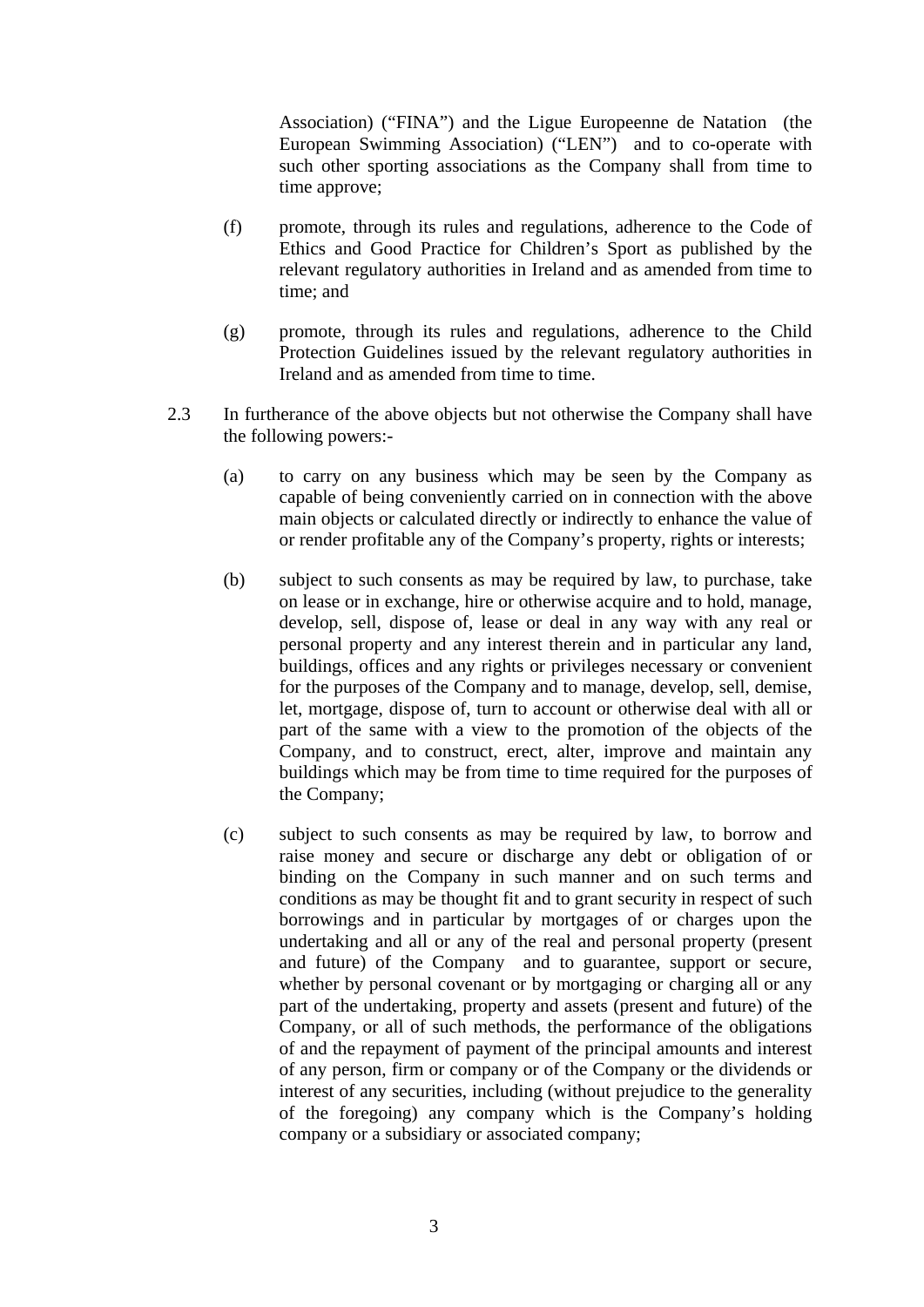Association) ("FINA") and the Ligue Europeenne de Natation (the European Swimming Association) ("LEN") and to co-operate with such other sporting associations as the Company shall from time to time approve;

- (f) promote, through its rules and regulations, adherence to the Code of Ethics and Good Practice for Children's Sport as published by the relevant regulatory authorities in Ireland and as amended from time to time; and
- (g) promote, through its rules and regulations, adherence to the Child Protection Guidelines issued by the relevant regulatory authorities in Ireland and as amended from time to time.
- 2.3 In furtherance of the above objects but not otherwise the Company shall have the following powers:-
	- (a) to carry on any business which may be seen by the Company as capable of being conveniently carried on in connection with the above main objects or calculated directly or indirectly to enhance the value of or render profitable any of the Company's property, rights or interests;
	- (b) subject to such consents as may be required by law, to purchase, take on lease or in exchange, hire or otherwise acquire and to hold, manage, develop, sell, dispose of, lease or deal in any way with any real or personal property and any interest therein and in particular any land, buildings, offices and any rights or privileges necessary or convenient for the purposes of the Company and to manage, develop, sell, demise, let, mortgage, dispose of, turn to account or otherwise deal with all or part of the same with a view to the promotion of the objects of the Company, and to construct, erect, alter, improve and maintain any buildings which may be from time to time required for the purposes of the Company;
	- (c) subject to such consents as may be required by law, to borrow and raise money and secure or discharge any debt or obligation of or binding on the Company in such manner and on such terms and conditions as may be thought fit and to grant security in respect of such borrowings and in particular by mortgages of or charges upon the undertaking and all or any of the real and personal property (present and future) of the Company and to guarantee, support or secure, whether by personal covenant or by mortgaging or charging all or any part of the undertaking, property and assets (present and future) of the Company, or all of such methods, the performance of the obligations of and the repayment of payment of the principal amounts and interest of any person, firm or company or of the Company or the dividends or interest of any securities, including (without prejudice to the generality of the foregoing) any company which is the Company's holding company or a subsidiary or associated company;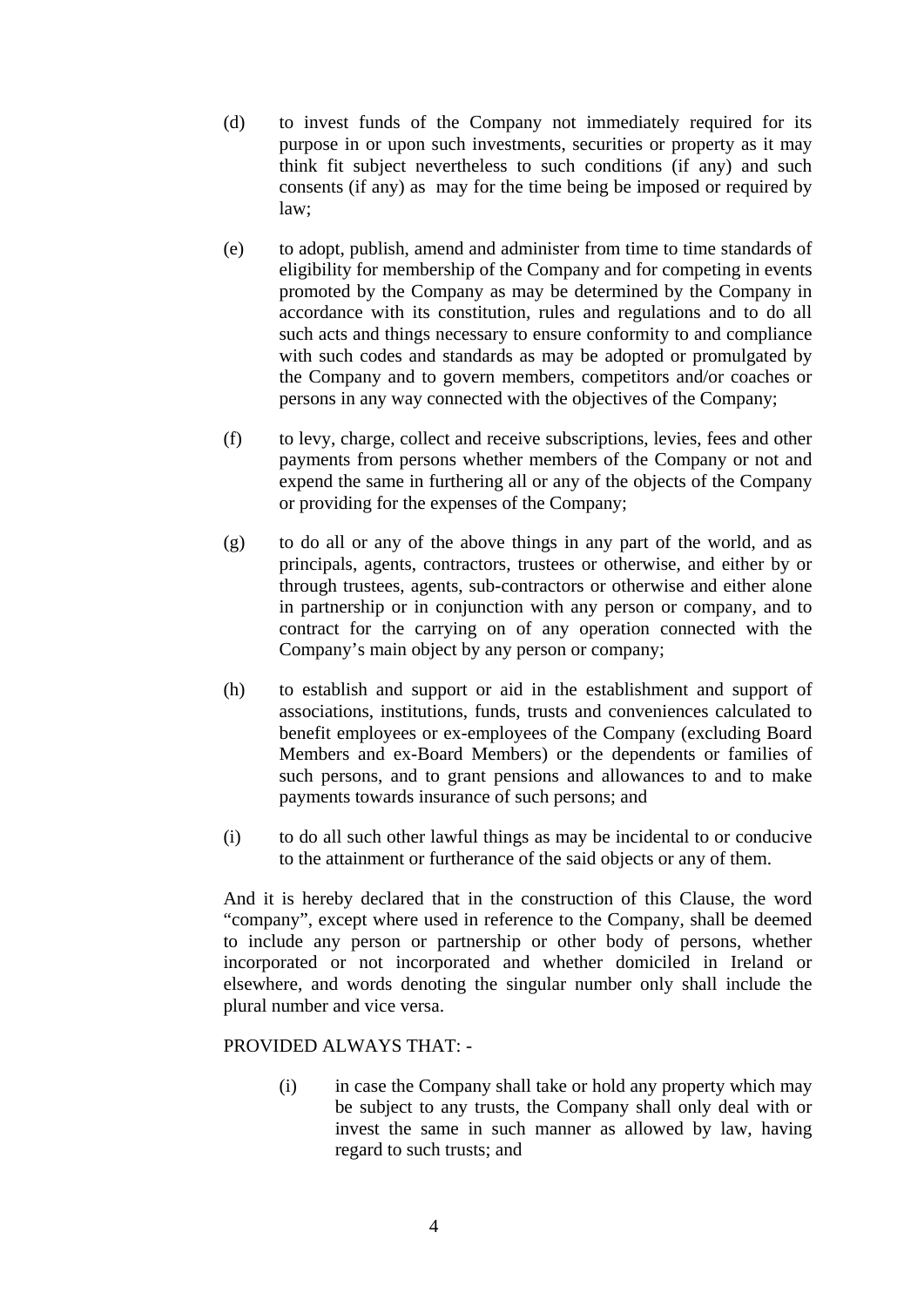- (d) to invest funds of the Company not immediately required for its purpose in or upon such investments, securities or property as it may think fit subject nevertheless to such conditions (if any) and such consents (if any) as may for the time being be imposed or required by law;
- (e) to adopt, publish, amend and administer from time to time standards of eligibility for membership of the Company and for competing in events promoted by the Company as may be determined by the Company in accordance with its constitution, rules and regulations and to do all such acts and things necessary to ensure conformity to and compliance with such codes and standards as may be adopted or promulgated by the Company and to govern members, competitors and/or coaches or persons in any way connected with the objectives of the Company;
- (f) to levy, charge, collect and receive subscriptions, levies, fees and other payments from persons whether members of the Company or not and expend the same in furthering all or any of the objects of the Company or providing for the expenses of the Company;
- (g) to do all or any of the above things in any part of the world, and as principals, agents, contractors, trustees or otherwise, and either by or through trustees, agents, sub-contractors or otherwise and either alone in partnership or in conjunction with any person or company, and to contract for the carrying on of any operation connected with the Company's main object by any person or company;
- (h) to establish and support or aid in the establishment and support of associations, institutions, funds, trusts and conveniences calculated to benefit employees or ex-employees of the Company (excluding Board Members and ex-Board Members) or the dependents or families of such persons, and to grant pensions and allowances to and to make payments towards insurance of such persons; and
- (i) to do all such other lawful things as may be incidental to or conducive to the attainment or furtherance of the said objects or any of them.

And it is hereby declared that in the construction of this Clause, the word "company", except where used in reference to the Company, shall be deemed to include any person or partnership or other body of persons, whether incorporated or not incorporated and whether domiciled in Ireland or elsewhere, and words denoting the singular number only shall include the plural number and vice versa.

### PROVIDED ALWAYS THAT: -

(i) in case the Company shall take or hold any property which may be subject to any trusts, the Company shall only deal with or invest the same in such manner as allowed by law, having regard to such trusts; and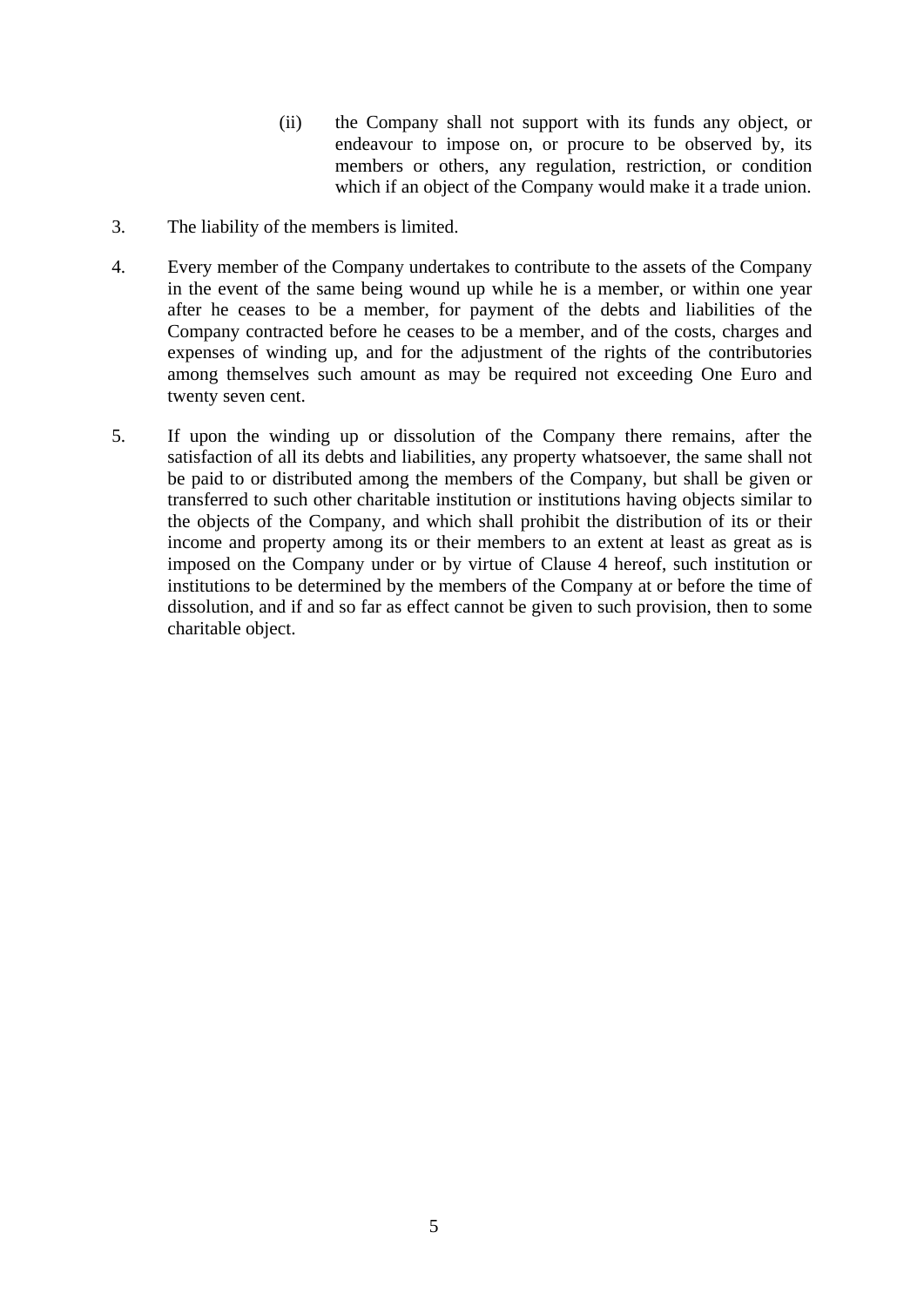- (ii) the Company shall not support with its funds any object, or endeavour to impose on, or procure to be observed by, its members or others, any regulation, restriction, or condition which if an object of the Company would make it a trade union.
- 3. The liability of the members is limited.
- 4. Every member of the Company undertakes to contribute to the assets of the Company in the event of the same being wound up while he is a member, or within one year after he ceases to be a member, for payment of the debts and liabilities of the Company contracted before he ceases to be a member, and of the costs, charges and expenses of winding up, and for the adjustment of the rights of the contributories among themselves such amount as may be required not exceeding One Euro and twenty seven cent.
- 5. If upon the winding up or dissolution of the Company there remains, after the satisfaction of all its debts and liabilities, any property whatsoever, the same shall not be paid to or distributed among the members of the Company, but shall be given or transferred to such other charitable institution or institutions having objects similar to the objects of the Company, and which shall prohibit the distribution of its or their income and property among its or their members to an extent at least as great as is imposed on the Company under or by virtue of Clause 4 hereof, such institution or institutions to be determined by the members of the Company at or before the time of dissolution, and if and so far as effect cannot be given to such provision, then to some charitable object.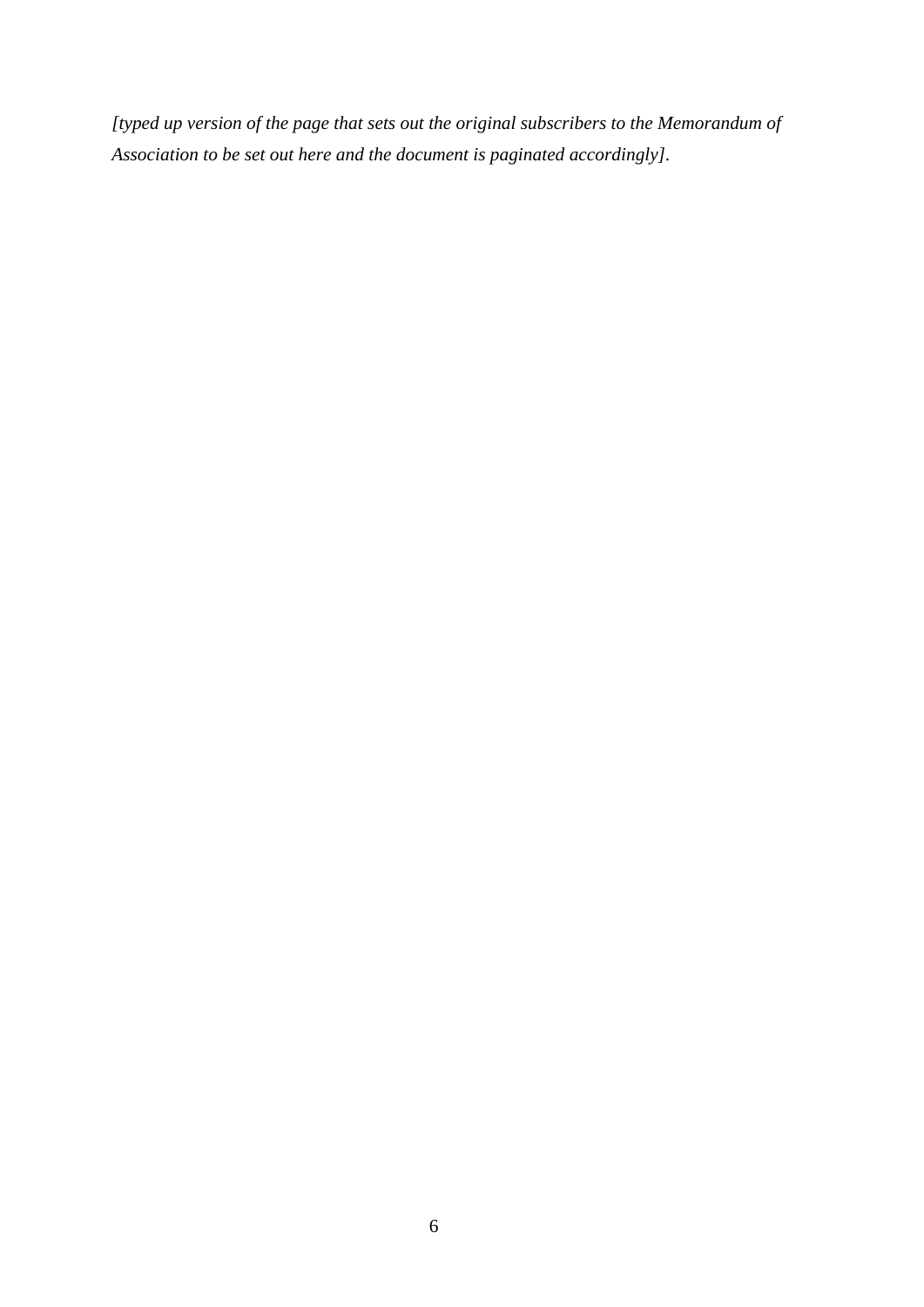*[typed up version of the page that sets out the original subscribers to the Memorandum of Association to be set out here and the document is paginated accordingly].*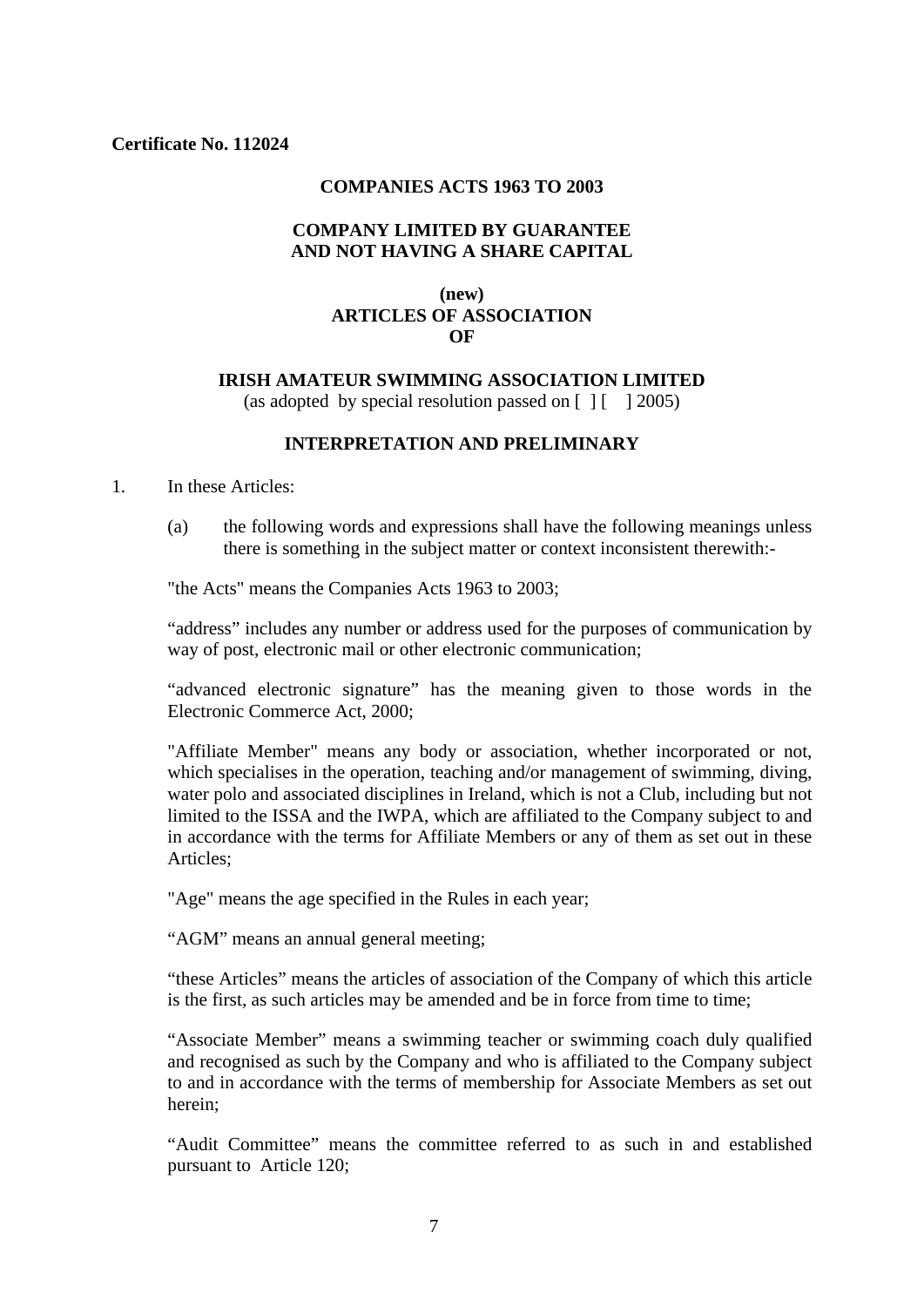### **COMPANIES ACTS 1963 TO 2003**

### **COMPANY LIMITED BY GUARANTEE AND NOT HAVING A SHARE CAPITAL**

## **(new) ARTICLES OF ASSOCIATION OF**

### **IRISH AMATEUR SWIMMING ASSOCIATION LIMITED**

(as adopted by special resolution passed on  $\lceil 1 \rceil$  12005)

## **INTERPRETATION AND PRELIMINARY**

1. In these Articles:

(a) the following words and expressions shall have the following meanings unless there is something in the subject matter or context inconsistent therewith:-

"the Acts" means the Companies Acts 1963 to 2003;

"address" includes any number or address used for the purposes of communication by way of post, electronic mail or other electronic communication;

"advanced electronic signature" has the meaning given to those words in the Electronic Commerce Act, 2000;

"Affiliate Member" means any body or association, whether incorporated or not, which specialises in the operation, teaching and/or management of swimming, diving, water polo and associated disciplines in Ireland, which is not a Club, including but not limited to the ISSA and the IWPA, which are affiliated to the Company subject to and in accordance with the terms for Affiliate Members or any of them as set out in these Articles;

"Age" means the age specified in the Rules in each year;

"AGM" means an annual general meeting;

"these Articles" means the articles of association of the Company of which this article is the first, as such articles may be amended and be in force from time to time;

"Associate Member" means a swimming teacher or swimming coach duly qualified and recognised as such by the Company and who is affiliated to the Company subject to and in accordance with the terms of membership for Associate Members as set out herein;

"Audit Committee" means the committee referred to as such in and established pursuant to Article 120;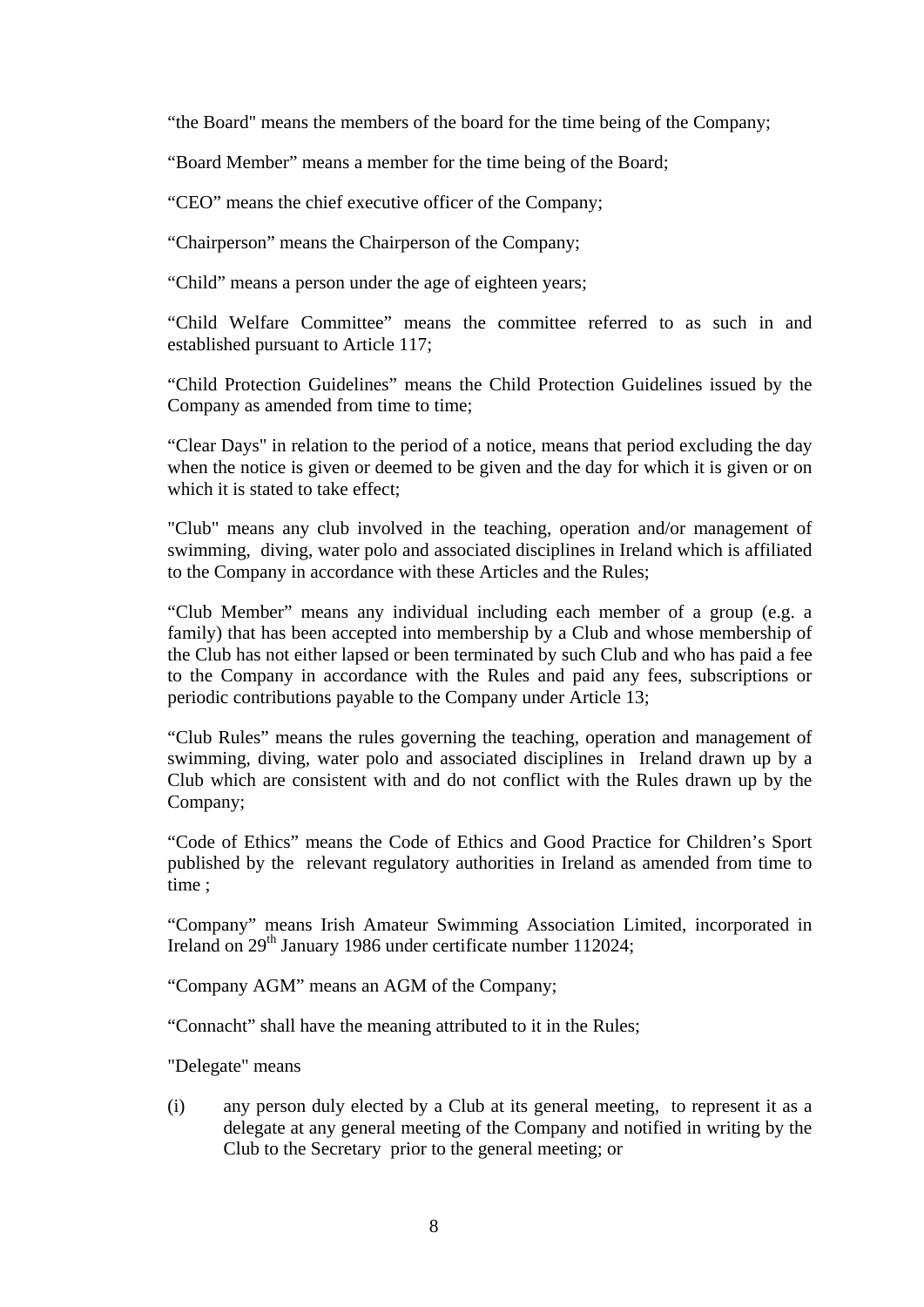"the Board" means the members of the board for the time being of the Company;

"Board Member" means a member for the time being of the Board;

"CEO" means the chief executive officer of the Company;

"Chairperson" means the Chairperson of the Company;

"Child" means a person under the age of eighteen years;

"Child Welfare Committee" means the committee referred to as such in and established pursuant to Article 117;

"Child Protection Guidelines" means the Child Protection Guidelines issued by the Company as amended from time to time;

"Clear Days" in relation to the period of a notice, means that period excluding the day when the notice is given or deemed to be given and the day for which it is given or on which it is stated to take effect:

"Club" means any club involved in the teaching, operation and/or management of swimming, diving, water polo and associated disciplines in Ireland which is affiliated to the Company in accordance with these Articles and the Rules;

"Club Member" means any individual including each member of a group (e.g. a family) that has been accepted into membership by a Club and whose membership of the Club has not either lapsed or been terminated by such Club and who has paid a fee to the Company in accordance with the Rules and paid any fees, subscriptions or periodic contributions payable to the Company under Article 13;

"Club Rules" means the rules governing the teaching, operation and management of swimming, diving, water polo and associated disciplines in Ireland drawn up by a Club which are consistent with and do not conflict with the Rules drawn up by the Company;

"Code of Ethics" means the Code of Ethics and Good Practice for Children's Sport published by the relevant regulatory authorities in Ireland as amended from time to time ;

"Company" means Irish Amateur Swimming Association Limited, incorporated in Ireland on 29<sup>th</sup> January 1986 under certificate number 112024;

"Company AGM" means an AGM of the Company;

"Connacht" shall have the meaning attributed to it in the Rules;

"Delegate" means

(i) any person duly elected by a Club at its general meeting, to represent it as a delegate at any general meeting of the Company and notified in writing by the Club to the Secretary prior to the general meeting; or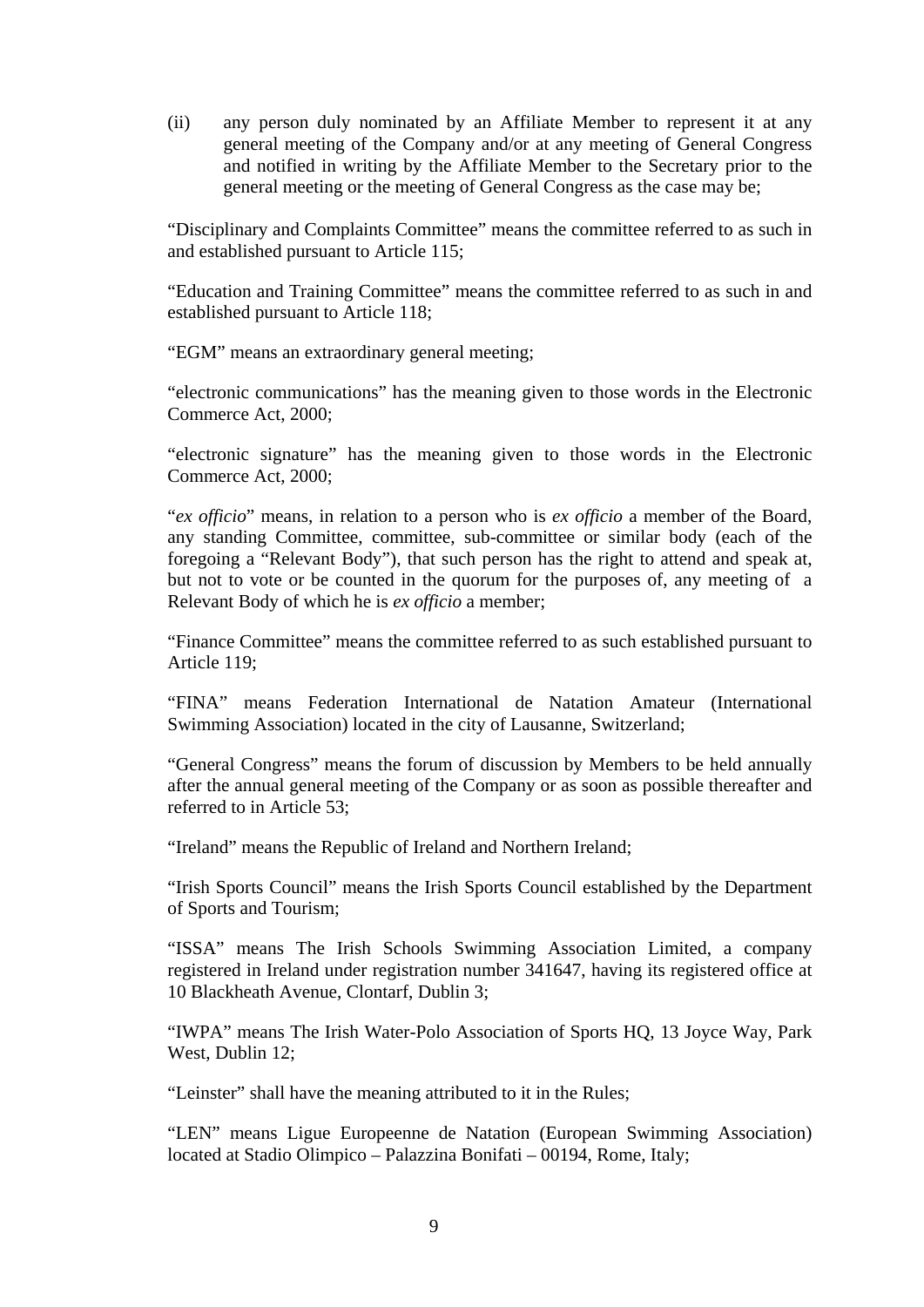(ii) any person duly nominated by an Affiliate Member to represent it at any general meeting of the Company and/or at any meeting of General Congress and notified in writing by the Affiliate Member to the Secretary prior to the general meeting or the meeting of General Congress as the case may be;

"Disciplinary and Complaints Committee" means the committee referred to as such in and established pursuant to Article 115;

"Education and Training Committee" means the committee referred to as such in and established pursuant to Article 118;

"EGM" means an extraordinary general meeting;

"electronic communications" has the meaning given to those words in the Electronic Commerce Act, 2000;

"electronic signature" has the meaning given to those words in the Electronic Commerce Act, 2000;

"*ex officio*" means, in relation to a person who is *ex officio* a member of the Board, any standing Committee, committee, sub-committee or similar body (each of the foregoing a "Relevant Body"), that such person has the right to attend and speak at, but not to vote or be counted in the quorum for the purposes of, any meeting of a Relevant Body of which he is *ex officio* a member;

"Finance Committee" means the committee referred to as such established pursuant to Article 119;

"FINA" means Federation International de Natation Amateur (International Swimming Association) located in the city of Lausanne, Switzerland;

"General Congress" means the forum of discussion by Members to be held annually after the annual general meeting of the Company or as soon as possible thereafter and referred to in Article 53;

"Ireland" means the Republic of Ireland and Northern Ireland;

"Irish Sports Council" means the Irish Sports Council established by the Department of Sports and Tourism;

"ISSA" means The Irish Schools Swimming Association Limited, a company registered in Ireland under registration number 341647, having its registered office at 10 Blackheath Avenue, Clontarf, Dublin 3;

"IWPA" means The Irish Water-Polo Association of Sports HQ, 13 Joyce Way, Park West, Dublin 12;

"Leinster" shall have the meaning attributed to it in the Rules;

"LEN" means Ligue Europeenne de Natation (European Swimming Association) located at Stadio Olimpico – Palazzina Bonifati – 00194, Rome, Italy;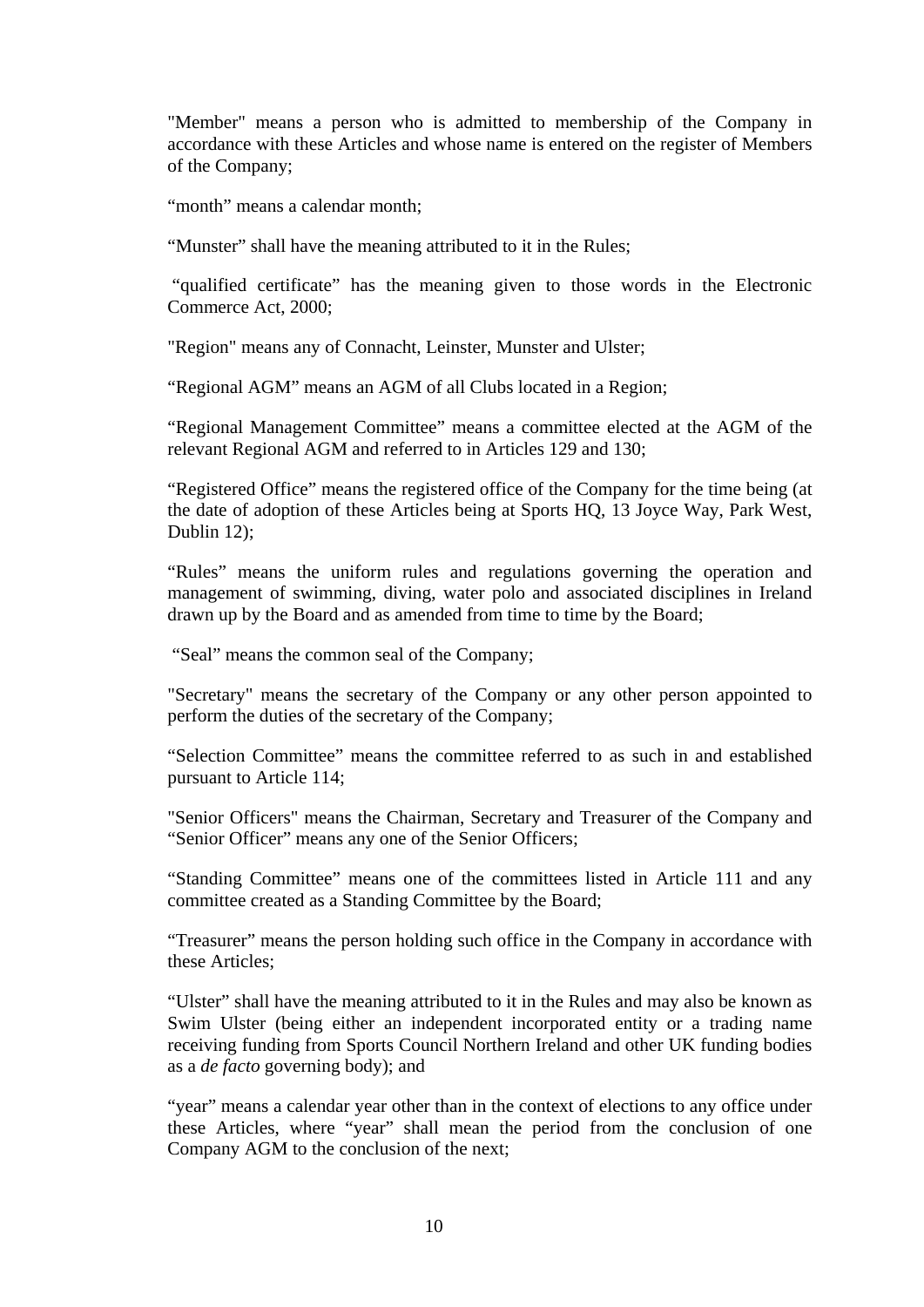"Member" means a person who is admitted to membership of the Company in accordance with these Articles and whose name is entered on the register of Members of the Company;

"month" means a calendar month;

"Munster" shall have the meaning attributed to it in the Rules;

 "qualified certificate" has the meaning given to those words in the Electronic Commerce Act, 2000;

"Region" means any of Connacht, Leinster, Munster and Ulster;

"Regional AGM" means an AGM of all Clubs located in a Region;

"Regional Management Committee" means a committee elected at the AGM of the relevant Regional AGM and referred to in Articles 129 and 130;

"Registered Office" means the registered office of the Company for the time being (at the date of adoption of these Articles being at Sports HQ, 13 Joyce Way, Park West, Dublin 12);

"Rules" means the uniform rules and regulations governing the operation and management of swimming, diving, water polo and associated disciplines in Ireland drawn up by the Board and as amended from time to time by the Board;

"Seal" means the common seal of the Company;

"Secretary" means the secretary of the Company or any other person appointed to perform the duties of the secretary of the Company;

"Selection Committee" means the committee referred to as such in and established pursuant to Article 114;

"Senior Officers" means the Chairman, Secretary and Treasurer of the Company and "Senior Officer" means any one of the Senior Officers;

"Standing Committee" means one of the committees listed in Article 111 and any committee created as a Standing Committee by the Board;

"Treasurer" means the person holding such office in the Company in accordance with these Articles;

"Ulster" shall have the meaning attributed to it in the Rules and may also be known as Swim Ulster (being either an independent incorporated entity or a trading name receiving funding from Sports Council Northern Ireland and other UK funding bodies as a *de facto* governing body); and

"year" means a calendar year other than in the context of elections to any office under these Articles, where "year" shall mean the period from the conclusion of one Company AGM to the conclusion of the next;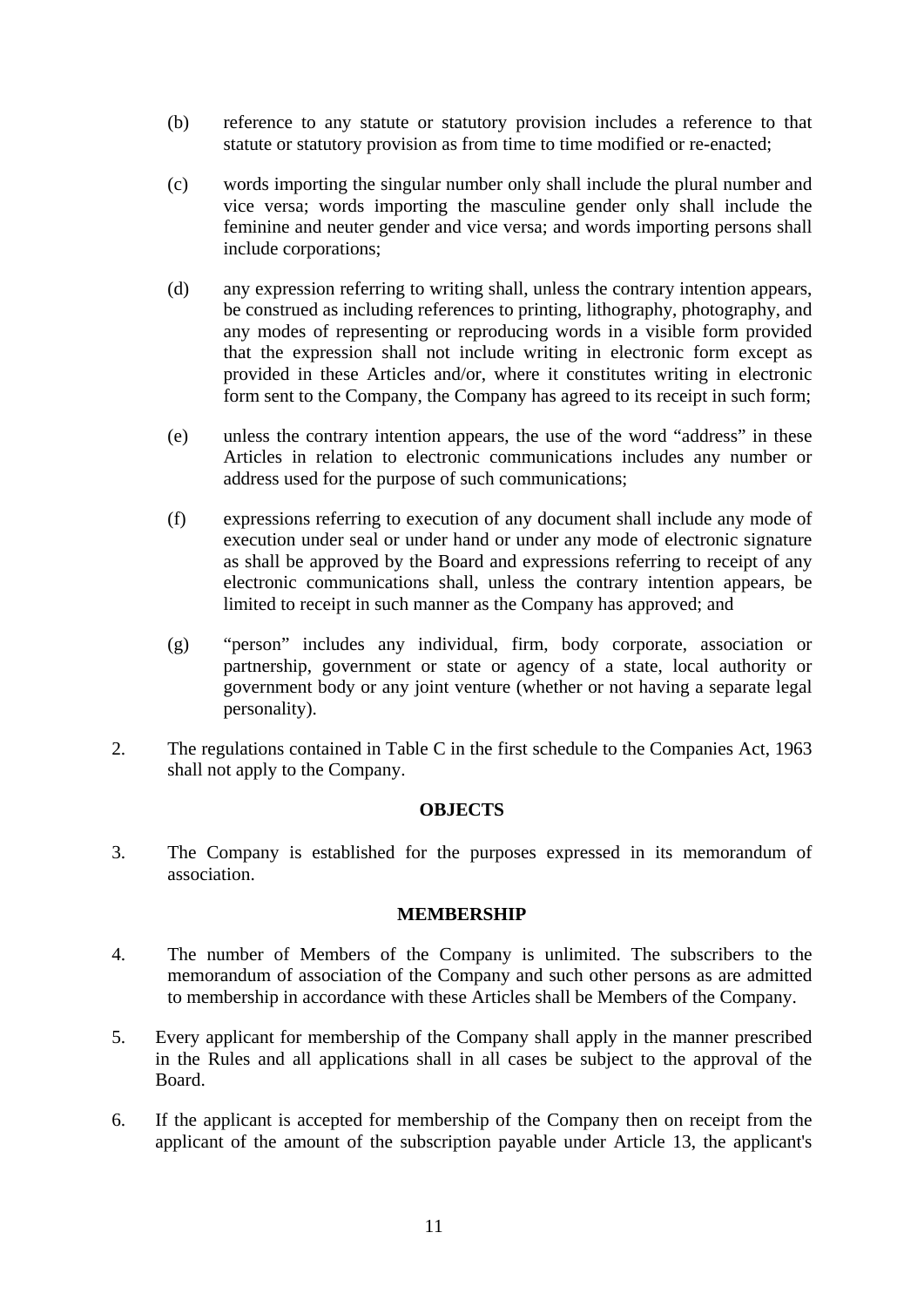- (b) reference to any statute or statutory provision includes a reference to that statute or statutory provision as from time to time modified or re-enacted;
- (c) words importing the singular number only shall include the plural number and vice versa; words importing the masculine gender only shall include the feminine and neuter gender and vice versa; and words importing persons shall include corporations;
- (d) any expression referring to writing shall, unless the contrary intention appears, be construed as including references to printing, lithography, photography, and any modes of representing or reproducing words in a visible form provided that the expression shall not include writing in electronic form except as provided in these Articles and/or, where it constitutes writing in electronic form sent to the Company, the Company has agreed to its receipt in such form;
- (e) unless the contrary intention appears, the use of the word "address" in these Articles in relation to electronic communications includes any number or address used for the purpose of such communications;
- (f) expressions referring to execution of any document shall include any mode of execution under seal or under hand or under any mode of electronic signature as shall be approved by the Board and expressions referring to receipt of any electronic communications shall, unless the contrary intention appears, be limited to receipt in such manner as the Company has approved; and
- (g) "person" includes any individual, firm, body corporate, association or partnership, government or state or agency of a state, local authority or government body or any joint venture (whether or not having a separate legal personality).
- 2. The regulations contained in Table C in the first schedule to the Companies Act, 1963 shall not apply to the Company.

## **OBJECTS**

3. The Company is established for the purposes expressed in its memorandum of association.

## **MEMBERSHIP**

- 4. The number of Members of the Company is unlimited. The subscribers to the memorandum of association of the Company and such other persons as are admitted to membership in accordance with these Articles shall be Members of the Company.
- 5. Every applicant for membership of the Company shall apply in the manner prescribed in the Rules and all applications shall in all cases be subject to the approval of the Board.
- 6. If the applicant is accepted for membership of the Company then on receipt from the applicant of the amount of the subscription payable under Article 13, the applicant's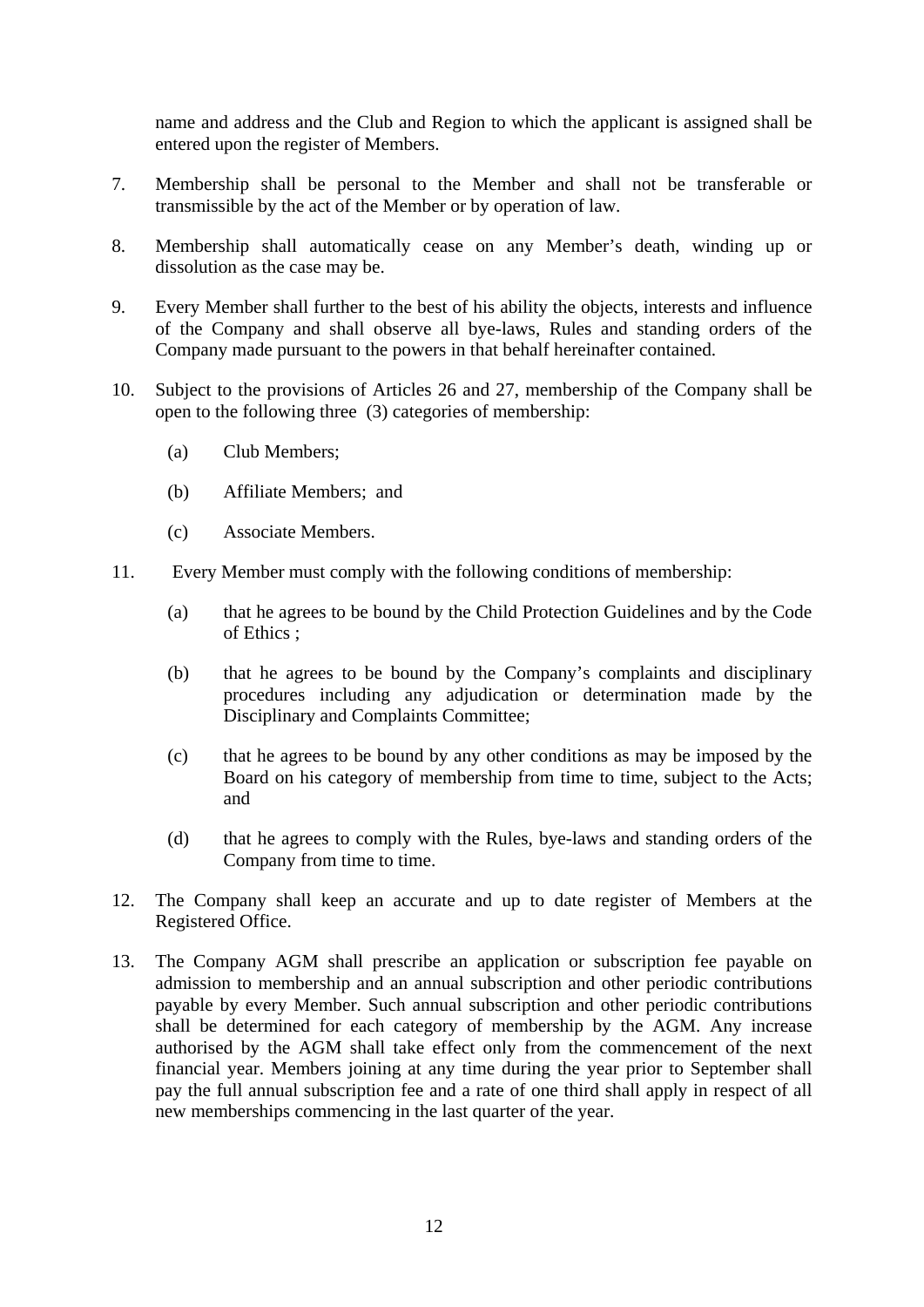name and address and the Club and Region to which the applicant is assigned shall be entered upon the register of Members.

- 7. Membership shall be personal to the Member and shall not be transferable or transmissible by the act of the Member or by operation of law.
- 8. Membership shall automatically cease on any Member's death, winding up or dissolution as the case may be.
- 9. Every Member shall further to the best of his ability the objects, interests and influence of the Company and shall observe all bye-laws, Rules and standing orders of the Company made pursuant to the powers in that behalf hereinafter contained.
- 10. Subject to the provisions of Articles 26 and 27, membership of the Company shall be open to the following three (3) categories of membership:
	- (a) Club Members;
	- (b) Affiliate Members; and
	- (c) Associate Members.
- 11. Every Member must comply with the following conditions of membership:
	- (a) that he agrees to be bound by the Child Protection Guidelines and by the Code of Ethics ;
	- (b) that he agrees to be bound by the Company's complaints and disciplinary procedures including any adjudication or determination made by the Disciplinary and Complaints Committee;
	- (c) that he agrees to be bound by any other conditions as may be imposed by the Board on his category of membership from time to time, subject to the Acts; and
	- (d) that he agrees to comply with the Rules, bye-laws and standing orders of the Company from time to time.
- 12. The Company shall keep an accurate and up to date register of Members at the Registered Office.
- 13. The Company AGM shall prescribe an application or subscription fee payable on admission to membership and an annual subscription and other periodic contributions payable by every Member. Such annual subscription and other periodic contributions shall be determined for each category of membership by the AGM. Any increase authorised by the AGM shall take effect only from the commencement of the next financial year. Members joining at any time during the year prior to September shall pay the full annual subscription fee and a rate of one third shall apply in respect of all new memberships commencing in the last quarter of the year.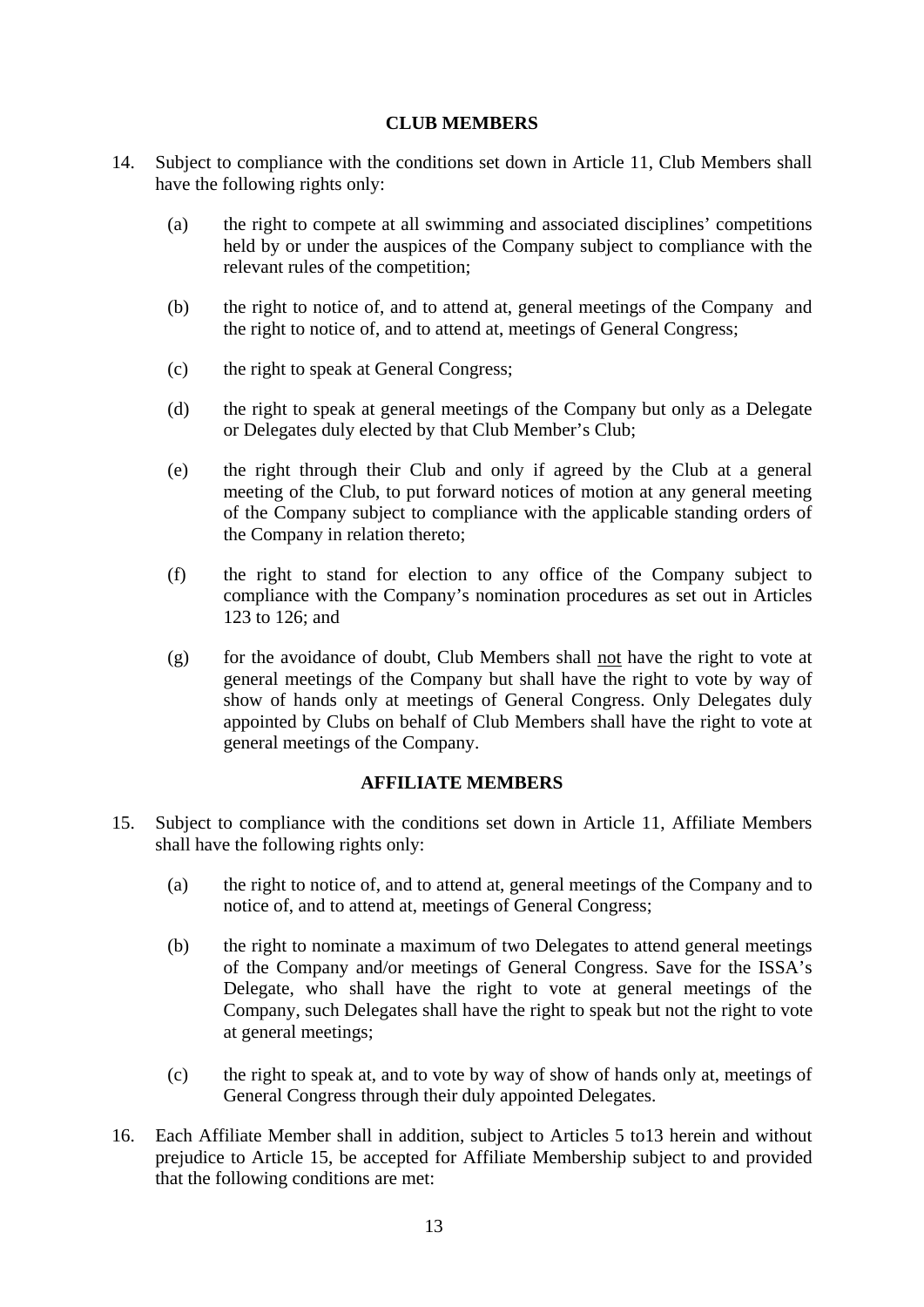## **CLUB MEMBERS**

- 14. Subject to compliance with the conditions set down in Article 11, Club Members shall have the following rights only:
	- (a) the right to compete at all swimming and associated disciplines' competitions held by or under the auspices of the Company subject to compliance with the relevant rules of the competition;
	- (b) the right to notice of, and to attend at, general meetings of the Company and the right to notice of, and to attend at, meetings of General Congress;
	- (c) the right to speak at General Congress;
	- (d) the right to speak at general meetings of the Company but only as a Delegate or Delegates duly elected by that Club Member's Club;
	- (e) the right through their Club and only if agreed by the Club at a general meeting of the Club, to put forward notices of motion at any general meeting of the Company subject to compliance with the applicable standing orders of the Company in relation thereto;
	- (f) the right to stand for election to any office of the Company subject to compliance with the Company's nomination procedures as set out in Articles 123 to 126; and
	- (g) for the avoidance of doubt, Club Members shall not have the right to vote at general meetings of the Company but shall have the right to vote by way of show of hands only at meetings of General Congress. Only Delegates duly appointed by Clubs on behalf of Club Members shall have the right to vote at general meetings of the Company.

## **AFFILIATE MEMBERS**

- 15. Subject to compliance with the conditions set down in Article 11, Affiliate Members shall have the following rights only:
	- (a) the right to notice of, and to attend at, general meetings of the Company and to notice of, and to attend at, meetings of General Congress;
	- (b) the right to nominate a maximum of two Delegates to attend general meetings of the Company and/or meetings of General Congress. Save for the ISSA's Delegate, who shall have the right to vote at general meetings of the Company, such Delegates shall have the right to speak but not the right to vote at general meetings;
	- (c) the right to speak at, and to vote by way of show of hands only at, meetings of General Congress through their duly appointed Delegates.
- 16. Each Affiliate Member shall in addition, subject to Articles 5 to13 herein and without prejudice to Article 15, be accepted for Affiliate Membership subject to and provided that the following conditions are met: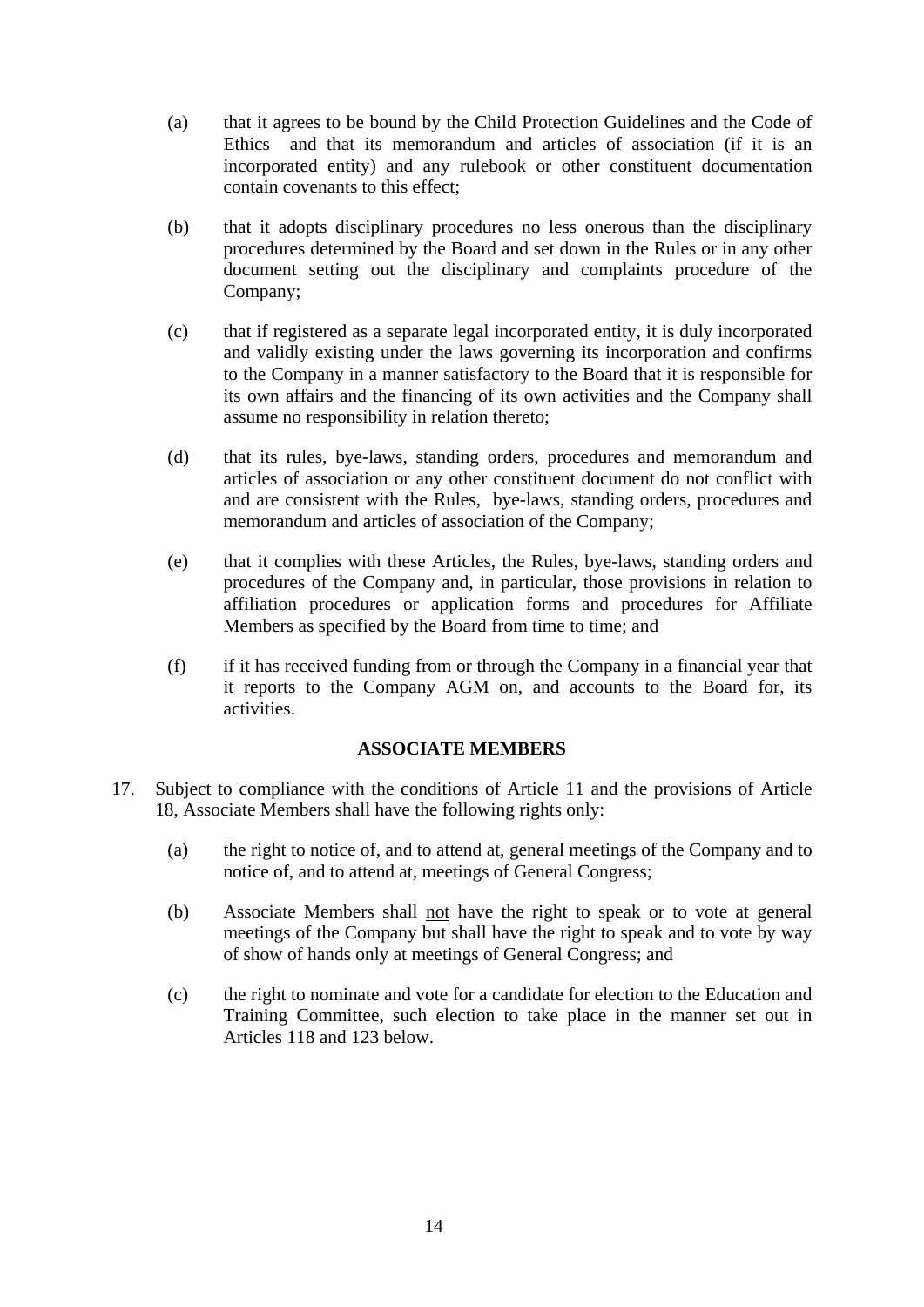- (a) that it agrees to be bound by the Child Protection Guidelines and the Code of Ethics and that its memorandum and articles of association (if it is an incorporated entity) and any rulebook or other constituent documentation contain covenants to this effect;
- (b) that it adopts disciplinary procedures no less onerous than the disciplinary procedures determined by the Board and set down in the Rules or in any other document setting out the disciplinary and complaints procedure of the Company;
- (c) that if registered as a separate legal incorporated entity, it is duly incorporated and validly existing under the laws governing its incorporation and confirms to the Company in a manner satisfactory to the Board that it is responsible for its own affairs and the financing of its own activities and the Company shall assume no responsibility in relation thereto;
- (d) that its rules, bye-laws, standing orders, procedures and memorandum and articles of association or any other constituent document do not conflict with and are consistent with the Rules, bye-laws, standing orders, procedures and memorandum and articles of association of the Company;
- (e) that it complies with these Articles, the Rules, bye-laws, standing orders and procedures of the Company and, in particular, those provisions in relation to affiliation procedures or application forms and procedures for Affiliate Members as specified by the Board from time to time; and
- (f) if it has received funding from or through the Company in a financial year that it reports to the Company AGM on, and accounts to the Board for, its activities.

## **ASSOCIATE MEMBERS**

- 17. Subject to compliance with the conditions of Article 11 and the provisions of Article 18, Associate Members shall have the following rights only:
	- (a) the right to notice of, and to attend at, general meetings of the Company and to notice of, and to attend at, meetings of General Congress;
	- (b) Associate Members shall not have the right to speak or to vote at general meetings of the Company but shall have the right to speak and to vote by way of show of hands only at meetings of General Congress; and
	- (c) the right to nominate and vote for a candidate for election to the Education and Training Committee, such election to take place in the manner set out in Articles 118 and 123 below.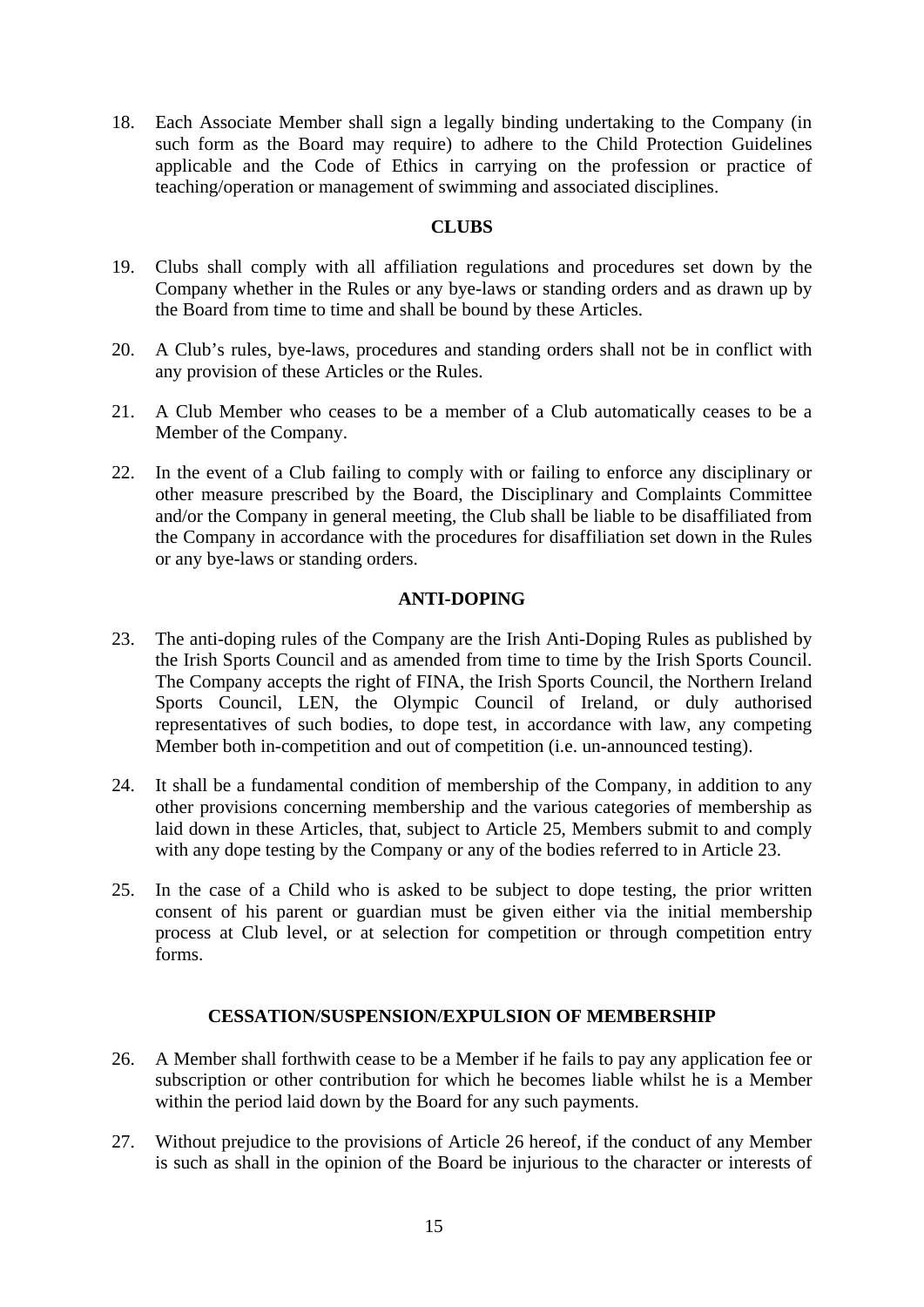18. Each Associate Member shall sign a legally binding undertaking to the Company (in such form as the Board may require) to adhere to the Child Protection Guidelines applicable and the Code of Ethics in carrying on the profession or practice of teaching/operation or management of swimming and associated disciplines.

## **CLUBS**

- 19. Clubs shall comply with all affiliation regulations and procedures set down by the Company whether in the Rules or any bye-laws or standing orders and as drawn up by the Board from time to time and shall be bound by these Articles.
- 20. A Club's rules, bye-laws, procedures and standing orders shall not be in conflict with any provision of these Articles or the Rules.
- 21. A Club Member who ceases to be a member of a Club automatically ceases to be a Member of the Company.
- 22. In the event of a Club failing to comply with or failing to enforce any disciplinary or other measure prescribed by the Board, the Disciplinary and Complaints Committee and/or the Company in general meeting, the Club shall be liable to be disaffiliated from the Company in accordance with the procedures for disaffiliation set down in the Rules or any bye-laws or standing orders.

## **ANTI-DOPING**

- 23. The anti-doping rules of the Company are the Irish Anti-Doping Rules as published by the Irish Sports Council and as amended from time to time by the Irish Sports Council. The Company accepts the right of FINA, the Irish Sports Council, the Northern Ireland Sports Council, LEN, the Olympic Council of Ireland, or duly authorised representatives of such bodies, to dope test, in accordance with law, any competing Member both in-competition and out of competition (i.e. un-announced testing).
- 24. It shall be a fundamental condition of membership of the Company, in addition to any other provisions concerning membership and the various categories of membership as laid down in these Articles, that, subject to Article 25, Members submit to and comply with any dope testing by the Company or any of the bodies referred to in Article 23.
- 25. In the case of a Child who is asked to be subject to dope testing, the prior written consent of his parent or guardian must be given either via the initial membership process at Club level, or at selection for competition or through competition entry forms.

## **CESSATION/SUSPENSION/EXPULSION OF MEMBERSHIP**

- 26. A Member shall forthwith cease to be a Member if he fails to pay any application fee or subscription or other contribution for which he becomes liable whilst he is a Member within the period laid down by the Board for any such payments.
- 27. Without prejudice to the provisions of Article 26 hereof, if the conduct of any Member is such as shall in the opinion of the Board be injurious to the character or interests of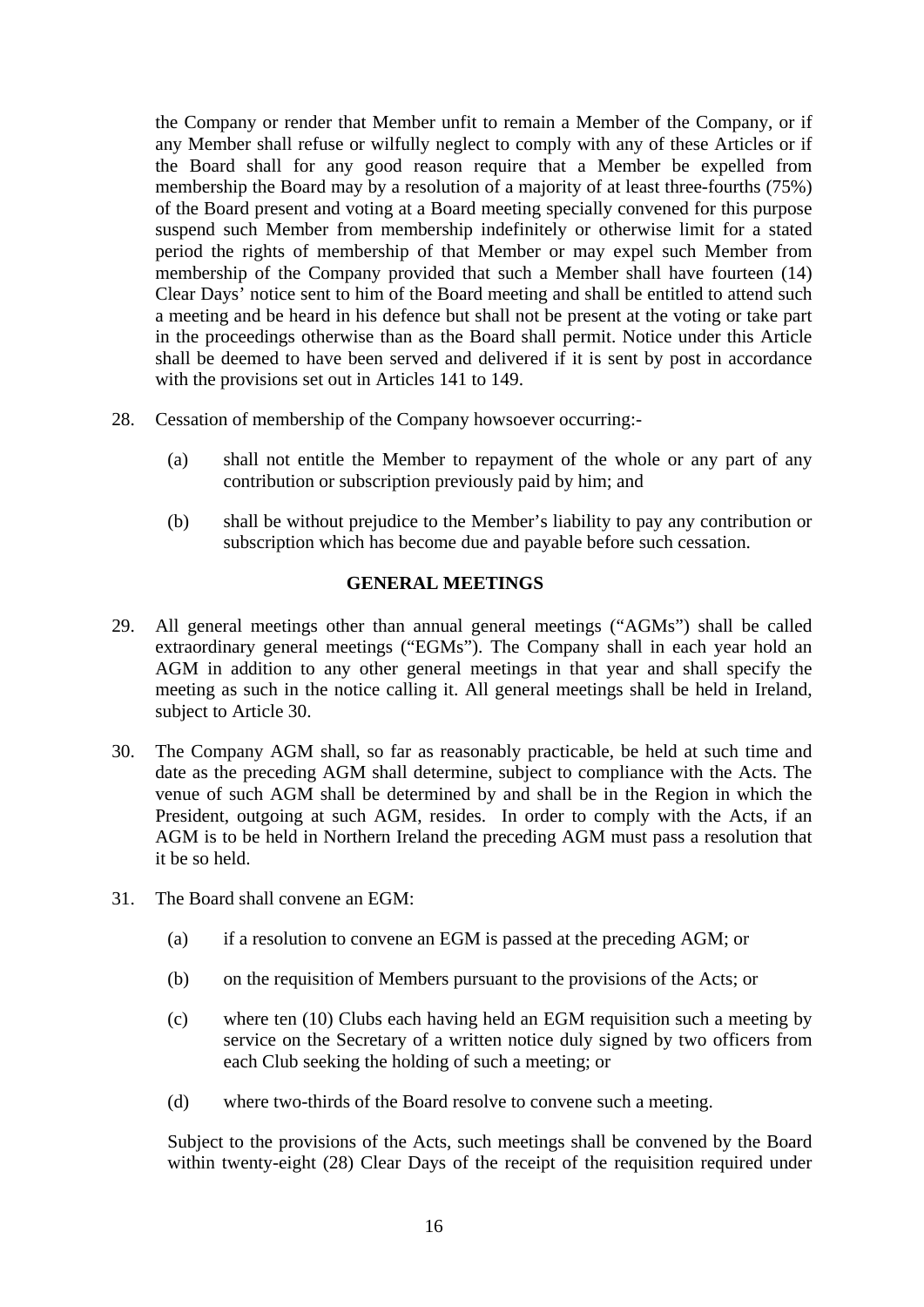the Company or render that Member unfit to remain a Member of the Company, or if any Member shall refuse or wilfully neglect to comply with any of these Articles or if the Board shall for any good reason require that a Member be expelled from membership the Board may by a resolution of a majority of at least three-fourths (75%) of the Board present and voting at a Board meeting specially convened for this purpose suspend such Member from membership indefinitely or otherwise limit for a stated period the rights of membership of that Member or may expel such Member from membership of the Company provided that such a Member shall have fourteen (14) Clear Days' notice sent to him of the Board meeting and shall be entitled to attend such a meeting and be heard in his defence but shall not be present at the voting or take part in the proceedings otherwise than as the Board shall permit. Notice under this Article shall be deemed to have been served and delivered if it is sent by post in accordance with the provisions set out in Articles 141 to 149.

- 28. Cessation of membership of the Company howsoever occurring:-
	- (a) shall not entitle the Member to repayment of the whole or any part of any contribution or subscription previously paid by him; and
	- (b) shall be without prejudice to the Member's liability to pay any contribution or subscription which has become due and payable before such cessation.

## **GENERAL MEETINGS**

- 29. All general meetings other than annual general meetings ("AGMs") shall be called extraordinary general meetings ("EGMs"). The Company shall in each year hold an AGM in addition to any other general meetings in that year and shall specify the meeting as such in the notice calling it. All general meetings shall be held in Ireland, subject to Article 30.
- 30. The Company AGM shall, so far as reasonably practicable, be held at such time and date as the preceding AGM shall determine, subject to compliance with the Acts. The venue of such AGM shall be determined by and shall be in the Region in which the President, outgoing at such AGM, resides. In order to comply with the Acts, if an AGM is to be held in Northern Ireland the preceding AGM must pass a resolution that it be so held.
- 31. The Board shall convene an EGM:
	- (a) if a resolution to convene an EGM is passed at the preceding AGM; or
	- (b) on the requisition of Members pursuant to the provisions of the Acts; or
	- (c) where ten (10) Clubs each having held an EGM requisition such a meeting by service on the Secretary of a written notice duly signed by two officers from each Club seeking the holding of such a meeting; or
	- (d) where two-thirds of the Board resolve to convene such a meeting.

Subject to the provisions of the Acts, such meetings shall be convened by the Board within twenty-eight (28) Clear Days of the receipt of the requisition required under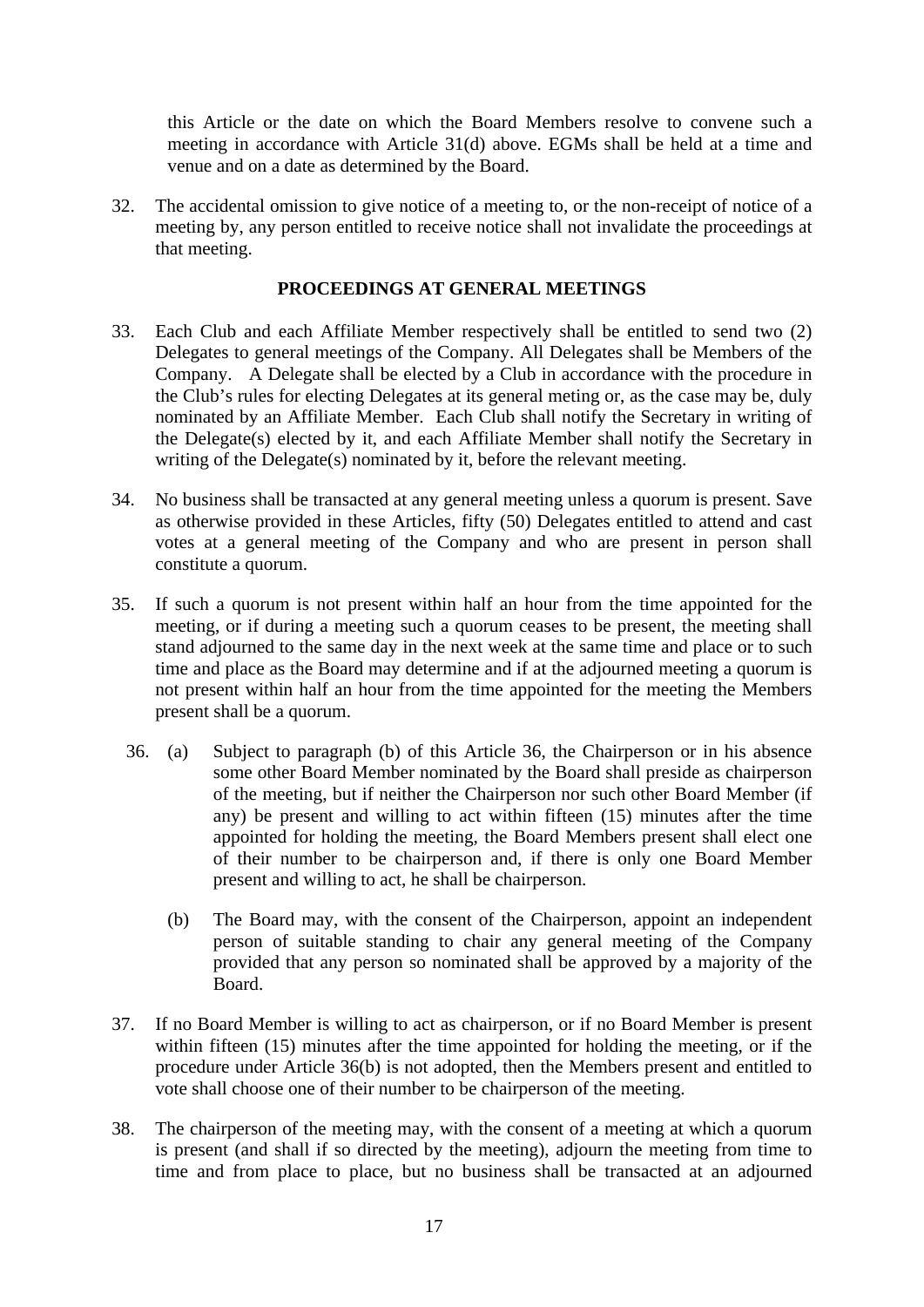this Article or the date on which the Board Members resolve to convene such a meeting in accordance with Article 31(d) above. EGMs shall be held at a time and venue and on a date as determined by the Board.

32. The accidental omission to give notice of a meeting to, or the non-receipt of notice of a meeting by, any person entitled to receive notice shall not invalidate the proceedings at that meeting.

## **PROCEEDINGS AT GENERAL MEETINGS**

- 33. Each Club and each Affiliate Member respectively shall be entitled to send two (2) Delegates to general meetings of the Company. All Delegates shall be Members of the Company. A Delegate shall be elected by a Club in accordance with the procedure in the Club's rules for electing Delegates at its general meting or, as the case may be, duly nominated by an Affiliate Member. Each Club shall notify the Secretary in writing of the Delegate(s) elected by it, and each Affiliate Member shall notify the Secretary in writing of the Delegate(s) nominated by it, before the relevant meeting.
- 34. No business shall be transacted at any general meeting unless a quorum is present. Save as otherwise provided in these Articles, fifty (50) Delegates entitled to attend and cast votes at a general meeting of the Company and who are present in person shall constitute a quorum.
- 35. If such a quorum is not present within half an hour from the time appointed for the meeting, or if during a meeting such a quorum ceases to be present, the meeting shall stand adjourned to the same day in the next week at the same time and place or to such time and place as the Board may determine and if at the adjourned meeting a quorum is not present within half an hour from the time appointed for the meeting the Members present shall be a quorum.
	- 36. (a) Subject to paragraph (b) of this Article 36, the Chairperson or in his absence some other Board Member nominated by the Board shall preside as chairperson of the meeting, but if neither the Chairperson nor such other Board Member (if any) be present and willing to act within fifteen (15) minutes after the time appointed for holding the meeting, the Board Members present shall elect one of their number to be chairperson and, if there is only one Board Member present and willing to act, he shall be chairperson.
		- (b) The Board may, with the consent of the Chairperson, appoint an independent person of suitable standing to chair any general meeting of the Company provided that any person so nominated shall be approved by a majority of the Board.
- 37. If no Board Member is willing to act as chairperson, or if no Board Member is present within fifteen (15) minutes after the time appointed for holding the meeting, or if the procedure under Article 36(b) is not adopted, then the Members present and entitled to vote shall choose one of their number to be chairperson of the meeting.
- 38. The chairperson of the meeting may, with the consent of a meeting at which a quorum is present (and shall if so directed by the meeting), adjourn the meeting from time to time and from place to place, but no business shall be transacted at an adjourned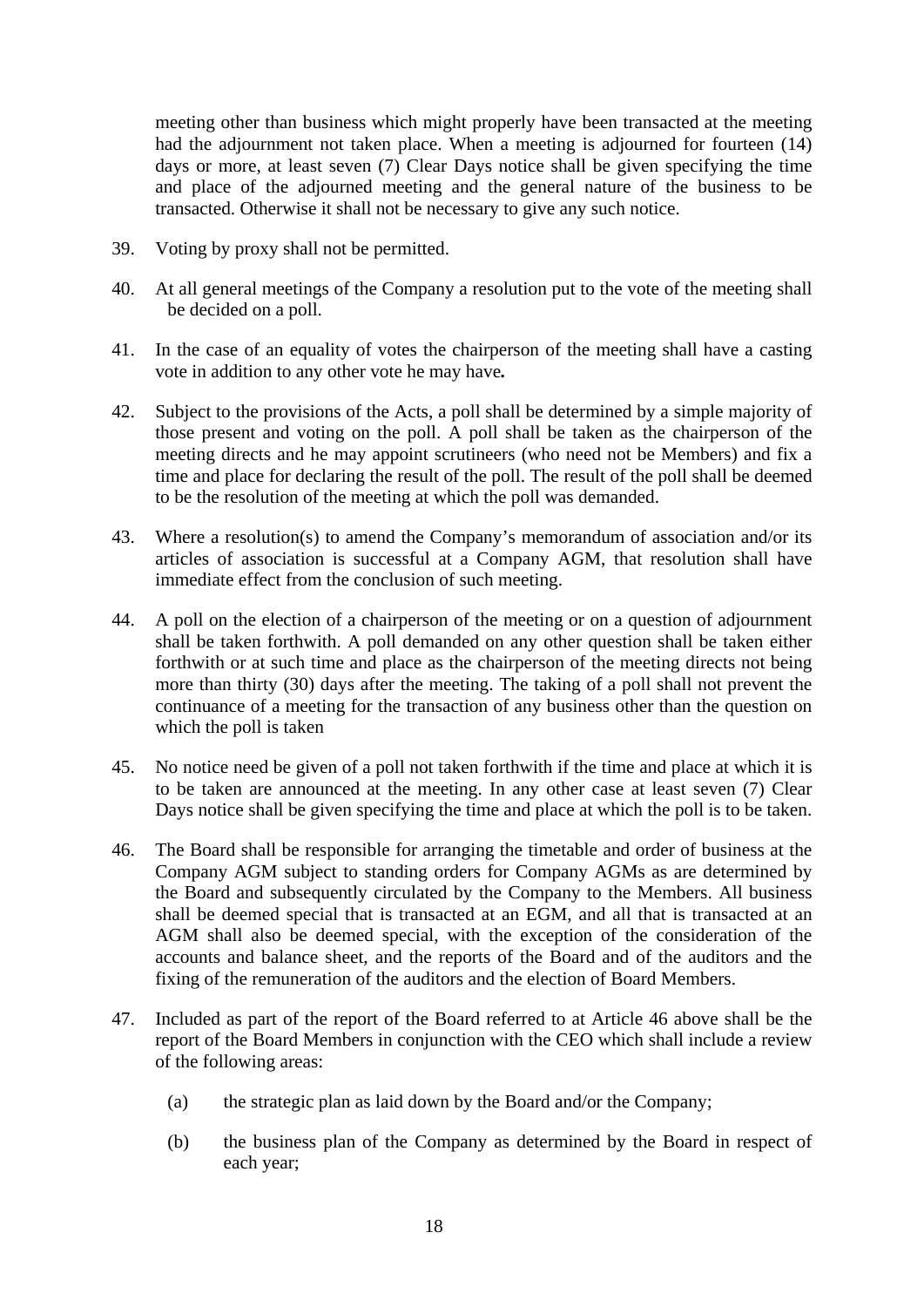meeting other than business which might properly have been transacted at the meeting had the adjournment not taken place. When a meeting is adjourned for fourteen (14) days or more, at least seven (7) Clear Days notice shall be given specifying the time and place of the adjourned meeting and the general nature of the business to be transacted. Otherwise it shall not be necessary to give any such notice.

- 39. Voting by proxy shall not be permitted.
- 40. At all general meetings of the Company a resolution put to the vote of the meeting shall be decided on a poll.
- 41. In the case of an equality of votes the chairperson of the meeting shall have a casting vote in addition to any other vote he may have*.*
- 42. Subject to the provisions of the Acts, a poll shall be determined by a simple majority of those present and voting on the poll. A poll shall be taken as the chairperson of the meeting directs and he may appoint scrutineers (who need not be Members) and fix a time and place for declaring the result of the poll. The result of the poll shall be deemed to be the resolution of the meeting at which the poll was demanded.
- 43. Where a resolution(s) to amend the Company's memorandum of association and/or its articles of association is successful at a Company AGM, that resolution shall have immediate effect from the conclusion of such meeting.
- 44. A poll on the election of a chairperson of the meeting or on a question of adjournment shall be taken forthwith. A poll demanded on any other question shall be taken either forthwith or at such time and place as the chairperson of the meeting directs not being more than thirty (30) days after the meeting. The taking of a poll shall not prevent the continuance of a meeting for the transaction of any business other than the question on which the poll is taken
- 45. No notice need be given of a poll not taken forthwith if the time and place at which it is to be taken are announced at the meeting. In any other case at least seven (7) Clear Days notice shall be given specifying the time and place at which the poll is to be taken.
- 46. The Board shall be responsible for arranging the timetable and order of business at the Company AGM subject to standing orders for Company AGMs as are determined by the Board and subsequently circulated by the Company to the Members. All business shall be deemed special that is transacted at an EGM, and all that is transacted at an AGM shall also be deemed special, with the exception of the consideration of the accounts and balance sheet, and the reports of the Board and of the auditors and the fixing of the remuneration of the auditors and the election of Board Members.
- 47. Included as part of the report of the Board referred to at Article 46 above shall be the report of the Board Members in conjunction with the CEO which shall include a review of the following areas:
	- (a) the strategic plan as laid down by the Board and/or the Company;
	- (b) the business plan of the Company as determined by the Board in respect of each year;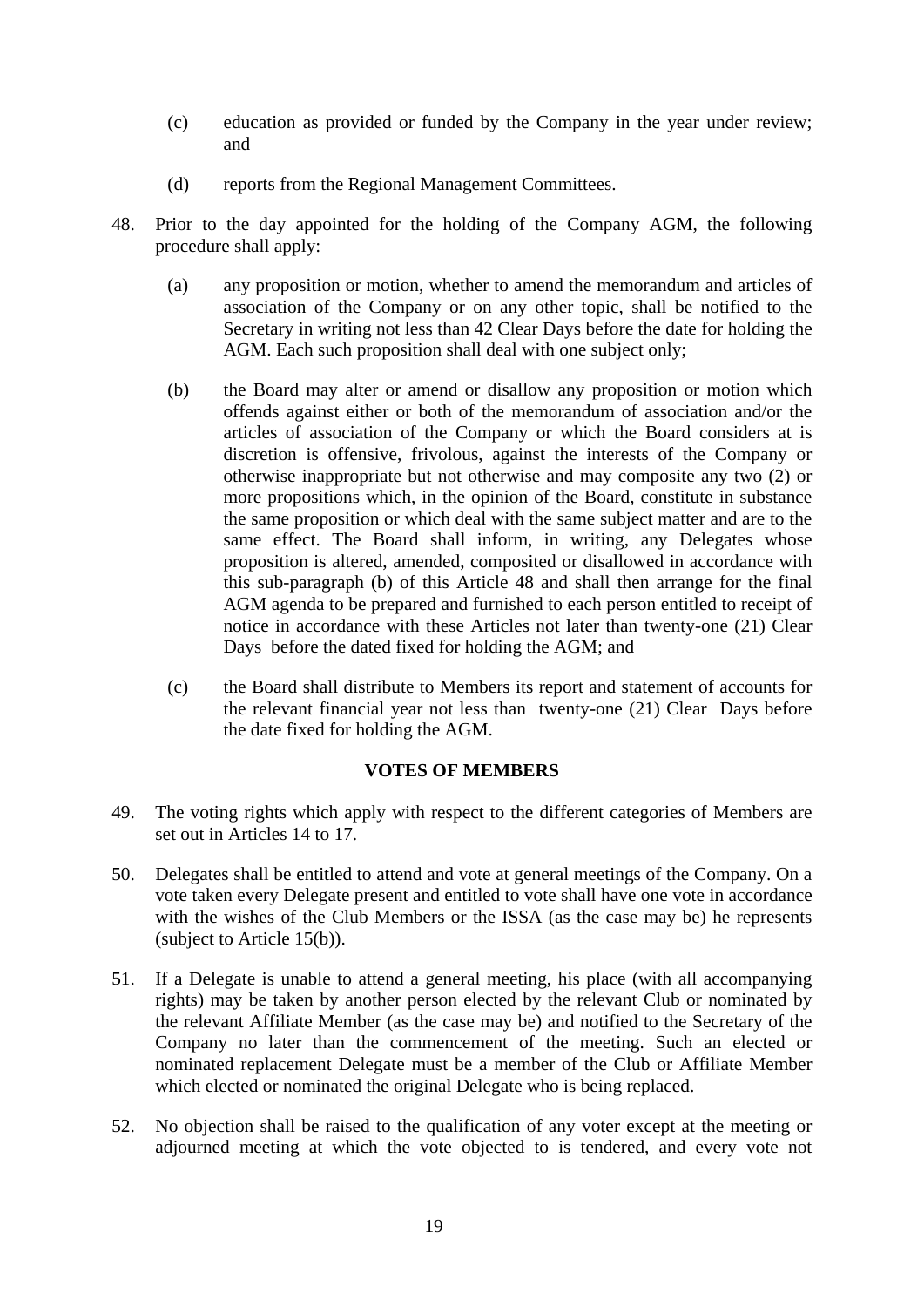- (c) education as provided or funded by the Company in the year under review; and
- (d) reports from the Regional Management Committees.
- 48. Prior to the day appointed for the holding of the Company AGM, the following procedure shall apply:
	- (a) any proposition or motion, whether to amend the memorandum and articles of association of the Company or on any other topic, shall be notified to the Secretary in writing not less than 42 Clear Days before the date for holding the AGM. Each such proposition shall deal with one subject only;
	- (b) the Board may alter or amend or disallow any proposition or motion which offends against either or both of the memorandum of association and/or the articles of association of the Company or which the Board considers at is discretion is offensive, frivolous, against the interests of the Company or otherwise inappropriate but not otherwise and may composite any two (2) or more propositions which, in the opinion of the Board, constitute in substance the same proposition or which deal with the same subject matter and are to the same effect. The Board shall inform, in writing, any Delegates whose proposition is altered, amended, composited or disallowed in accordance with this sub-paragraph (b) of this Article 48 and shall then arrange for the final AGM agenda to be prepared and furnished to each person entitled to receipt of notice in accordance with these Articles not later than twenty-one (21) Clear Days before the dated fixed for holding the AGM; and
	- (c) the Board shall distribute to Members its report and statement of accounts for the relevant financial year not less than twenty-one (21) Clear Days before the date fixed for holding the AGM.

## **VOTES OF MEMBERS**

- 49. The voting rights which apply with respect to the different categories of Members are set out in Articles 14 to 17.
- 50. Delegates shall be entitled to attend and vote at general meetings of the Company. On a vote taken every Delegate present and entitled to vote shall have one vote in accordance with the wishes of the Club Members or the ISSA (as the case may be) he represents (subject to Article 15(b)).
- 51. If a Delegate is unable to attend a general meeting, his place (with all accompanying rights) may be taken by another person elected by the relevant Club or nominated by the relevant Affiliate Member (as the case may be) and notified to the Secretary of the Company no later than the commencement of the meeting. Such an elected or nominated replacement Delegate must be a member of the Club or Affiliate Member which elected or nominated the original Delegate who is being replaced.
- 52. No objection shall be raised to the qualification of any voter except at the meeting or adjourned meeting at which the vote objected to is tendered, and every vote not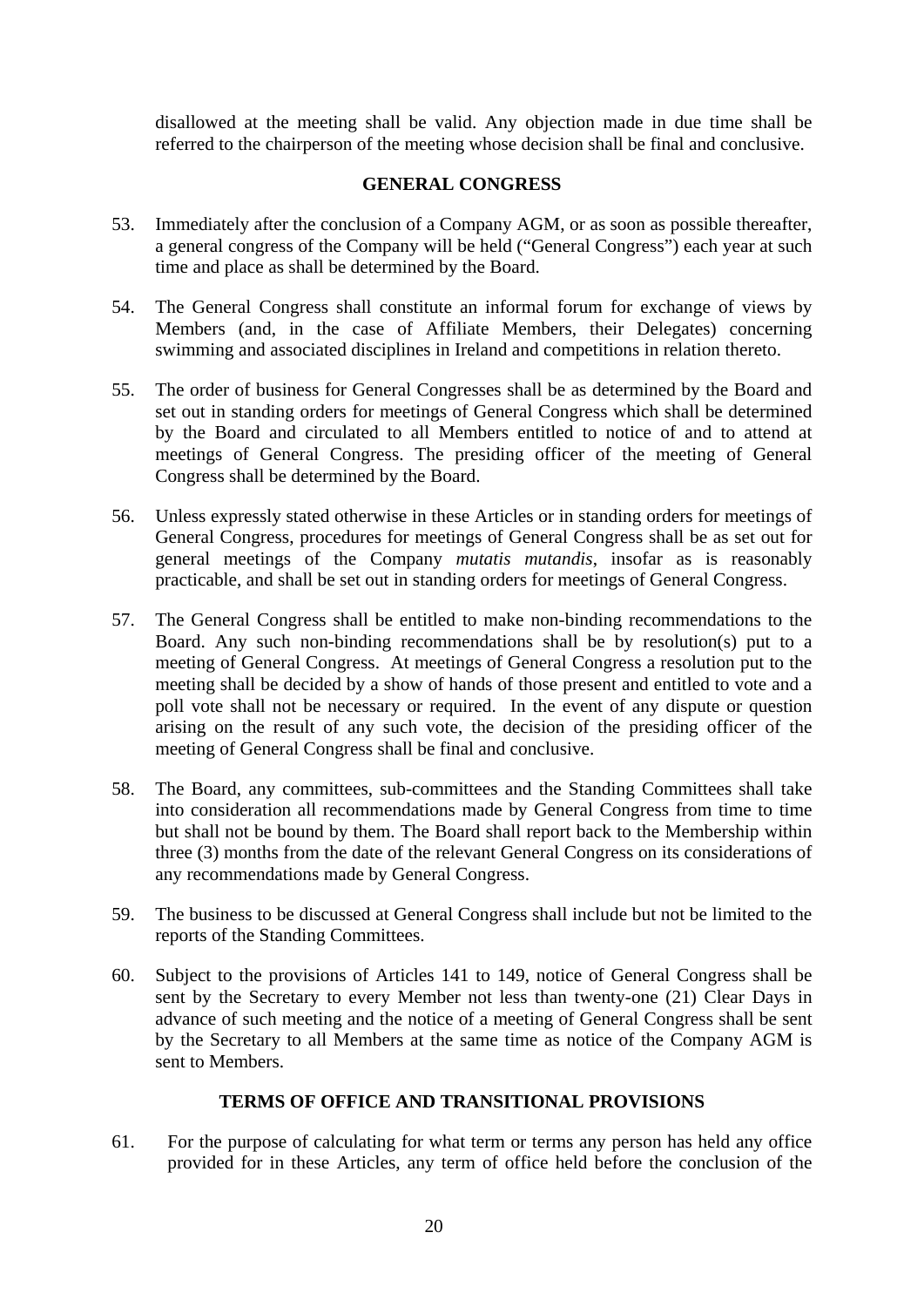disallowed at the meeting shall be valid. Any objection made in due time shall be referred to the chairperson of the meeting whose decision shall be final and conclusive.

## **GENERAL CONGRESS**

- 53. Immediately after the conclusion of a Company AGM, or as soon as possible thereafter, a general congress of the Company will be held ("General Congress") each year at such time and place as shall be determined by the Board.
- 54. The General Congress shall constitute an informal forum for exchange of views by Members (and, in the case of Affiliate Members, their Delegates) concerning swimming and associated disciplines in Ireland and competitions in relation thereto.
- 55. The order of business for General Congresses shall be as determined by the Board and set out in standing orders for meetings of General Congress which shall be determined by the Board and circulated to all Members entitled to notice of and to attend at meetings of General Congress. The presiding officer of the meeting of General Congress shall be determined by the Board.
- 56. Unless expressly stated otherwise in these Articles or in standing orders for meetings of General Congress, procedures for meetings of General Congress shall be as set out for general meetings of the Company *mutatis mutandis*, insofar as is reasonably practicable, and shall be set out in standing orders for meetings of General Congress.
- 57. The General Congress shall be entitled to make non-binding recommendations to the Board. Any such non-binding recommendations shall be by resolution(s) put to a meeting of General Congress. At meetings of General Congress a resolution put to the meeting shall be decided by a show of hands of those present and entitled to vote and a poll vote shall not be necessary or required. In the event of any dispute or question arising on the result of any such vote, the decision of the presiding officer of the meeting of General Congress shall be final and conclusive.
- 58. The Board, any committees, sub-committees and the Standing Committees shall take into consideration all recommendations made by General Congress from time to time but shall not be bound by them. The Board shall report back to the Membership within three (3) months from the date of the relevant General Congress on its considerations of any recommendations made by General Congress.
- 59. The business to be discussed at General Congress shall include but not be limited to the reports of the Standing Committees.
- 60. Subject to the provisions of Articles 141 to 149, notice of General Congress shall be sent by the Secretary to every Member not less than twenty-one (21) Clear Days in advance of such meeting and the notice of a meeting of General Congress shall be sent by the Secretary to all Members at the same time as notice of the Company AGM is sent to Members.

## **TERMS OF OFFICE AND TRANSITIONAL PROVISIONS**

61. For the purpose of calculating for what term or terms any person has held any office provided for in these Articles, any term of office held before the conclusion of the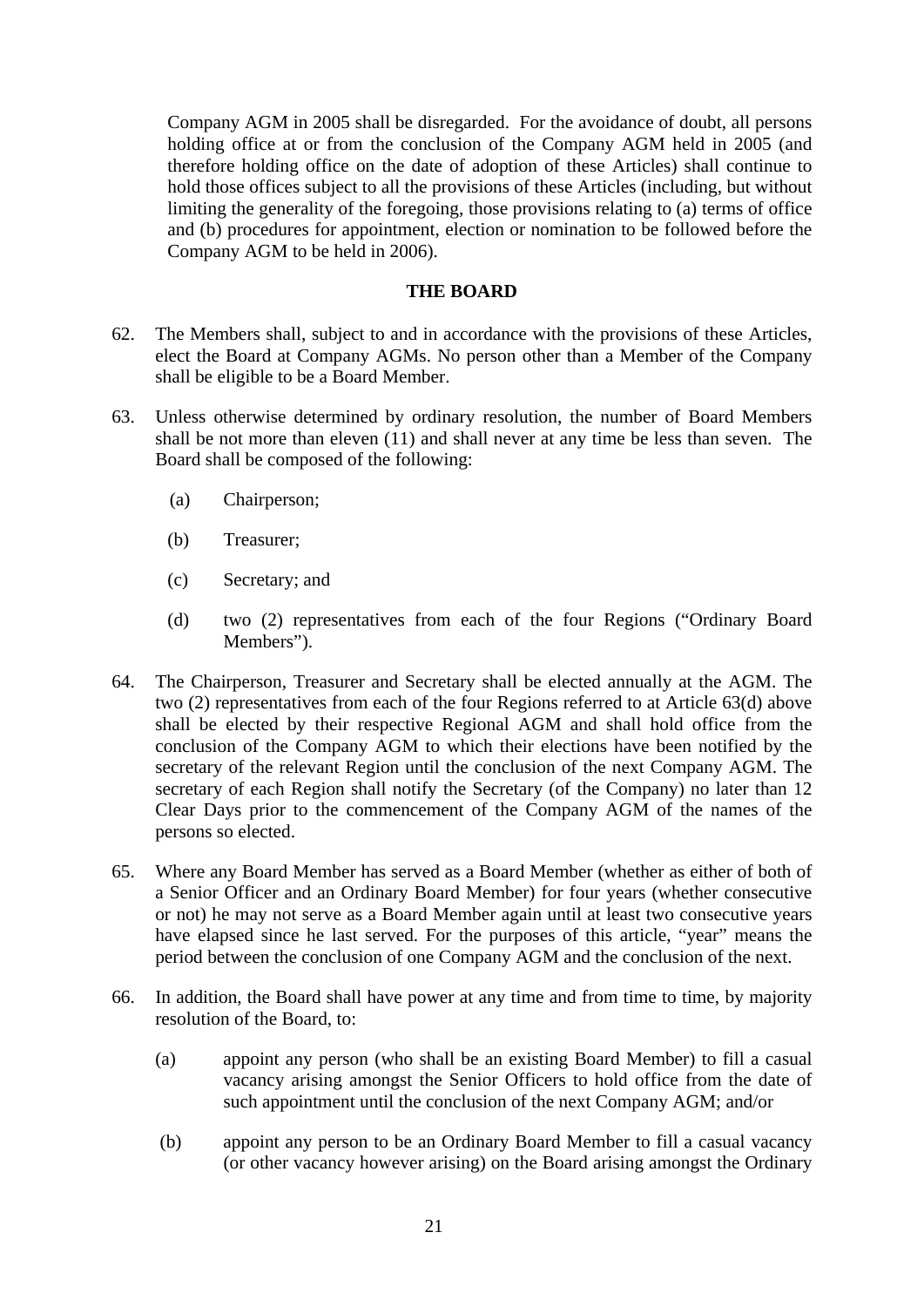Company AGM in 2005 shall be disregarded. For the avoidance of doubt, all persons holding office at or from the conclusion of the Company AGM held in 2005 (and therefore holding office on the date of adoption of these Articles) shall continue to hold those offices subject to all the provisions of these Articles (including, but without limiting the generality of the foregoing, those provisions relating to (a) terms of office and (b) procedures for appointment, election or nomination to be followed before the Company AGM to be held in 2006).

### **THE BOARD**

- 62. The Members shall, subject to and in accordance with the provisions of these Articles, elect the Board at Company AGMs. No person other than a Member of the Company shall be eligible to be a Board Member.
- 63. Unless otherwise determined by ordinary resolution, the number of Board Members shall be not more than eleven (11) and shall never at any time be less than seven. The Board shall be composed of the following:
	- (a) Chairperson;
	- (b) Treasurer;
	- (c) Secretary; and
	- (d) two (2) representatives from each of the four Regions ("Ordinary Board Members").
- 64. The Chairperson, Treasurer and Secretary shall be elected annually at the AGM. The two (2) representatives from each of the four Regions referred to at Article 63(d) above shall be elected by their respective Regional AGM and shall hold office from the conclusion of the Company AGM to which their elections have been notified by the secretary of the relevant Region until the conclusion of the next Company AGM. The secretary of each Region shall notify the Secretary (of the Company) no later than 12 Clear Days prior to the commencement of the Company AGM of the names of the persons so elected.
- 65. Where any Board Member has served as a Board Member (whether as either of both of a Senior Officer and an Ordinary Board Member) for four years (whether consecutive or not) he may not serve as a Board Member again until at least two consecutive years have elapsed since he last served. For the purposes of this article, "year" means the period between the conclusion of one Company AGM and the conclusion of the next.
- 66. In addition, the Board shall have power at any time and from time to time, by majority resolution of the Board, to:
	- (a) appoint any person (who shall be an existing Board Member) to fill a casual vacancy arising amongst the Senior Officers to hold office from the date of such appointment until the conclusion of the next Company AGM; and/or
	- (b) appoint any person to be an Ordinary Board Member to fill a casual vacancy (or other vacancy however arising) on the Board arising amongst the Ordinary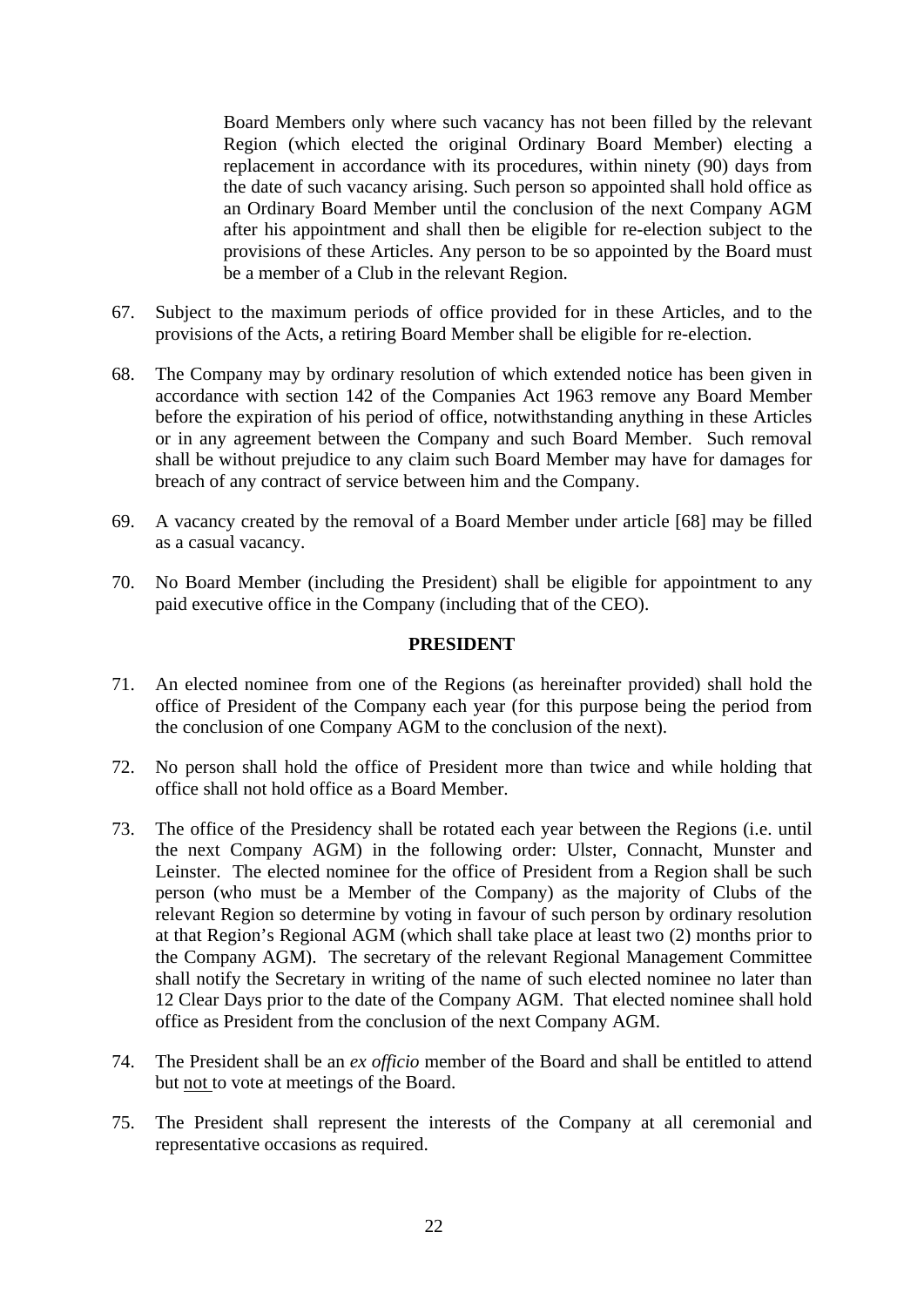Board Members only where such vacancy has not been filled by the relevant Region (which elected the original Ordinary Board Member) electing a replacement in accordance with its procedures, within ninety (90) days from the date of such vacancy arising. Such person so appointed shall hold office as an Ordinary Board Member until the conclusion of the next Company AGM after his appointment and shall then be eligible for re-election subject to the provisions of these Articles. Any person to be so appointed by the Board must be a member of a Club in the relevant Region.

- 67. Subject to the maximum periods of office provided for in these Articles, and to the provisions of the Acts, a retiring Board Member shall be eligible for re-election.
- 68. The Company may by ordinary resolution of which extended notice has been given in accordance with section 142 of the Companies Act 1963 remove any Board Member before the expiration of his period of office, notwithstanding anything in these Articles or in any agreement between the Company and such Board Member. Such removal shall be without prejudice to any claim such Board Member may have for damages for breach of any contract of service between him and the Company.
- 69. A vacancy created by the removal of a Board Member under article [68] may be filled as a casual vacancy.
- 70. No Board Member (including the President) shall be eligible for appointment to any paid executive office in the Company (including that of the CEO).

#### **PRESIDENT**

- 71. An elected nominee from one of the Regions (as hereinafter provided) shall hold the office of President of the Company each year (for this purpose being the period from the conclusion of one Company AGM to the conclusion of the next).
- 72. No person shall hold the office of President more than twice and while holding that office shall not hold office as a Board Member.
- 73. The office of the Presidency shall be rotated each year between the Regions (i.e. until the next Company AGM) in the following order: Ulster, Connacht, Munster and Leinster. The elected nominee for the office of President from a Region shall be such person (who must be a Member of the Company) as the majority of Clubs of the relevant Region so determine by voting in favour of such person by ordinary resolution at that Region's Regional AGM (which shall take place at least two (2) months prior to the Company AGM). The secretary of the relevant Regional Management Committee shall notify the Secretary in writing of the name of such elected nominee no later than 12 Clear Days prior to the date of the Company AGM. That elected nominee shall hold office as President from the conclusion of the next Company AGM.
- 74. The President shall be an *ex officio* member of the Board and shall be entitled to attend but not to vote at meetings of the Board.
- 75. The President shall represent the interests of the Company at all ceremonial and representative occasions as required.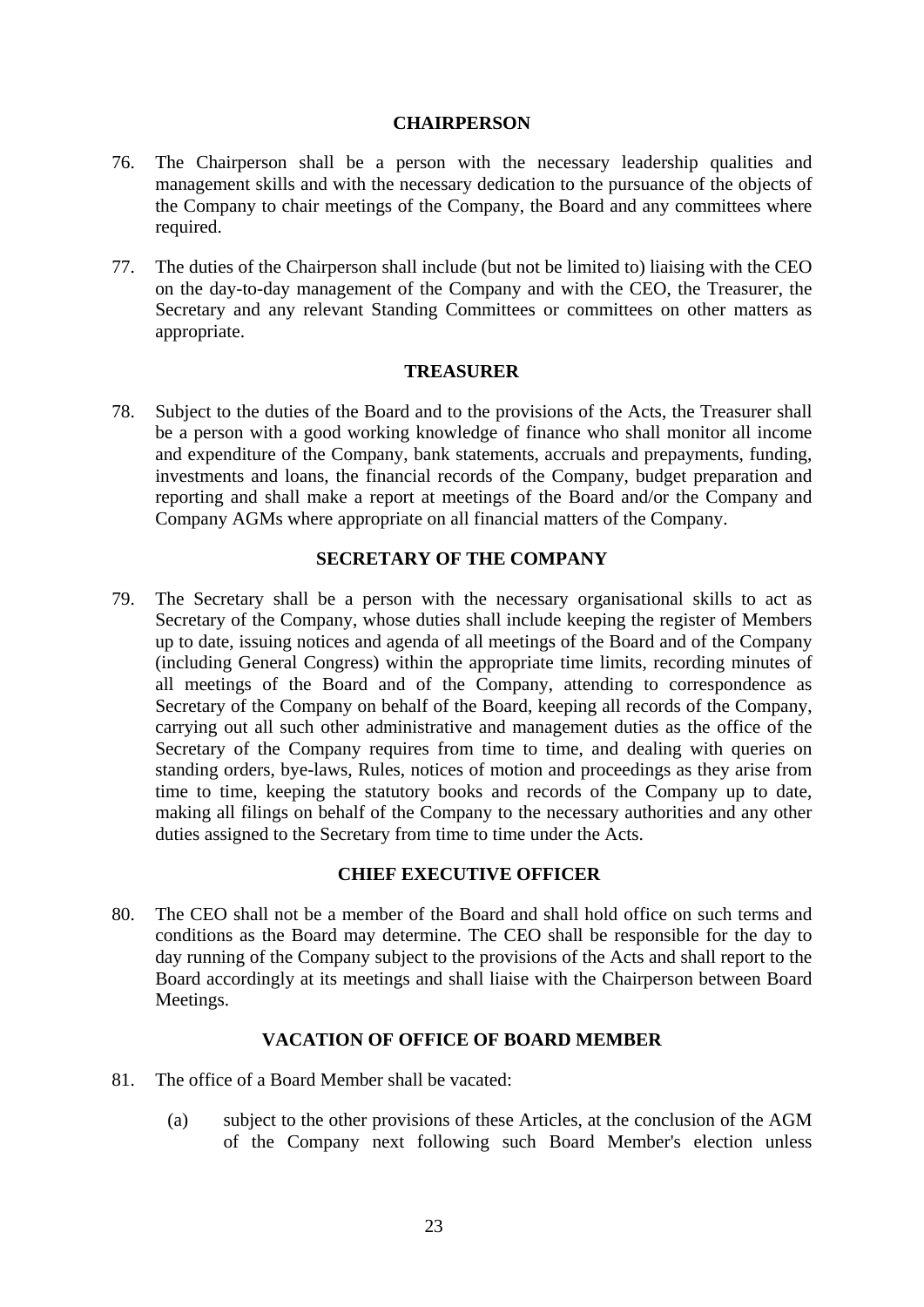#### **CHAIRPERSON**

- 76. The Chairperson shall be a person with the necessary leadership qualities and management skills and with the necessary dedication to the pursuance of the objects of the Company to chair meetings of the Company, the Board and any committees where required.
- 77. The duties of the Chairperson shall include (but not be limited to) liaising with the CEO on the day-to-day management of the Company and with the CEO, the Treasurer, the Secretary and any relevant Standing Committees or committees on other matters as appropriate.

### **TREASURER**

78. Subject to the duties of the Board and to the provisions of the Acts, the Treasurer shall be a person with a good working knowledge of finance who shall monitor all income and expenditure of the Company, bank statements, accruals and prepayments, funding, investments and loans, the financial records of the Company, budget preparation and reporting and shall make a report at meetings of the Board and/or the Company and Company AGMs where appropriate on all financial matters of the Company.

## **SECRETARY OF THE COMPANY**

79. The Secretary shall be a person with the necessary organisational skills to act as Secretary of the Company, whose duties shall include keeping the register of Members up to date, issuing notices and agenda of all meetings of the Board and of the Company (including General Congress) within the appropriate time limits, recording minutes of all meetings of the Board and of the Company, attending to correspondence as Secretary of the Company on behalf of the Board, keeping all records of the Company, carrying out all such other administrative and management duties as the office of the Secretary of the Company requires from time to time, and dealing with queries on standing orders, bye-laws, Rules, notices of motion and proceedings as they arise from time to time, keeping the statutory books and records of the Company up to date, making all filings on behalf of the Company to the necessary authorities and any other duties assigned to the Secretary from time to time under the Acts.

## **CHIEF EXECUTIVE OFFICER**

80. The CEO shall not be a member of the Board and shall hold office on such terms and conditions as the Board may determine. The CEO shall be responsible for the day to day running of the Company subject to the provisions of the Acts and shall report to the Board accordingly at its meetings and shall liaise with the Chairperson between Board Meetings.

## **VACATION OF OFFICE OF BOARD MEMBER**

- 81. The office of a Board Member shall be vacated:
	- (a) subject to the other provisions of these Articles, at the conclusion of the AGM of the Company next following such Board Member's election unless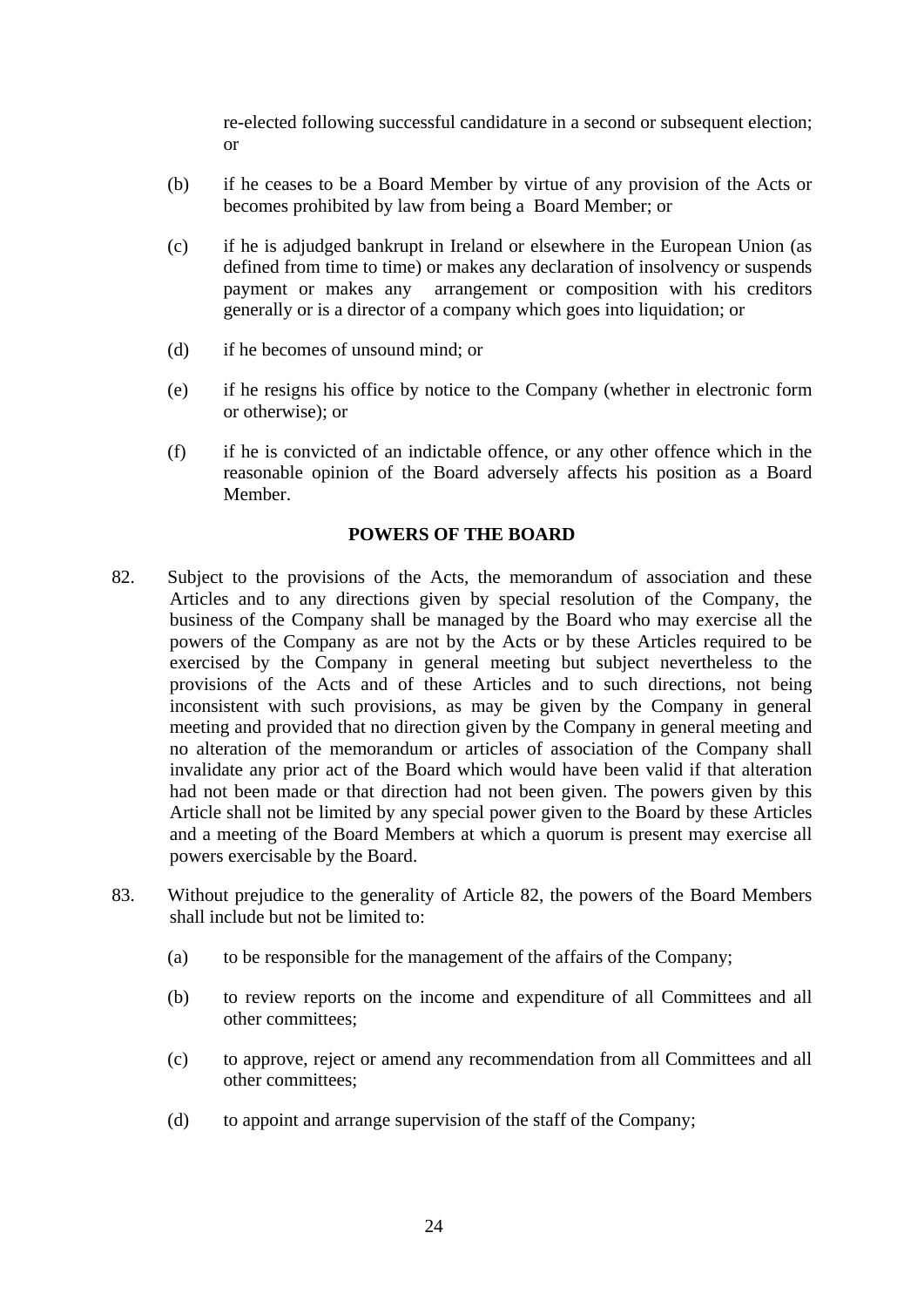re-elected following successful candidature in a second or subsequent election; or

- (b) if he ceases to be a Board Member by virtue of any provision of the Acts or becomes prohibited by law from being a Board Member; or
- (c) if he is adjudged bankrupt in Ireland or elsewhere in the European Union (as defined from time to time) or makes any declaration of insolvency or suspends payment or makes any arrangement or composition with his creditors generally or is a director of a company which goes into liquidation; or
- (d) if he becomes of unsound mind; or
- (e) if he resigns his office by notice to the Company (whether in electronic form or otherwise); or
- (f) if he is convicted of an indictable offence, or any other offence which in the reasonable opinion of the Board adversely affects his position as a Board Member.

## **POWERS OF THE BOARD**

- 82. Subject to the provisions of the Acts, the memorandum of association and these Articles and to any directions given by special resolution of the Company, the business of the Company shall be managed by the Board who may exercise all the powers of the Company as are not by the Acts or by these Articles required to be exercised by the Company in general meeting but subject nevertheless to the provisions of the Acts and of these Articles and to such directions, not being inconsistent with such provisions, as may be given by the Company in general meeting and provided that no direction given by the Company in general meeting and no alteration of the memorandum or articles of association of the Company shall invalidate any prior act of the Board which would have been valid if that alteration had not been made or that direction had not been given. The powers given by this Article shall not be limited by any special power given to the Board by these Articles and a meeting of the Board Members at which a quorum is present may exercise all powers exercisable by the Board.
- 83. Without prejudice to the generality of Article 82, the powers of the Board Members shall include but not be limited to:
	- (a) to be responsible for the management of the affairs of the Company;
	- (b) to review reports on the income and expenditure of all Committees and all other committees;
	- (c) to approve, reject or amend any recommendation from all Committees and all other committees;
	- (d) to appoint and arrange supervision of the staff of the Company;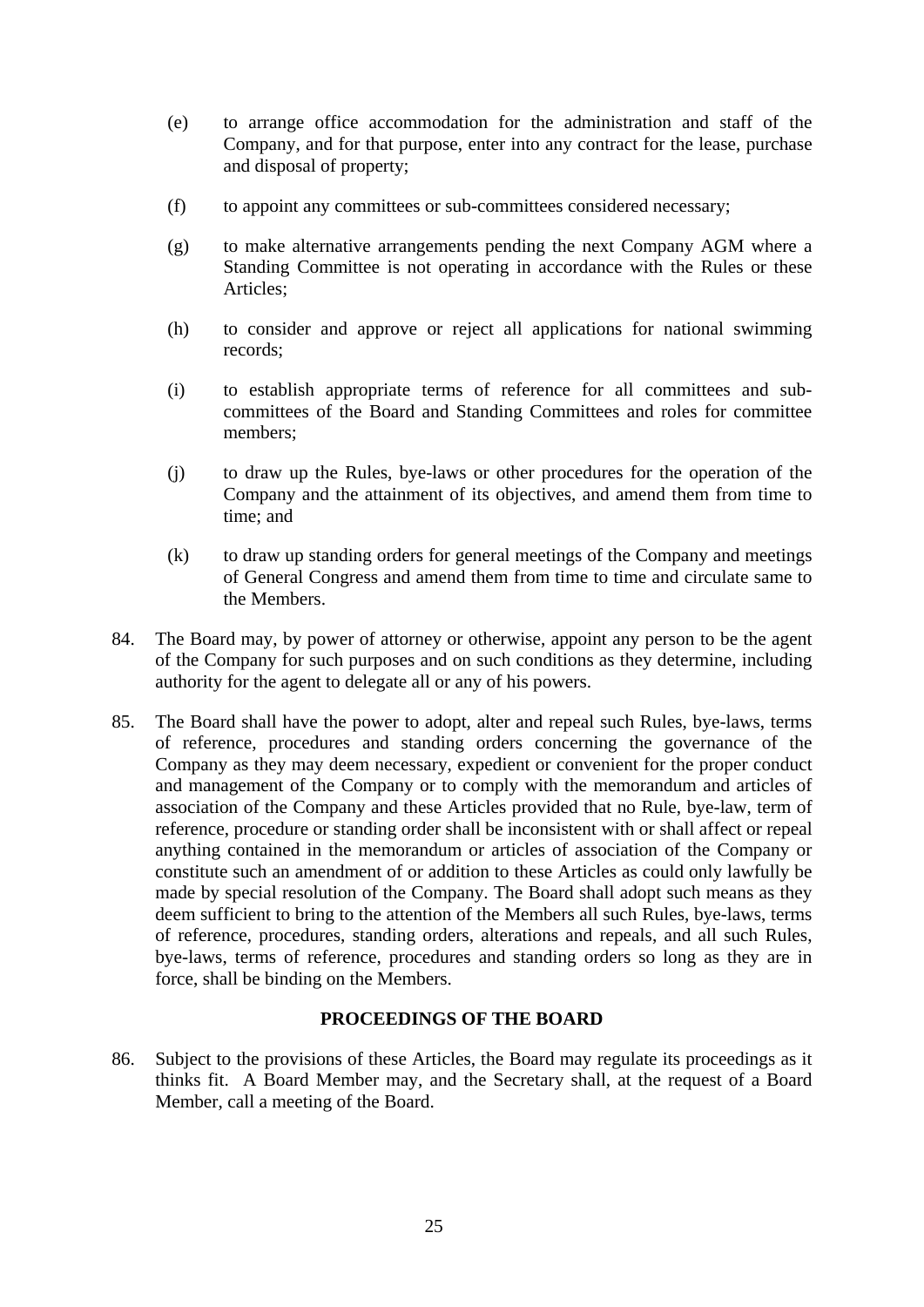- (e) to arrange office accommodation for the administration and staff of the Company, and for that purpose, enter into any contract for the lease, purchase and disposal of property;
- (f) to appoint any committees or sub-committees considered necessary;
- (g) to make alternative arrangements pending the next Company AGM where a Standing Committee is not operating in accordance with the Rules or these Articles;
- (h) to consider and approve or reject all applications for national swimming records;
- (i) to establish appropriate terms of reference for all committees and subcommittees of the Board and Standing Committees and roles for committee members;
- (j) to draw up the Rules, bye-laws or other procedures for the operation of the Company and the attainment of its objectives, and amend them from time to time; and
- (k) to draw up standing orders for general meetings of the Company and meetings of General Congress and amend them from time to time and circulate same to the Members.
- 84. The Board may, by power of attorney or otherwise, appoint any person to be the agent of the Company for such purposes and on such conditions as they determine, including authority for the agent to delegate all or any of his powers.
- 85. The Board shall have the power to adopt, alter and repeal such Rules, bye-laws, terms of reference, procedures and standing orders concerning the governance of the Company as they may deem necessary, expedient or convenient for the proper conduct and management of the Company or to comply with the memorandum and articles of association of the Company and these Articles provided that no Rule, bye-law, term of reference, procedure or standing order shall be inconsistent with or shall affect or repeal anything contained in the memorandum or articles of association of the Company or constitute such an amendment of or addition to these Articles as could only lawfully be made by special resolution of the Company. The Board shall adopt such means as they deem sufficient to bring to the attention of the Members all such Rules, bye-laws, terms of reference, procedures, standing orders, alterations and repeals, and all such Rules, bye-laws, terms of reference, procedures and standing orders so long as they are in force, shall be binding on the Members.

# **PROCEEDINGS OF THE BOARD**

86. Subject to the provisions of these Articles, the Board may regulate its proceedings as it thinks fit. A Board Member may, and the Secretary shall, at the request of a Board Member, call a meeting of the Board.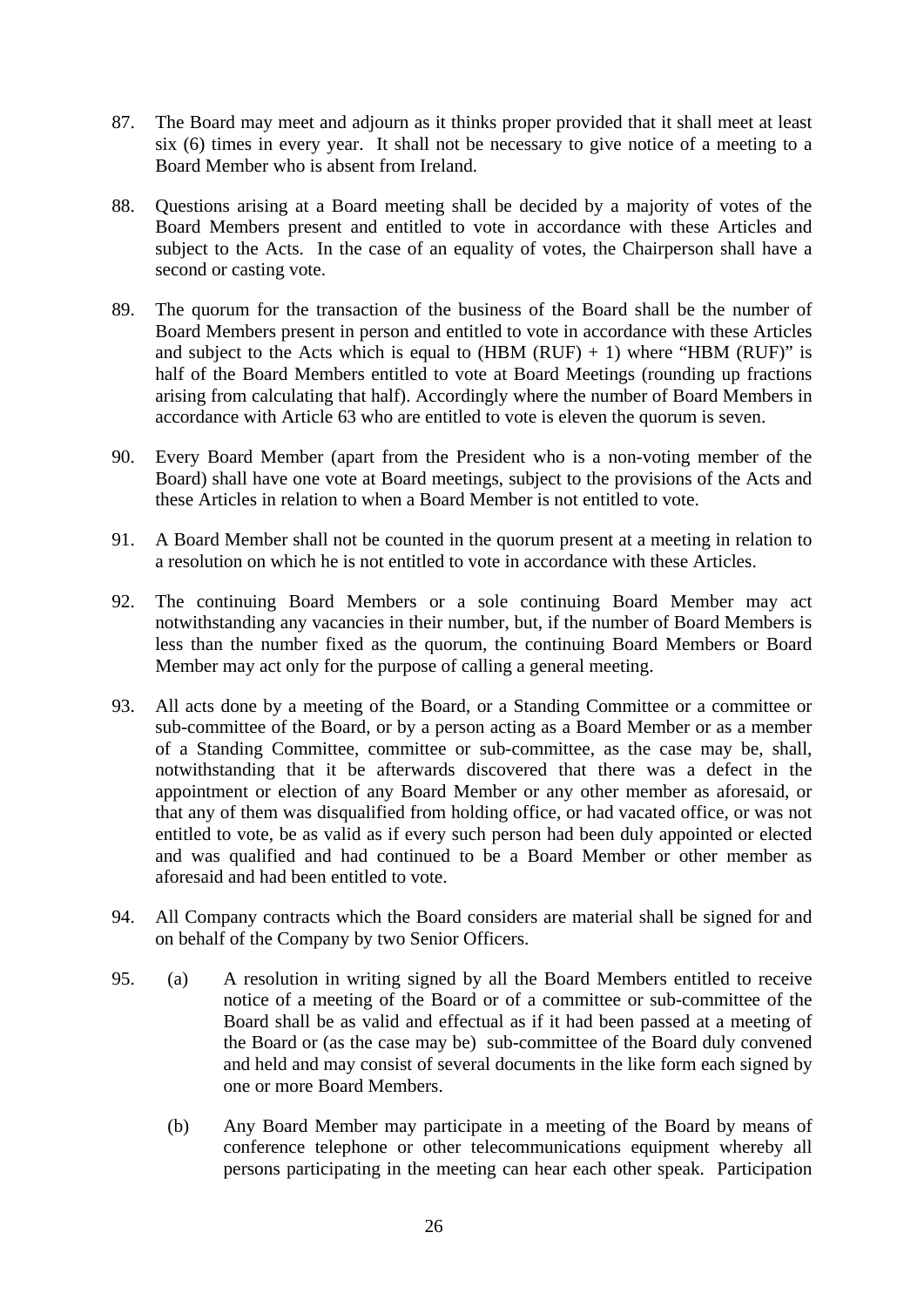- 87. The Board may meet and adjourn as it thinks proper provided that it shall meet at least six (6) times in every year. It shall not be necessary to give notice of a meeting to a Board Member who is absent from Ireland.
- 88. Questions arising at a Board meeting shall be decided by a majority of votes of the Board Members present and entitled to vote in accordance with these Articles and subject to the Acts. In the case of an equality of votes, the Chairperson shall have a second or casting vote.
- 89. The quorum for the transaction of the business of the Board shall be the number of Board Members present in person and entitled to vote in accordance with these Articles and subject to the Acts which is equal to  $(HBM (RUF) + 1)$  where "HBM  $(RUF)$ " is half of the Board Members entitled to vote at Board Meetings (rounding up fractions arising from calculating that half). Accordingly where the number of Board Members in accordance with Article 63 who are entitled to vote is eleven the quorum is seven.
- 90. Every Board Member (apart from the President who is a non-voting member of the Board) shall have one vote at Board meetings, subject to the provisions of the Acts and these Articles in relation to when a Board Member is not entitled to vote.
- 91. A Board Member shall not be counted in the quorum present at a meeting in relation to a resolution on which he is not entitled to vote in accordance with these Articles.
- 92. The continuing Board Members or a sole continuing Board Member may act notwithstanding any vacancies in their number, but, if the number of Board Members is less than the number fixed as the quorum, the continuing Board Members or Board Member may act only for the purpose of calling a general meeting.
- 93. All acts done by a meeting of the Board, or a Standing Committee or a committee or sub-committee of the Board, or by a person acting as a Board Member or as a member of a Standing Committee, committee or sub-committee, as the case may be, shall, notwithstanding that it be afterwards discovered that there was a defect in the appointment or election of any Board Member or any other member as aforesaid, or that any of them was disqualified from holding office, or had vacated office, or was not entitled to vote, be as valid as if every such person had been duly appointed or elected and was qualified and had continued to be a Board Member or other member as aforesaid and had been entitled to vote.
- 94. All Company contracts which the Board considers are material shall be signed for and on behalf of the Company by two Senior Officers.
- 95. (a) A resolution in writing signed by all the Board Members entitled to receive notice of a meeting of the Board or of a committee or sub-committee of the Board shall be as valid and effectual as if it had been passed at a meeting of the Board or (as the case may be) sub-committee of the Board duly convened and held and may consist of several documents in the like form each signed by one or more Board Members.
	- (b) Any Board Member may participate in a meeting of the Board by means of conference telephone or other telecommunications equipment whereby all persons participating in the meeting can hear each other speak. Participation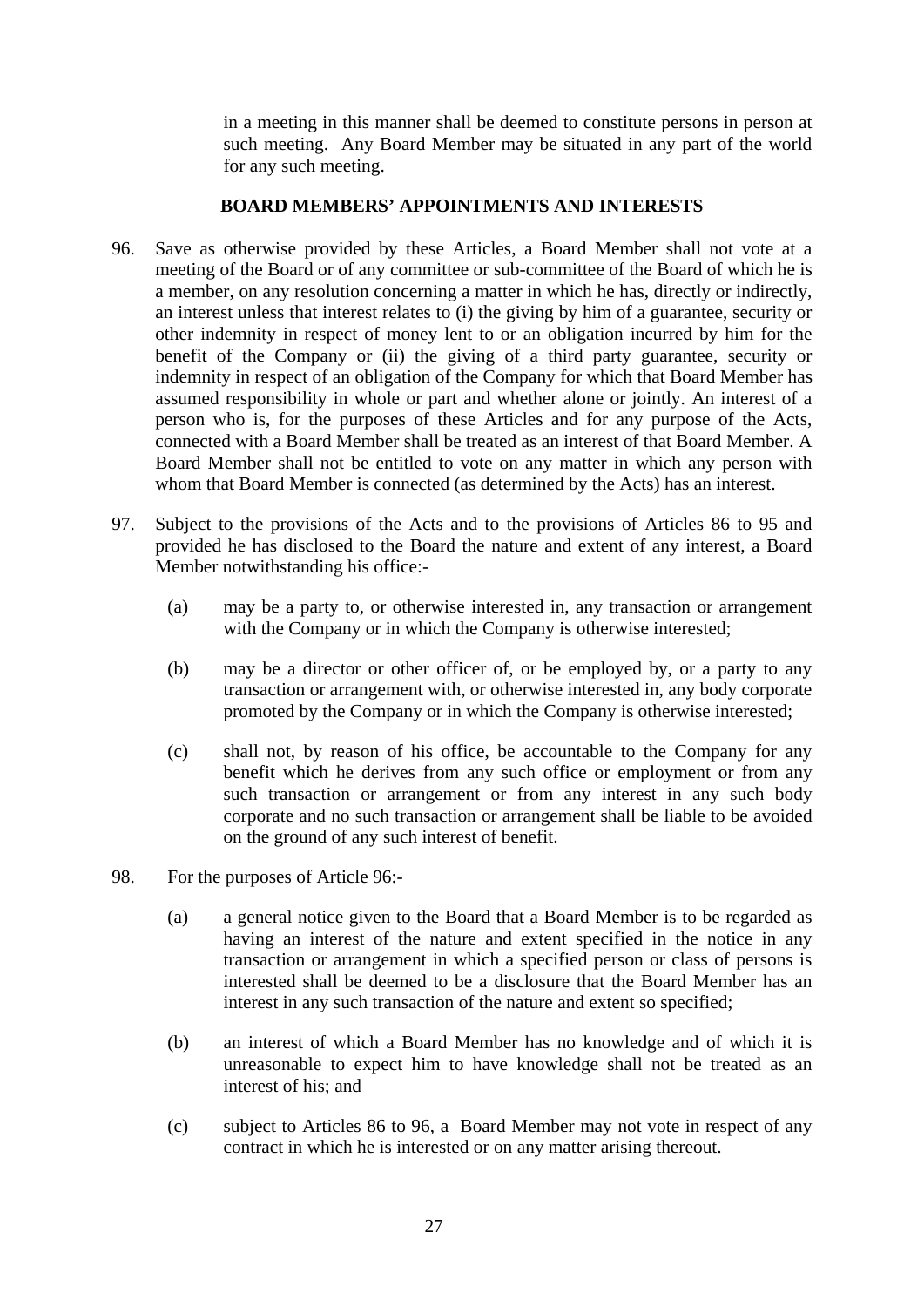in a meeting in this manner shall be deemed to constitute persons in person at such meeting. Any Board Member may be situated in any part of the world for any such meeting.

## **BOARD MEMBERS' APPOINTMENTS AND INTERESTS**

- 96. Save as otherwise provided by these Articles, a Board Member shall not vote at a meeting of the Board or of any committee or sub-committee of the Board of which he is a member, on any resolution concerning a matter in which he has, directly or indirectly, an interest unless that interest relates to (i) the giving by him of a guarantee, security or other indemnity in respect of money lent to or an obligation incurred by him for the benefit of the Company or (ii) the giving of a third party guarantee, security or indemnity in respect of an obligation of the Company for which that Board Member has assumed responsibility in whole or part and whether alone or jointly. An interest of a person who is, for the purposes of these Articles and for any purpose of the Acts, connected with a Board Member shall be treated as an interest of that Board Member. A Board Member shall not be entitled to vote on any matter in which any person with whom that Board Member is connected (as determined by the Acts) has an interest.
- 97. Subject to the provisions of the Acts and to the provisions of Articles 86 to 95 and provided he has disclosed to the Board the nature and extent of any interest, a Board Member notwithstanding his office:-
	- (a) may be a party to, or otherwise interested in, any transaction or arrangement with the Company or in which the Company is otherwise interested;
	- (b) may be a director or other officer of, or be employed by, or a party to any transaction or arrangement with, or otherwise interested in, any body corporate promoted by the Company or in which the Company is otherwise interested;
	- (c) shall not, by reason of his office, be accountable to the Company for any benefit which he derives from any such office or employment or from any such transaction or arrangement or from any interest in any such body corporate and no such transaction or arrangement shall be liable to be avoided on the ground of any such interest of benefit.
- 98. For the purposes of Article 96:-
	- (a) a general notice given to the Board that a Board Member is to be regarded as having an interest of the nature and extent specified in the notice in any transaction or arrangement in which a specified person or class of persons is interested shall be deemed to be a disclosure that the Board Member has an interest in any such transaction of the nature and extent so specified;
	- (b) an interest of which a Board Member has no knowledge and of which it is unreasonable to expect him to have knowledge shall not be treated as an interest of his; and
	- (c) subject to Articles 86 to 96, a Board Member may not vote in respect of any contract in which he is interested or on any matter arising thereout.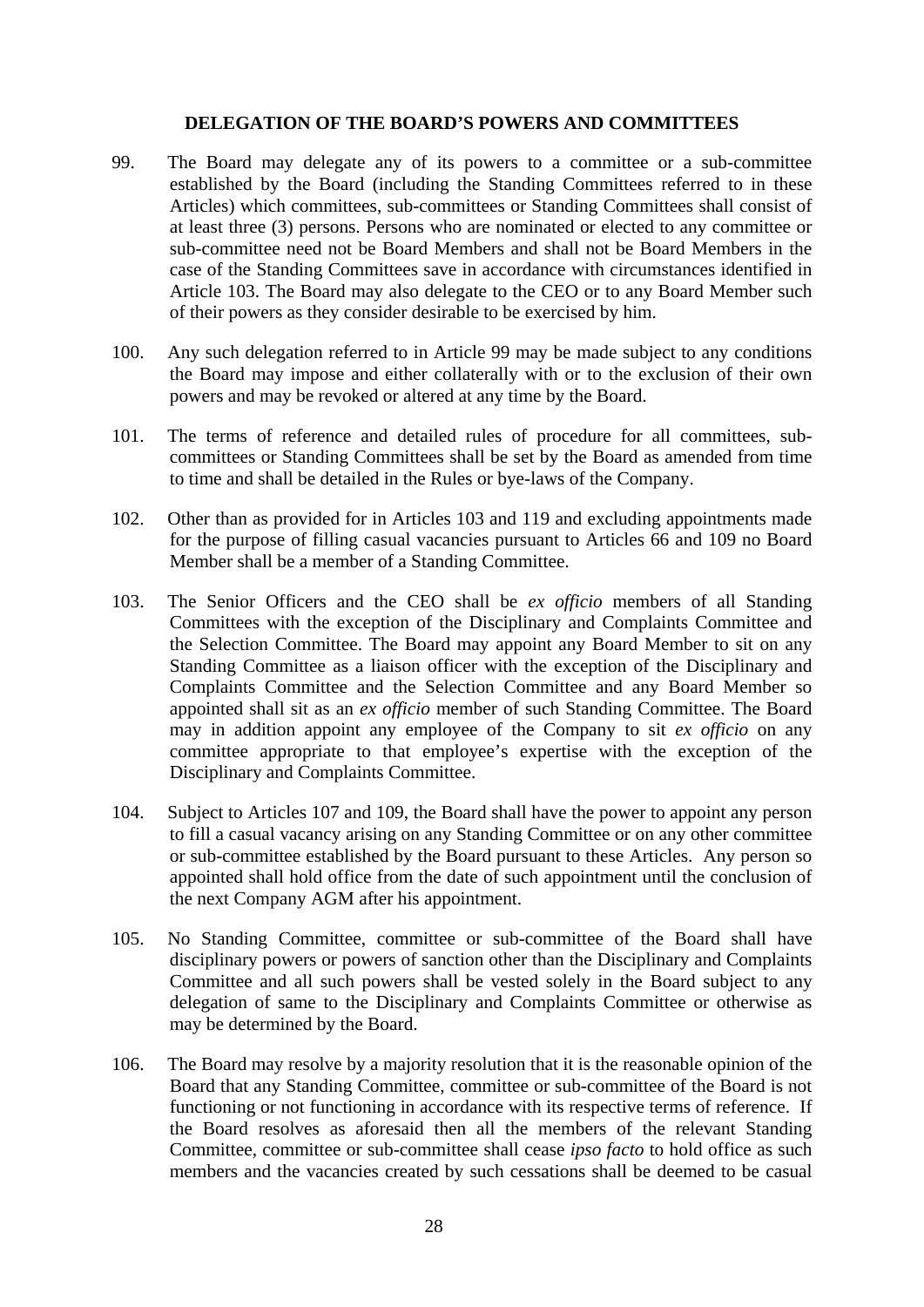## **DELEGATION OF THE BOARD'S POWERS AND COMMITTEES**

- 99. The Board may delegate any of its powers to a committee or a sub-committee established by the Board (including the Standing Committees referred to in these Articles) which committees, sub-committees or Standing Committees shall consist of at least three (3) persons. Persons who are nominated or elected to any committee or sub-committee need not be Board Members and shall not be Board Members in the case of the Standing Committees save in accordance with circumstances identified in Article 103. The Board may also delegate to the CEO or to any Board Member such of their powers as they consider desirable to be exercised by him.
- 100. Any such delegation referred to in Article 99 may be made subject to any conditions the Board may impose and either collaterally with or to the exclusion of their own powers and may be revoked or altered at any time by the Board.
- 101. The terms of reference and detailed rules of procedure for all committees, subcommittees or Standing Committees shall be set by the Board as amended from time to time and shall be detailed in the Rules or bye-laws of the Company.
- 102. Other than as provided for in Articles 103 and 119 and excluding appointments made for the purpose of filling casual vacancies pursuant to Articles 66 and 109 no Board Member shall be a member of a Standing Committee.
- 103. The Senior Officers and the CEO shall be *ex officio* members of all Standing Committees with the exception of the Disciplinary and Complaints Committee and the Selection Committee. The Board may appoint any Board Member to sit on any Standing Committee as a liaison officer with the exception of the Disciplinary and Complaints Committee and the Selection Committee and any Board Member so appointed shall sit as an *ex officio* member of such Standing Committee. The Board may in addition appoint any employee of the Company to sit *ex officio* on any committee appropriate to that employee's expertise with the exception of the Disciplinary and Complaints Committee.
- 104. Subject to Articles 107 and 109, the Board shall have the power to appoint any person to fill a casual vacancy arising on any Standing Committee or on any other committee or sub-committee established by the Board pursuant to these Articles. Any person so appointed shall hold office from the date of such appointment until the conclusion of the next Company AGM after his appointment.
- 105. No Standing Committee, committee or sub-committee of the Board shall have disciplinary powers or powers of sanction other than the Disciplinary and Complaints Committee and all such powers shall be vested solely in the Board subject to any delegation of same to the Disciplinary and Complaints Committee or otherwise as may be determined by the Board.
- 106. The Board may resolve by a majority resolution that it is the reasonable opinion of the Board that any Standing Committee, committee or sub-committee of the Board is not functioning or not functioning in accordance with its respective terms of reference. If the Board resolves as aforesaid then all the members of the relevant Standing Committee, committee or sub-committee shall cease *ipso facto* to hold office as such members and the vacancies created by such cessations shall be deemed to be casual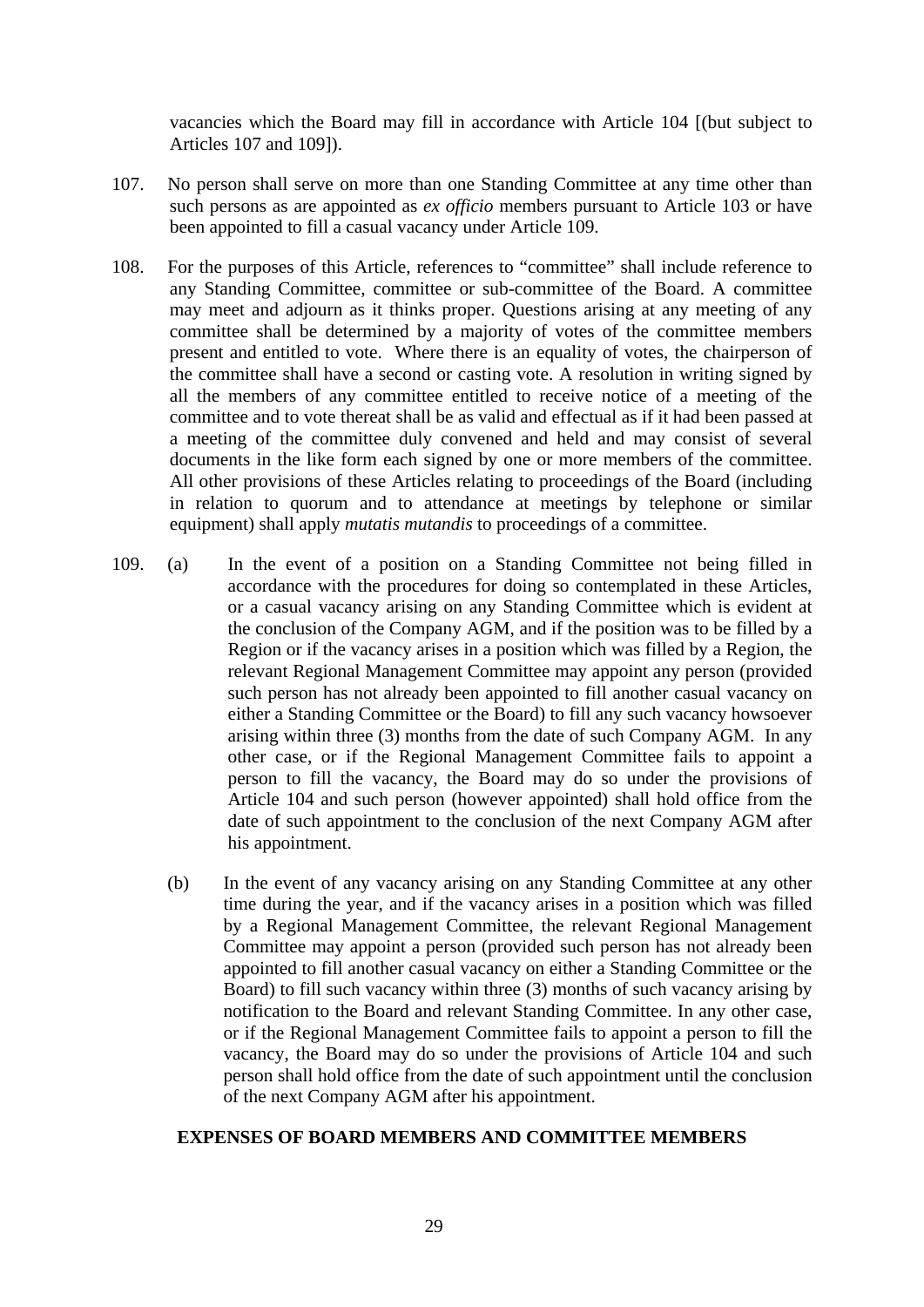vacancies which the Board may fill in accordance with Article 104 [(but subject to Articles 107 and 109]).

- 107. No person shall serve on more than one Standing Committee at any time other than such persons as are appointed as *ex officio* members pursuant to Article 103 or have been appointed to fill a casual vacancy under Article 109.
- 108. For the purposes of this Article, references to "committee" shall include reference to any Standing Committee, committee or sub-committee of the Board. A committee may meet and adjourn as it thinks proper. Questions arising at any meeting of any committee shall be determined by a majority of votes of the committee members present and entitled to vote. Where there is an equality of votes, the chairperson of the committee shall have a second or casting vote. A resolution in writing signed by all the members of any committee entitled to receive notice of a meeting of the committee and to vote thereat shall be as valid and effectual as if it had been passed at a meeting of the committee duly convened and held and may consist of several documents in the like form each signed by one or more members of the committee. All other provisions of these Articles relating to proceedings of the Board (including in relation to quorum and to attendance at meetings by telephone or similar equipment) shall apply *mutatis mutandis* to proceedings of a committee.
- 109. (a) In the event of a position on a Standing Committee not being filled in accordance with the procedures for doing so contemplated in these Articles, or a casual vacancy arising on any Standing Committee which is evident at the conclusion of the Company AGM, and if the position was to be filled by a Region or if the vacancy arises in a position which was filled by a Region, the relevant Regional Management Committee may appoint any person (provided such person has not already been appointed to fill another casual vacancy on either a Standing Committee or the Board) to fill any such vacancy howsoever arising within three (3) months from the date of such Company AGM. In any other case, or if the Regional Management Committee fails to appoint a person to fill the vacancy, the Board may do so under the provisions of Article 104 and such person (however appointed) shall hold office from the date of such appointment to the conclusion of the next Company AGM after his appointment.
	- (b) In the event of any vacancy arising on any Standing Committee at any other time during the year, and if the vacancy arises in a position which was filled by a Regional Management Committee, the relevant Regional Management Committee may appoint a person (provided such person has not already been appointed to fill another casual vacancy on either a Standing Committee or the Board) to fill such vacancy within three (3) months of such vacancy arising by notification to the Board and relevant Standing Committee. In any other case, or if the Regional Management Committee fails to appoint a person to fill the vacancy, the Board may do so under the provisions of Article 104 and such person shall hold office from the date of such appointment until the conclusion of the next Company AGM after his appointment.

## **EXPENSES OF BOARD MEMBERS AND COMMITTEE MEMBERS**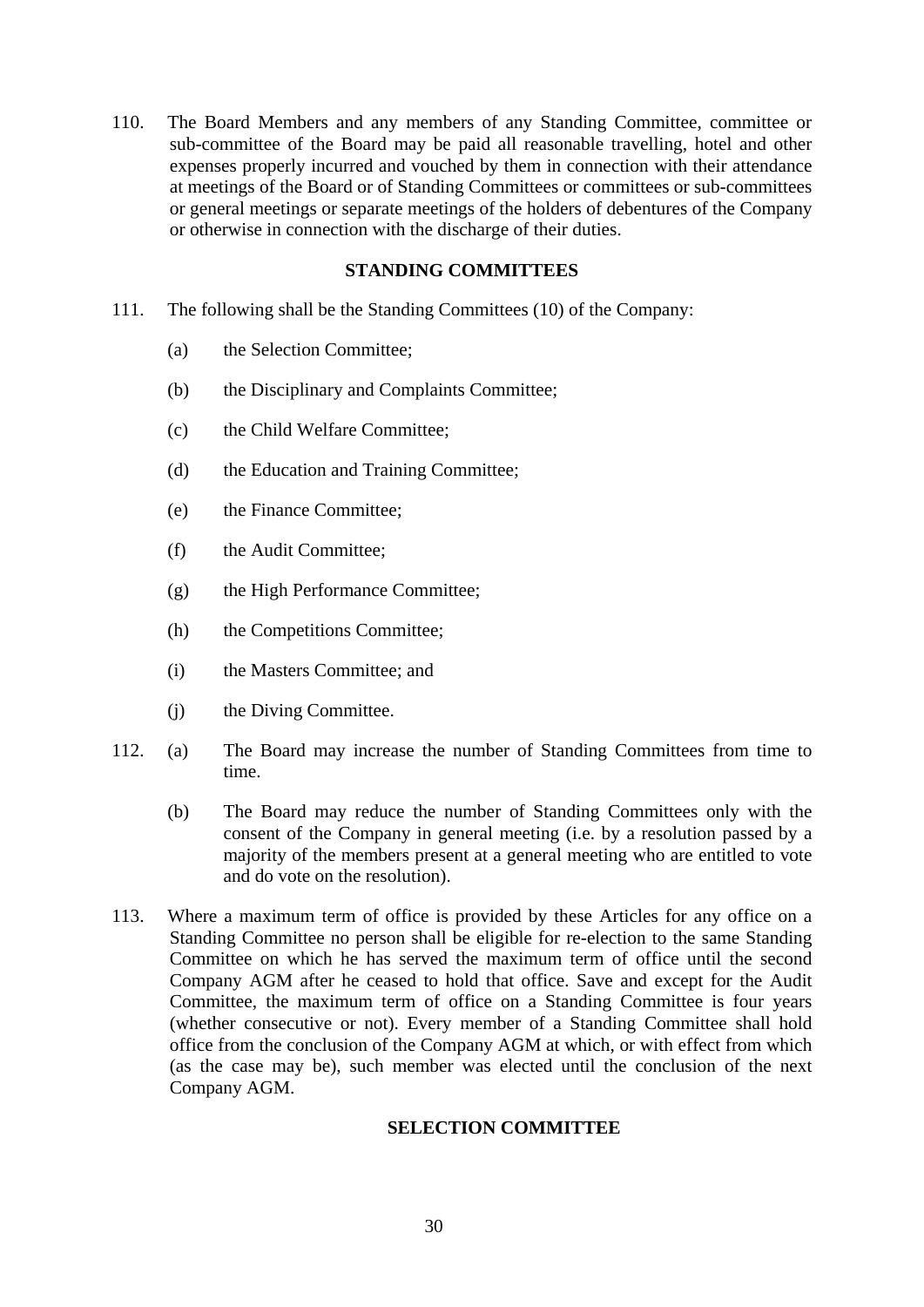110. The Board Members and any members of any Standing Committee, committee or sub-committee of the Board may be paid all reasonable travelling, hotel and other expenses properly incurred and vouched by them in connection with their attendance at meetings of the Board or of Standing Committees or committees or sub-committees or general meetings or separate meetings of the holders of debentures of the Company or otherwise in connection with the discharge of their duties.

## **STANDING COMMITTEES**

- 111. The following shall be the Standing Committees (10) of the Company:
	- (a) the Selection Committee;
	- (b) the Disciplinary and Complaints Committee;
	- (c) the Child Welfare Committee;
	- (d) the Education and Training Committee;
	- (e) the Finance Committee;
	- (f) the Audit Committee;
	- (g) the High Performance Committee;
	- (h) the Competitions Committee;
	- (i) the Masters Committee; and
	- (j) the Diving Committee.
- 112. (a) The Board may increase the number of Standing Committees from time to time.
	- (b) The Board may reduce the number of Standing Committees only with the consent of the Company in general meeting (i.e. by a resolution passed by a majority of the members present at a general meeting who are entitled to vote and do vote on the resolution).
- 113. Where a maximum term of office is provided by these Articles for any office on a Standing Committee no person shall be eligible for re-election to the same Standing Committee on which he has served the maximum term of office until the second Company AGM after he ceased to hold that office. Save and except for the Audit Committee, the maximum term of office on a Standing Committee is four years (whether consecutive or not). Every member of a Standing Committee shall hold office from the conclusion of the Company AGM at which, or with effect from which (as the case may be), such member was elected until the conclusion of the next Company AGM.

## **SELECTION COMMITTEE**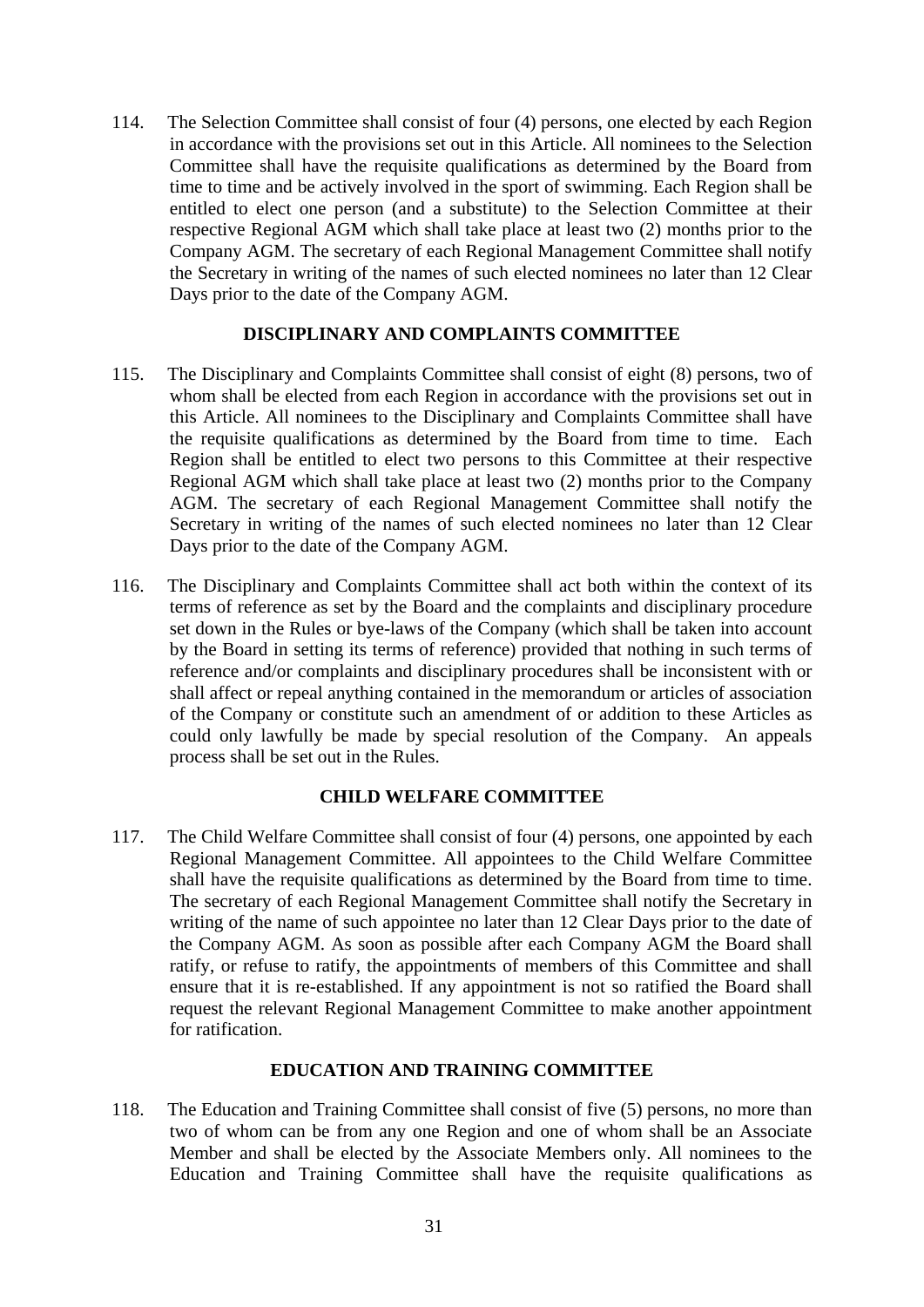114. The Selection Committee shall consist of four (4) persons, one elected by each Region in accordance with the provisions set out in this Article. All nominees to the Selection Committee shall have the requisite qualifications as determined by the Board from time to time and be actively involved in the sport of swimming. Each Region shall be entitled to elect one person (and a substitute) to the Selection Committee at their respective Regional AGM which shall take place at least two (2) months prior to the Company AGM. The secretary of each Regional Management Committee shall notify the Secretary in writing of the names of such elected nominees no later than 12 Clear Days prior to the date of the Company AGM.

## **DISCIPLINARY AND COMPLAINTS COMMITTEE**

- 115. The Disciplinary and Complaints Committee shall consist of eight (8) persons, two of whom shall be elected from each Region in accordance with the provisions set out in this Article. All nominees to the Disciplinary and Complaints Committee shall have the requisite qualifications as determined by the Board from time to time. Each Region shall be entitled to elect two persons to this Committee at their respective Regional AGM which shall take place at least two (2) months prior to the Company AGM. The secretary of each Regional Management Committee shall notify the Secretary in writing of the names of such elected nominees no later than 12 Clear Days prior to the date of the Company AGM.
- 116. The Disciplinary and Complaints Committee shall act both within the context of its terms of reference as set by the Board and the complaints and disciplinary procedure set down in the Rules or bye-laws of the Company (which shall be taken into account by the Board in setting its terms of reference) provided that nothing in such terms of reference and/or complaints and disciplinary procedures shall be inconsistent with or shall affect or repeal anything contained in the memorandum or articles of association of the Company or constitute such an amendment of or addition to these Articles as could only lawfully be made by special resolution of the Company. An appeals process shall be set out in the Rules.

## **CHILD WELFARE COMMITTEE**

117. The Child Welfare Committee shall consist of four (4) persons, one appointed by each Regional Management Committee. All appointees to the Child Welfare Committee shall have the requisite qualifications as determined by the Board from time to time. The secretary of each Regional Management Committee shall notify the Secretary in writing of the name of such appointee no later than 12 Clear Days prior to the date of the Company AGM. As soon as possible after each Company AGM the Board shall ratify, or refuse to ratify, the appointments of members of this Committee and shall ensure that it is re-established. If any appointment is not so ratified the Board shall request the relevant Regional Management Committee to make another appointment for ratification.

# **EDUCATION AND TRAINING COMMITTEE**

118. The Education and Training Committee shall consist of five (5) persons, no more than two of whom can be from any one Region and one of whom shall be an Associate Member and shall be elected by the Associate Members only. All nominees to the Education and Training Committee shall have the requisite qualifications as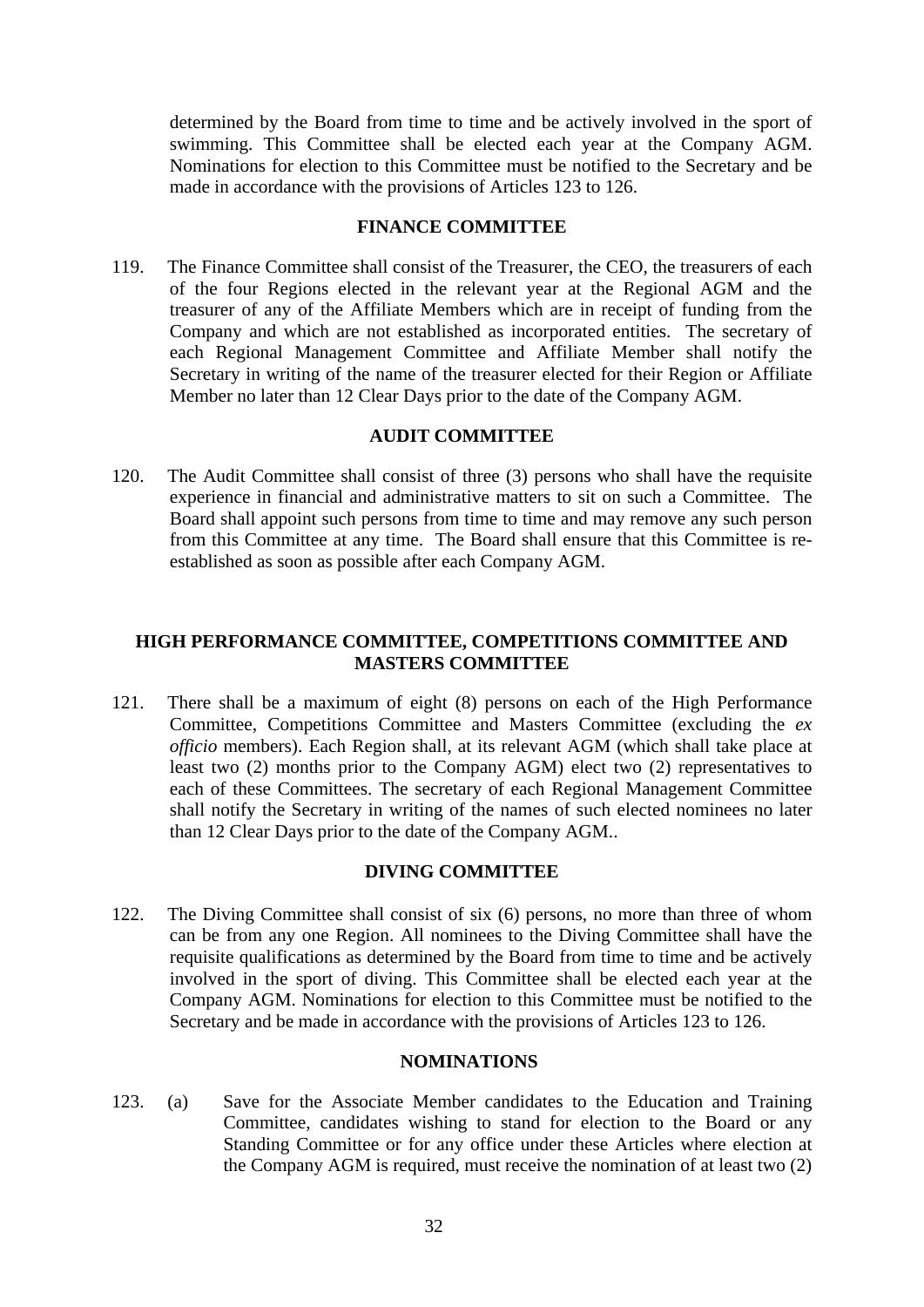determined by the Board from time to time and be actively involved in the sport of swimming. This Committee shall be elected each year at the Company AGM. Nominations for election to this Committee must be notified to the Secretary and be made in accordance with the provisions of Articles 123 to 126.

#### **FINANCE COMMITTEE**

119. The Finance Committee shall consist of the Treasurer, the CEO, the treasurers of each of the four Regions elected in the relevant year at the Regional AGM and the treasurer of any of the Affiliate Members which are in receipt of funding from the Company and which are not established as incorporated entities. The secretary of each Regional Management Committee and Affiliate Member shall notify the Secretary in writing of the name of the treasurer elected for their Region or Affiliate Member no later than 12 Clear Days prior to the date of the Company AGM.

### **AUDIT COMMITTEE**

120. The Audit Committee shall consist of three (3) persons who shall have the requisite experience in financial and administrative matters to sit on such a Committee. The Board shall appoint such persons from time to time and may remove any such person from this Committee at any time. The Board shall ensure that this Committee is reestablished as soon as possible after each Company AGM.

## **HIGH PERFORMANCE COMMITTEE, COMPETITIONS COMMITTEE AND MASTERS COMMITTEE**

121. There shall be a maximum of eight (8) persons on each of the High Performance Committee, Competitions Committee and Masters Committee (excluding the *ex officio* members). Each Region shall, at its relevant AGM (which shall take place at least two (2) months prior to the Company AGM) elect two (2) representatives to each of these Committees. The secretary of each Regional Management Committee shall notify the Secretary in writing of the names of such elected nominees no later than 12 Clear Days prior to the date of the Company AGM..

## **DIVING COMMITTEE**

122. The Diving Committee shall consist of six (6) persons, no more than three of whom can be from any one Region. All nominees to the Diving Committee shall have the requisite qualifications as determined by the Board from time to time and be actively involved in the sport of diving. This Committee shall be elected each year at the Company AGM. Nominations for election to this Committee must be notified to the Secretary and be made in accordance with the provisions of Articles 123 to 126.

## **NOMINATIONS**

123. (a) Save for the Associate Member candidates to the Education and Training Committee, candidates wishing to stand for election to the Board or any Standing Committee or for any office under these Articles where election at the Company AGM is required, must receive the nomination of at least two (2)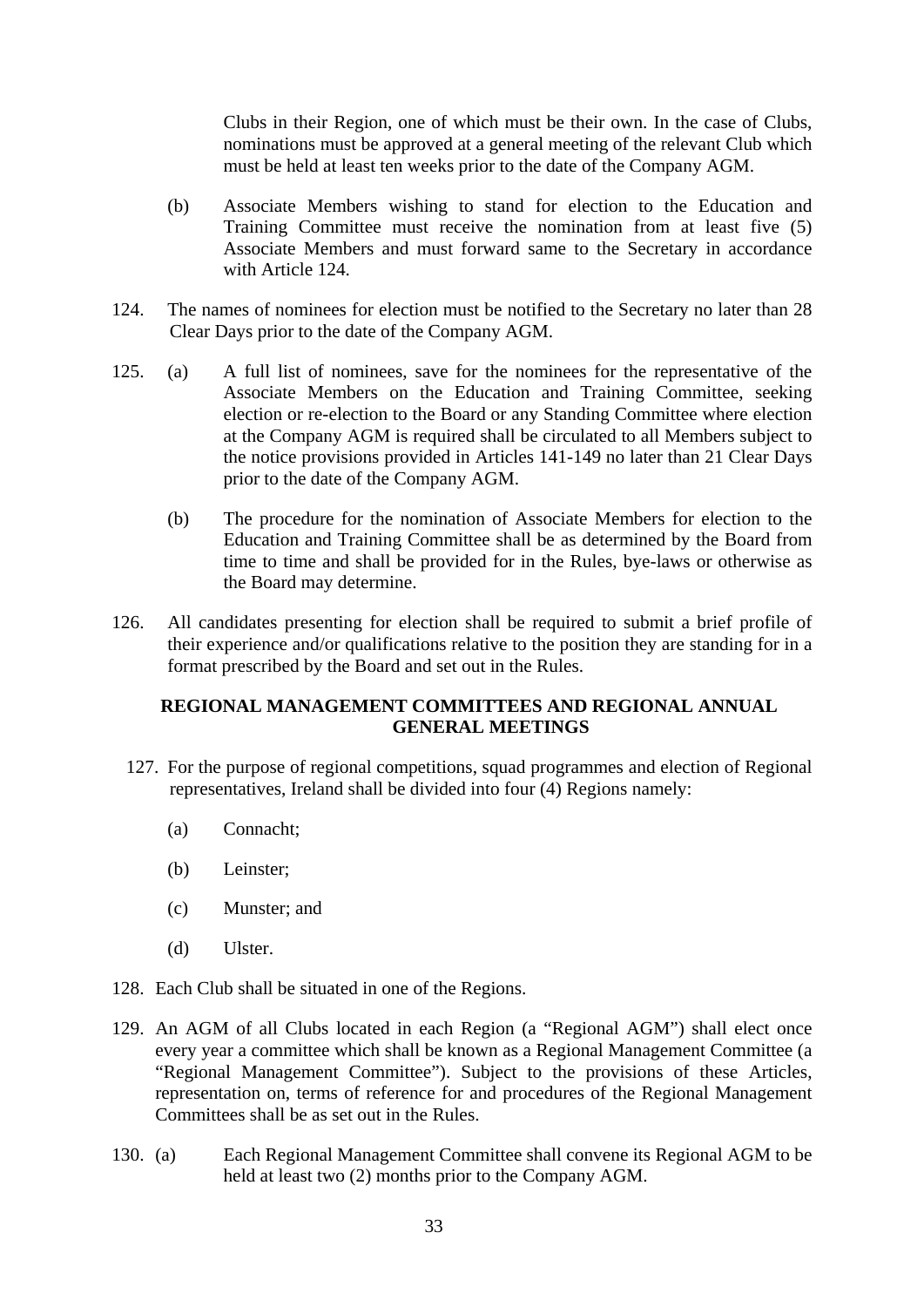Clubs in their Region, one of which must be their own. In the case of Clubs, nominations must be approved at a general meeting of the relevant Club which must be held at least ten weeks prior to the date of the Company AGM.

- (b) Associate Members wishing to stand for election to the Education and Training Committee must receive the nomination from at least five (5) Associate Members and must forward same to the Secretary in accordance with Article 124.
- 124. The names of nominees for election must be notified to the Secretary no later than 28 Clear Days prior to the date of the Company AGM.
- 125. (a) A full list of nominees, save for the nominees for the representative of the Associate Members on the Education and Training Committee, seeking election or re-election to the Board or any Standing Committee where election at the Company AGM is required shall be circulated to all Members subject to the notice provisions provided in Articles 141-149 no later than 21 Clear Days prior to the date of the Company AGM.
	- (b) The procedure for the nomination of Associate Members for election to the Education and Training Committee shall be as determined by the Board from time to time and shall be provided for in the Rules, bye-laws or otherwise as the Board may determine.
- 126. All candidates presenting for election shall be required to submit a brief profile of their experience and/or qualifications relative to the position they are standing for in a format prescribed by the Board and set out in the Rules.

## **REGIONAL MANAGEMENT COMMITTEES AND REGIONAL ANNUAL GENERAL MEETINGS**

- 127. For the purpose of regional competitions, squad programmes and election of Regional representatives, Ireland shall be divided into four (4) Regions namely:
	- (a) Connacht;
	- (b) Leinster;
	- (c) Munster; and
	- (d) Ulster.
- 128. Each Club shall be situated in one of the Regions.
- 129. An AGM of all Clubs located in each Region (a "Regional AGM") shall elect once every year a committee which shall be known as a Regional Management Committee (a "Regional Management Committee"). Subject to the provisions of these Articles, representation on, terms of reference for and procedures of the Regional Management Committees shall be as set out in the Rules.
- 130. (a) Each Regional Management Committee shall convene its Regional AGM to be held at least two (2) months prior to the Company AGM.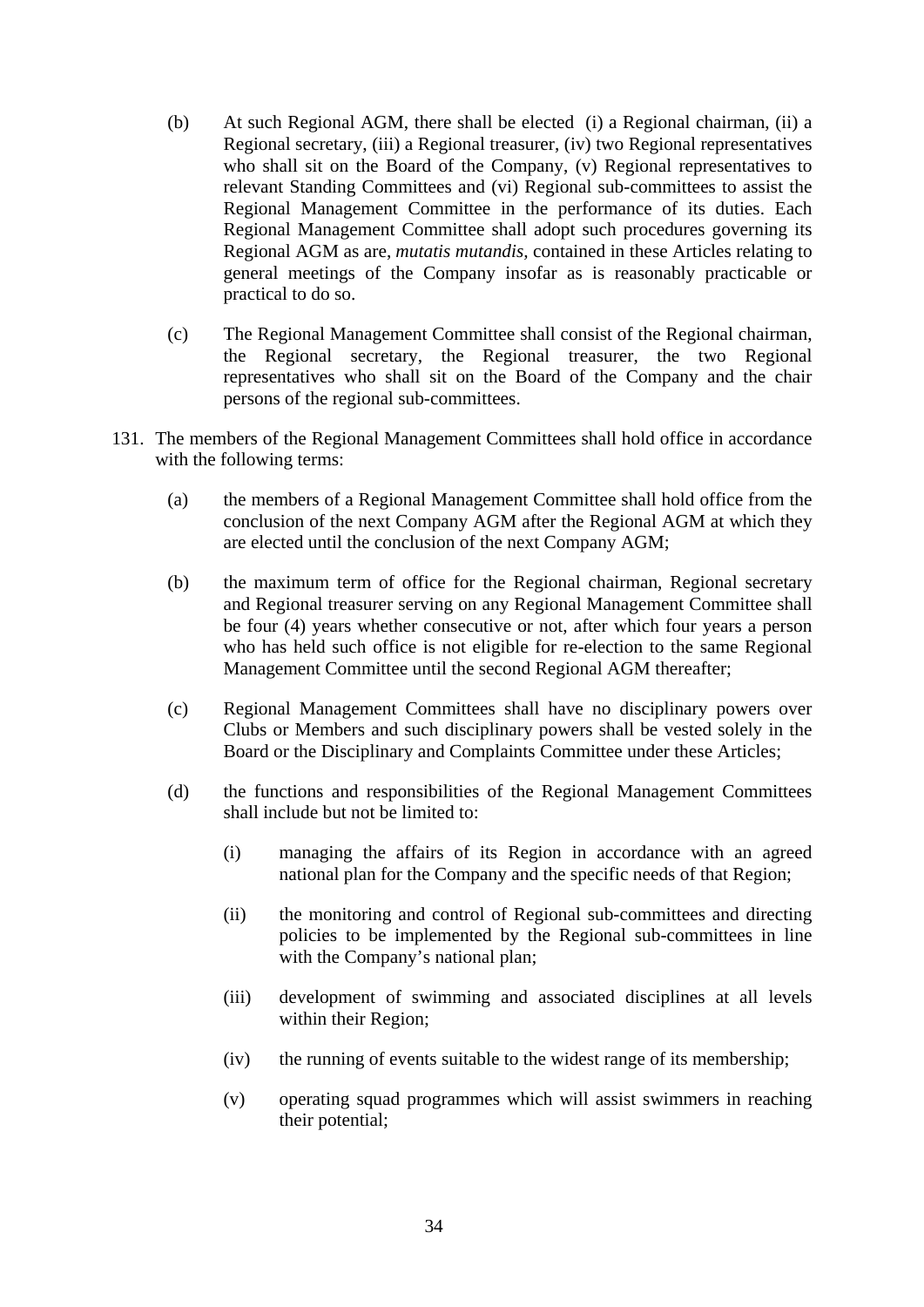- (b) At such Regional AGM, there shall be elected (i) a Regional chairman, (ii) a Regional secretary, (iii) a Regional treasurer, (iv) two Regional representatives who shall sit on the Board of the Company, (v) Regional representatives to relevant Standing Committees and (vi) Regional sub-committees to assist the Regional Management Committee in the performance of its duties. Each Regional Management Committee shall adopt such procedures governing its Regional AGM as are, *mutatis mutandis,* contained in these Articles relating to general meetings of the Company insofar as is reasonably practicable or practical to do so.
- (c) The Regional Management Committee shall consist of the Regional chairman, the Regional secretary, the Regional treasurer, the two Regional representatives who shall sit on the Board of the Company and the chair persons of the regional sub-committees.
- 131. The members of the Regional Management Committees shall hold office in accordance with the following terms:
	- (a) the members of a Regional Management Committee shall hold office from the conclusion of the next Company AGM after the Regional AGM at which they are elected until the conclusion of the next Company AGM;
	- (b) the maximum term of office for the Regional chairman, Regional secretary and Regional treasurer serving on any Regional Management Committee shall be four (4) years whether consecutive or not, after which four years a person who has held such office is not eligible for re-election to the same Regional Management Committee until the second Regional AGM thereafter;
	- (c) Regional Management Committees shall have no disciplinary powers over Clubs or Members and such disciplinary powers shall be vested solely in the Board or the Disciplinary and Complaints Committee under these Articles;
	- (d) the functions and responsibilities of the Regional Management Committees shall include but not be limited to:
		- (i) managing the affairs of its Region in accordance with an agreed national plan for the Company and the specific needs of that Region;
		- (ii) the monitoring and control of Regional sub-committees and directing policies to be implemented by the Regional sub-committees in line with the Company's national plan;
		- (iii) development of swimming and associated disciplines at all levels within their Region;
		- (iv) the running of events suitable to the widest range of its membership;
		- (v) operating squad programmes which will assist swimmers in reaching their potential;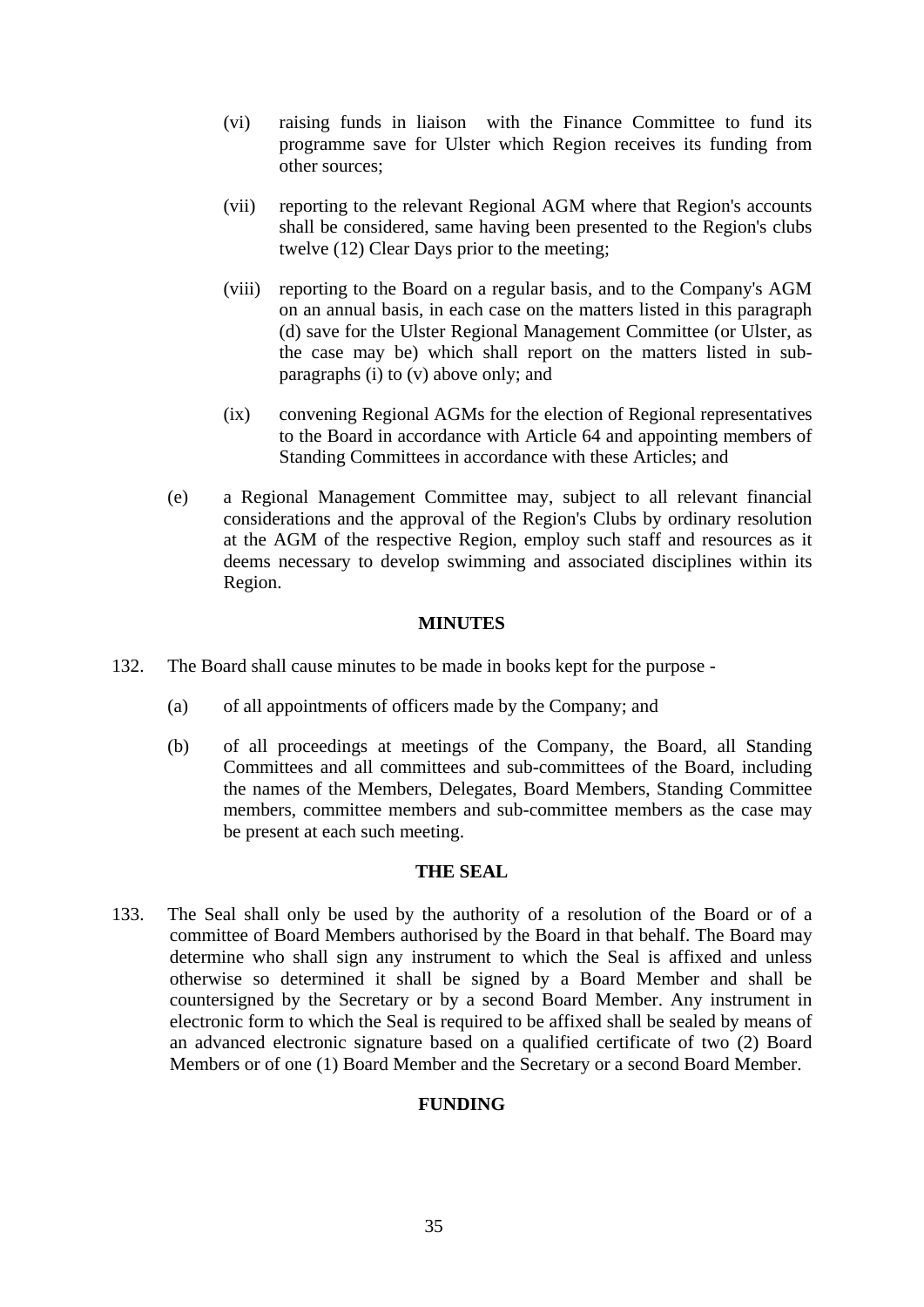- (vi) raising funds in liaison with the Finance Committee to fund its programme save for Ulster which Region receives its funding from other sources;
- (vii) reporting to the relevant Regional AGM where that Region's accounts shall be considered, same having been presented to the Region's clubs twelve (12) Clear Days prior to the meeting;
- (viii) reporting to the Board on a regular basis, and to the Company's AGM on an annual basis, in each case on the matters listed in this paragraph (d) save for the Ulster Regional Management Committee (or Ulster, as the case may be) which shall report on the matters listed in subparagraphs (i) to (v) above only; and
- (ix) convening Regional AGMs for the election of Regional representatives to the Board in accordance with Article 64 and appointing members of Standing Committees in accordance with these Articles; and
- (e) a Regional Management Committee may, subject to all relevant financial considerations and the approval of the Region's Clubs by ordinary resolution at the AGM of the respective Region, employ such staff and resources as it deems necessary to develop swimming and associated disciplines within its Region.

## **MINUTES**

- 132. The Board shall cause minutes to be made in books kept for the purpose
	- (a) of all appointments of officers made by the Company; and
	- (b) of all proceedings at meetings of the Company, the Board, all Standing Committees and all committees and sub-committees of the Board, including the names of the Members, Delegates, Board Members, Standing Committee members, committee members and sub-committee members as the case may be present at each such meeting.

## **THE SEAL**

133. The Seal shall only be used by the authority of a resolution of the Board or of a committee of Board Members authorised by the Board in that behalf. The Board may determine who shall sign any instrument to which the Seal is affixed and unless otherwise so determined it shall be signed by a Board Member and shall be countersigned by the Secretary or by a second Board Member. Any instrument in electronic form to which the Seal is required to be affixed shall be sealed by means of an advanced electronic signature based on a qualified certificate of two (2) Board Members or of one (1) Board Member and the Secretary or a second Board Member.

# **FUNDING**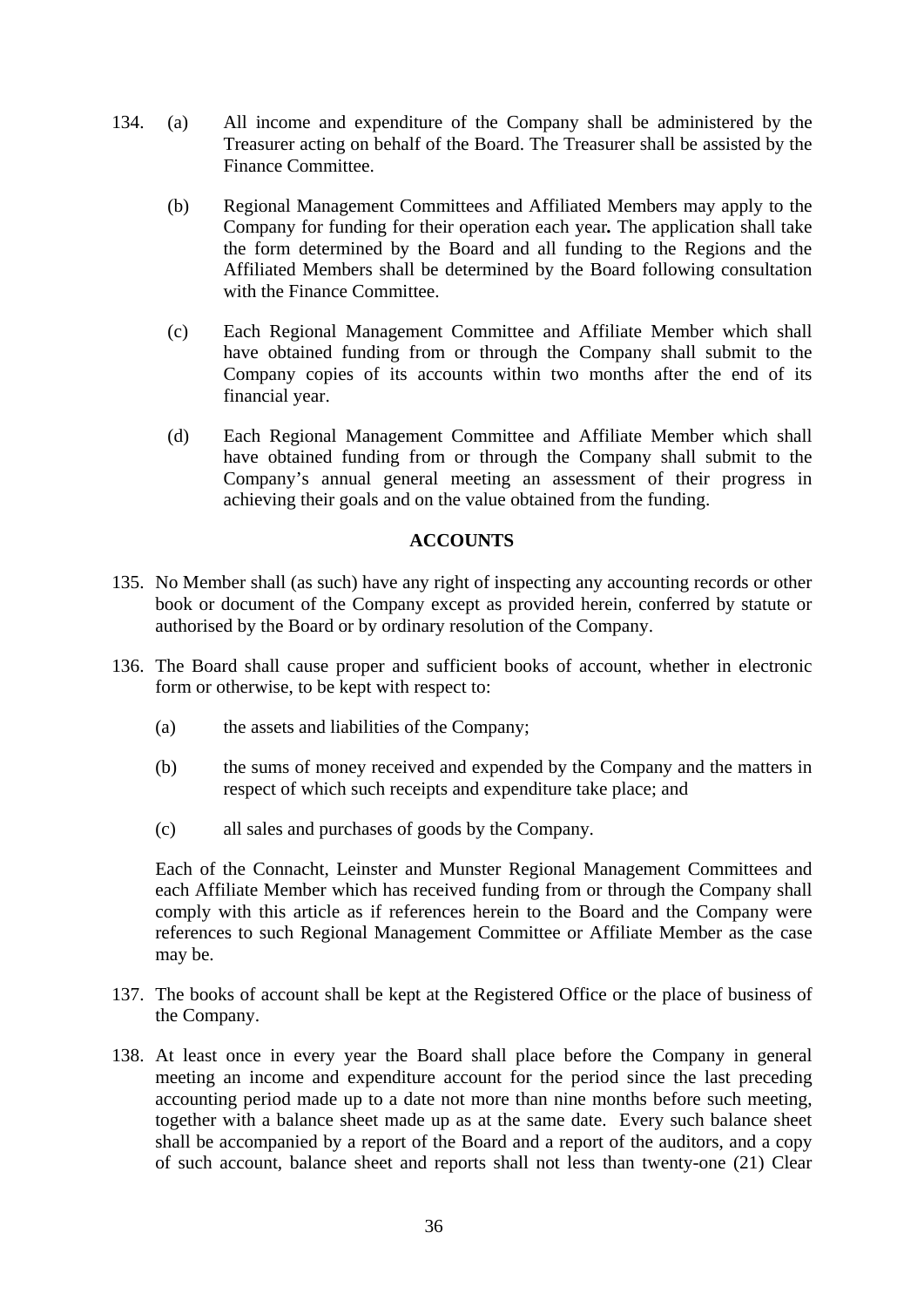- 134. (a) All income and expenditure of the Company shall be administered by the Treasurer acting on behalf of the Board. The Treasurer shall be assisted by the Finance Committee.
	- (b) Regional Management Committees and Affiliated Members may apply to the Company for funding for their operation each year*.* The application shall take the form determined by the Board and all funding to the Regions and the Affiliated Members shall be determined by the Board following consultation with the Finance Committee.
	- (c) Each Regional Management Committee and Affiliate Member which shall have obtained funding from or through the Company shall submit to the Company copies of its accounts within two months after the end of its financial year.
	- (d) Each Regional Management Committee and Affiliate Member which shall have obtained funding from or through the Company shall submit to the Company's annual general meeting an assessment of their progress in achieving their goals and on the value obtained from the funding.

# **ACCOUNTS**

- 135. No Member shall (as such) have any right of inspecting any accounting records or other book or document of the Company except as provided herein, conferred by statute or authorised by the Board or by ordinary resolution of the Company.
- 136. The Board shall cause proper and sufficient books of account, whether in electronic form or otherwise, to be kept with respect to:
	- (a) the assets and liabilities of the Company;
	- (b) the sums of money received and expended by the Company and the matters in respect of which such receipts and expenditure take place; and
	- (c) all sales and purchases of goods by the Company.

Each of the Connacht, Leinster and Munster Regional Management Committees and each Affiliate Member which has received funding from or through the Company shall comply with this article as if references herein to the Board and the Company were references to such Regional Management Committee or Affiliate Member as the case may be.

- 137. The books of account shall be kept at the Registered Office or the place of business of the Company.
- 138. At least once in every year the Board shall place before the Company in general meeting an income and expenditure account for the period since the last preceding accounting period made up to a date not more than nine months before such meeting, together with a balance sheet made up as at the same date. Every such balance sheet shall be accompanied by a report of the Board and a report of the auditors, and a copy of such account, balance sheet and reports shall not less than twenty-one (21) Clear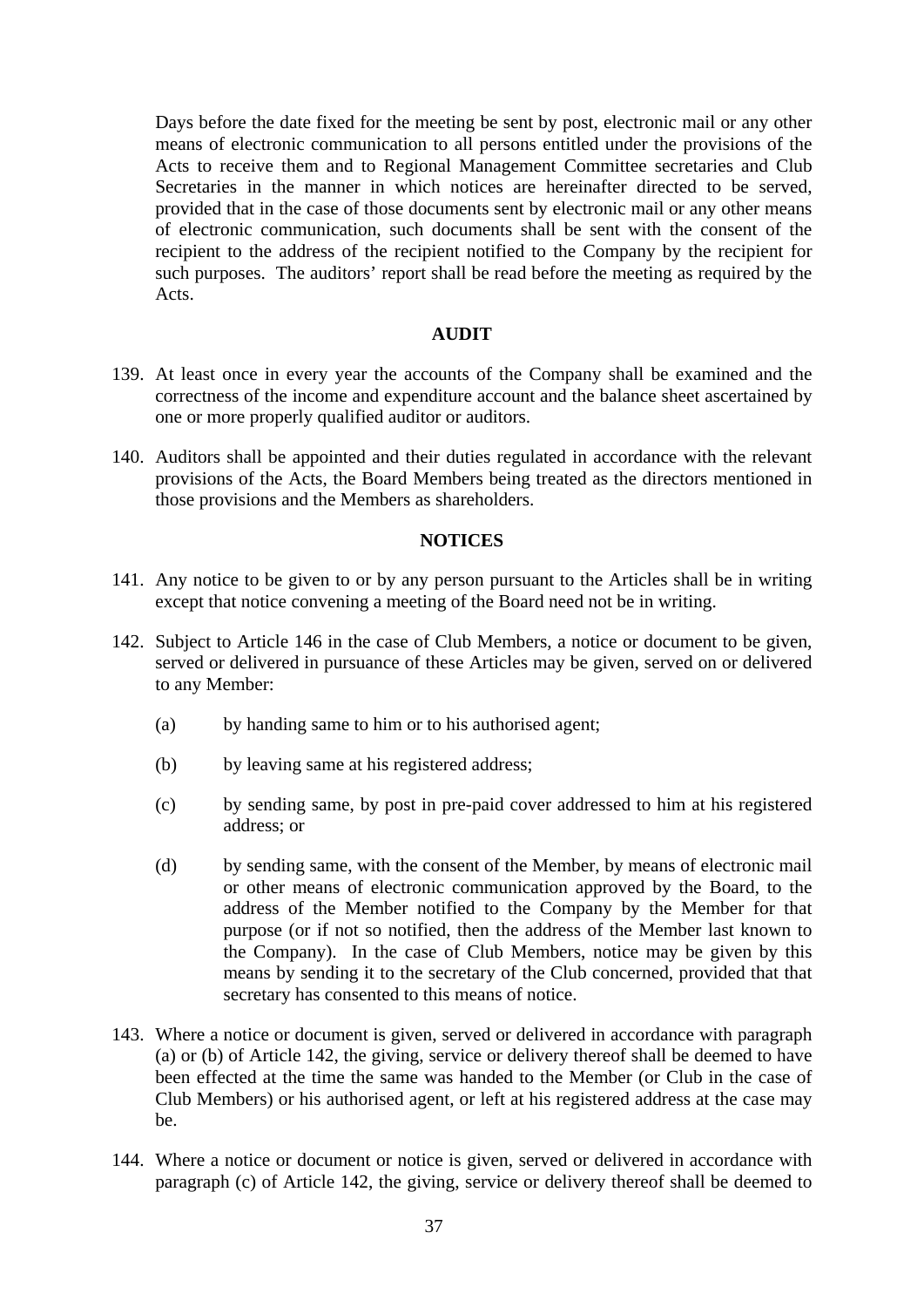Days before the date fixed for the meeting be sent by post, electronic mail or any other means of electronic communication to all persons entitled under the provisions of the Acts to receive them and to Regional Management Committee secretaries and Club Secretaries in the manner in which notices are hereinafter directed to be served, provided that in the case of those documents sent by electronic mail or any other means of electronic communication, such documents shall be sent with the consent of the recipient to the address of the recipient notified to the Company by the recipient for such purposes. The auditors' report shall be read before the meeting as required by the Acts.

## **AUDIT**

- 139. At least once in every year the accounts of the Company shall be examined and the correctness of the income and expenditure account and the balance sheet ascertained by one or more properly qualified auditor or auditors.
- 140. Auditors shall be appointed and their duties regulated in accordance with the relevant provisions of the Acts, the Board Members being treated as the directors mentioned in those provisions and the Members as shareholders.

### **NOTICES**

- 141. Any notice to be given to or by any person pursuant to the Articles shall be in writing except that notice convening a meeting of the Board need not be in writing.
- 142. Subject to Article 146 in the case of Club Members, a notice or document to be given, served or delivered in pursuance of these Articles may be given, served on or delivered to any Member:
	- (a) by handing same to him or to his authorised agent;
	- (b) by leaving same at his registered address;
	- (c) by sending same, by post in pre-paid cover addressed to him at his registered address; or
	- (d) by sending same, with the consent of the Member, by means of electronic mail or other means of electronic communication approved by the Board, to the address of the Member notified to the Company by the Member for that purpose (or if not so notified, then the address of the Member last known to the Company). In the case of Club Members, notice may be given by this means by sending it to the secretary of the Club concerned, provided that that secretary has consented to this means of notice.
- 143. Where a notice or document is given, served or delivered in accordance with paragraph (a) or (b) of Article 142, the giving, service or delivery thereof shall be deemed to have been effected at the time the same was handed to the Member (or Club in the case of Club Members) or his authorised agent, or left at his registered address at the case may be.
- 144. Where a notice or document or notice is given, served or delivered in accordance with paragraph (c) of Article 142, the giving, service or delivery thereof shall be deemed to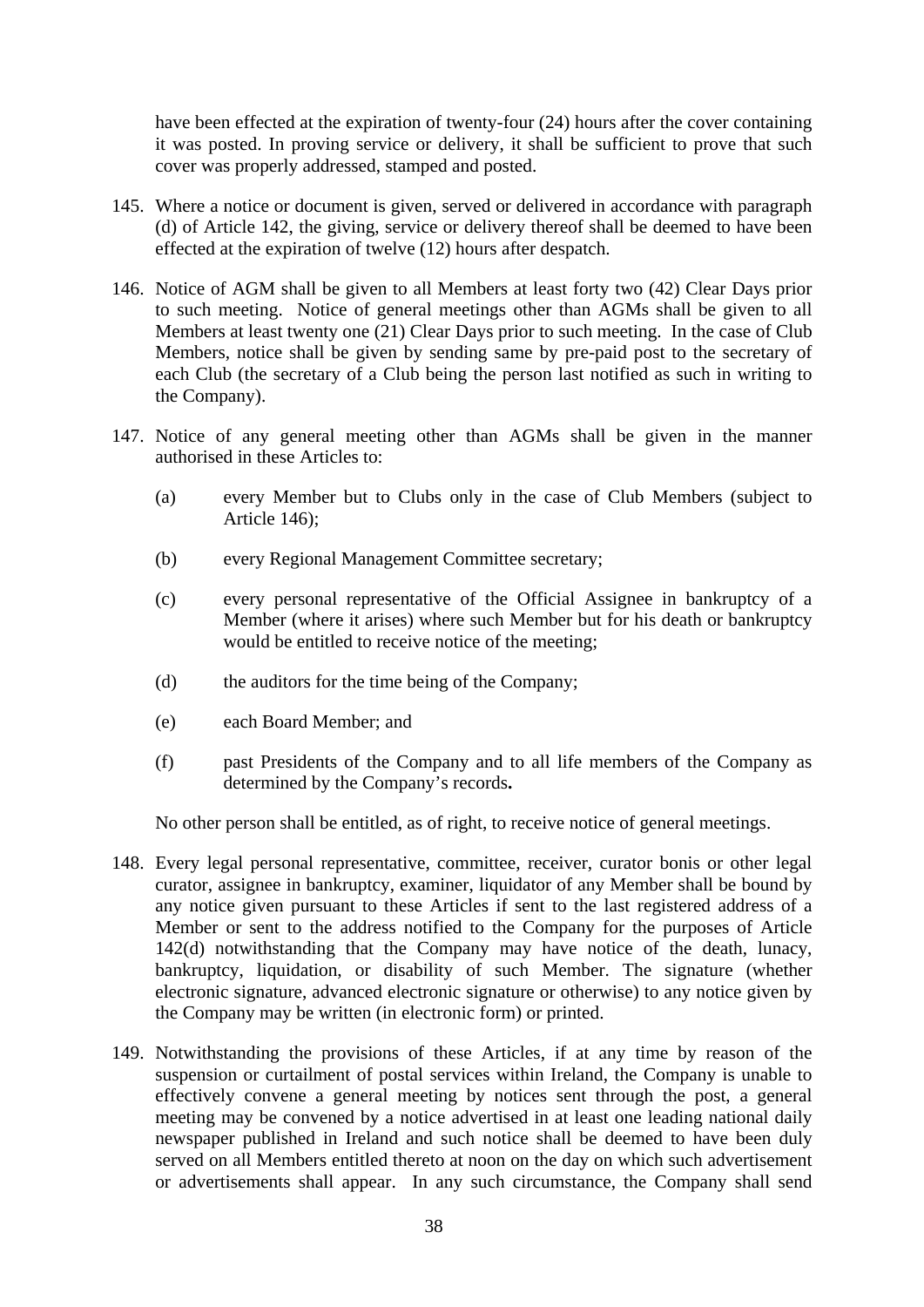have been effected at the expiration of twenty-four (24) hours after the cover containing it was posted. In proving service or delivery, it shall be sufficient to prove that such cover was properly addressed, stamped and posted.

- 145. Where a notice or document is given, served or delivered in accordance with paragraph (d) of Article 142, the giving, service or delivery thereof shall be deemed to have been effected at the expiration of twelve (12) hours after despatch.
- 146. Notice of AGM shall be given to all Members at least forty two (42) Clear Days prior to such meeting. Notice of general meetings other than AGMs shall be given to all Members at least twenty one (21) Clear Days prior to such meeting. In the case of Club Members, notice shall be given by sending same by pre-paid post to the secretary of each Club (the secretary of a Club being the person last notified as such in writing to the Company).
- 147. Notice of any general meeting other than AGMs shall be given in the manner authorised in these Articles to:
	- (a) every Member but to Clubs only in the case of Club Members (subject to Article 146);
	- (b) every Regional Management Committee secretary;
	- (c) every personal representative of the Official Assignee in bankruptcy of a Member (where it arises) where such Member but for his death or bankruptcy would be entitled to receive notice of the meeting;
	- (d) the auditors for the time being of the Company;
	- (e) each Board Member; and
	- (f) past Presidents of the Company and to all life members of the Company as determined by the Company's records**.**

No other person shall be entitled, as of right, to receive notice of general meetings.

- 148. Every legal personal representative, committee, receiver, curator bonis or other legal curator, assignee in bankruptcy, examiner, liquidator of any Member shall be bound by any notice given pursuant to these Articles if sent to the last registered address of a Member or sent to the address notified to the Company for the purposes of Article 142(d) notwithstanding that the Company may have notice of the death, lunacy, bankruptcy, liquidation, or disability of such Member. The signature (whether electronic signature, advanced electronic signature or otherwise) to any notice given by the Company may be written (in electronic form) or printed.
- 149. Notwithstanding the provisions of these Articles, if at any time by reason of the suspension or curtailment of postal services within Ireland, the Company is unable to effectively convene a general meeting by notices sent through the post, a general meeting may be convened by a notice advertised in at least one leading national daily newspaper published in Ireland and such notice shall be deemed to have been duly served on all Members entitled thereto at noon on the day on which such advertisement or advertisements shall appear. In any such circumstance, the Company shall send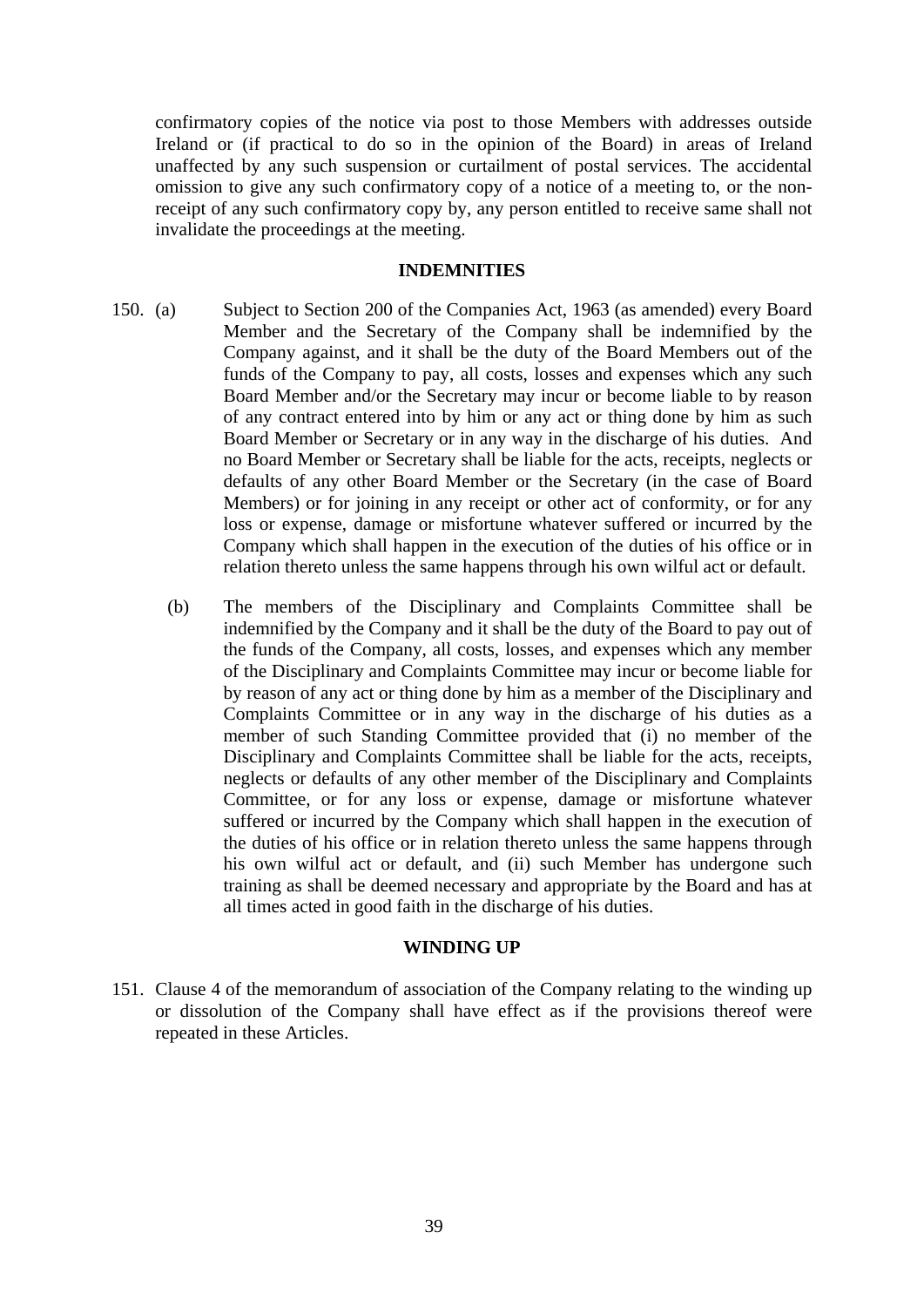confirmatory copies of the notice via post to those Members with addresses outside Ireland or (if practical to do so in the opinion of the Board) in areas of Ireland unaffected by any such suspension or curtailment of postal services. The accidental omission to give any such confirmatory copy of a notice of a meeting to, or the nonreceipt of any such confirmatory copy by, any person entitled to receive same shall not invalidate the proceedings at the meeting.

#### **INDEMNITIES**

- 150. (a) Subject to Section 200 of the Companies Act, 1963 (as amended) every Board Member and the Secretary of the Company shall be indemnified by the Company against, and it shall be the duty of the Board Members out of the funds of the Company to pay, all costs, losses and expenses which any such Board Member and/or the Secretary may incur or become liable to by reason of any contract entered into by him or any act or thing done by him as such Board Member or Secretary or in any way in the discharge of his duties. And no Board Member or Secretary shall be liable for the acts, receipts, neglects or defaults of any other Board Member or the Secretary (in the case of Board Members) or for joining in any receipt or other act of conformity, or for any loss or expense, damage or misfortune whatever suffered or incurred by the Company which shall happen in the execution of the duties of his office or in relation thereto unless the same happens through his own wilful act or default.
	- (b) The members of the Disciplinary and Complaints Committee shall be indemnified by the Company and it shall be the duty of the Board to pay out of the funds of the Company, all costs, losses, and expenses which any member of the Disciplinary and Complaints Committee may incur or become liable for by reason of any act or thing done by him as a member of the Disciplinary and Complaints Committee or in any way in the discharge of his duties as a member of such Standing Committee provided that (i) no member of the Disciplinary and Complaints Committee shall be liable for the acts, receipts, neglects or defaults of any other member of the Disciplinary and Complaints Committee, or for any loss or expense, damage or misfortune whatever suffered or incurred by the Company which shall happen in the execution of the duties of his office or in relation thereto unless the same happens through his own wilful act or default, and (ii) such Member has undergone such training as shall be deemed necessary and appropriate by the Board and has at all times acted in good faith in the discharge of his duties.

## **WINDING UP**

151. Clause 4 of the memorandum of association of the Company relating to the winding up or dissolution of the Company shall have effect as if the provisions thereof were repeated in these Articles.